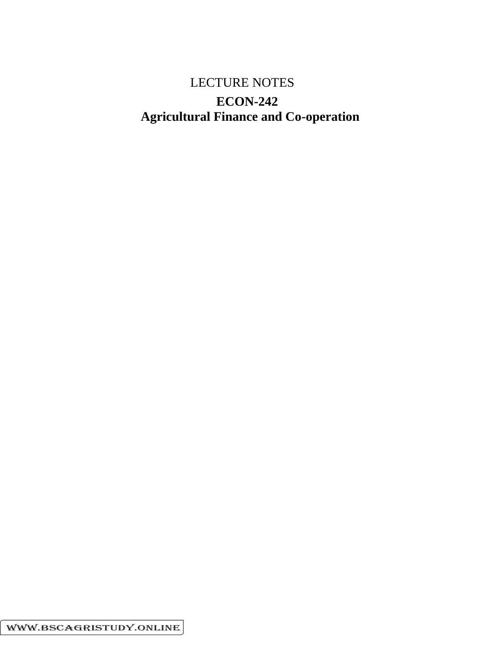# LECTURE NOTES  **ECON-242 Agricultural Finance and Co-operation**

WWW.BSCAGRISTUDY.ONLINE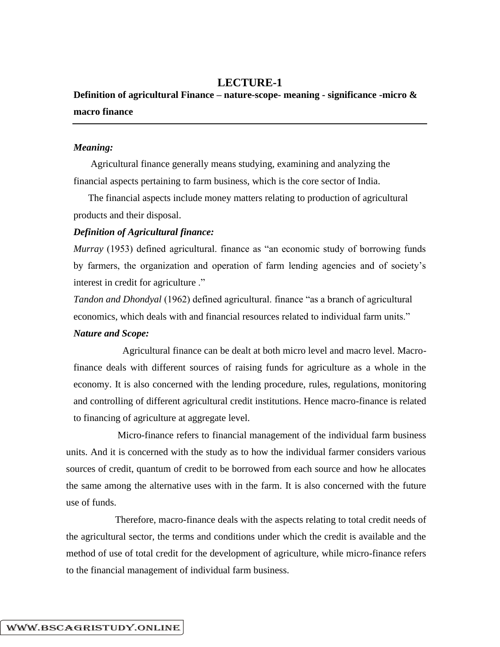# **LECTURE-1**

# **Definition of agricultural Finance – nature-scope- meaning - significance -micro & macro finance**

## *Meaning:*

Agricultural finance generally means studying, examining and analyzing the financial aspects pertaining to farm business, which is the core sector of India.

The financial aspects include money matters relating to production of agricultural products and their disposal.

### *Definition of Agricultural finance:*

*Murray* (1953) defined agricultural. finance as "an economic study of borrowing funds by farmers, the organization and operation of farm lending agencies and of society's interest in credit for agriculture ."

*Tandon and Dhondyal* (1962) defined agricultural. finance "as a branch of agricultural economics, which deals with and financial resources related to individual farm units."

# *Nature and Scope:*

Agricultural finance can be dealt at both micro level and macro level. Macrofinance deals with different sources of raising funds for agriculture as a whole in the economy. It is also concerned with the lending procedure, rules, regulations, monitoring and controlling of different agricultural credit institutions. Hence macro-finance is related to financing of agriculture at aggregate level.

Micro-finance refers to financial management of the individual farm business units. And it is concerned with the study as to how the individual farmer considers various sources of credit, quantum of credit to be borrowed from each source and how he allocates the same among the alternative uses with in the farm. It is also concerned with the future use of funds.

Therefore, macro-finance deals with the aspects relating to total credit needs of the agricultural sector, the terms and conditions under which the credit is available and the method of use of total credit for the development of agriculture, while micro-finance refers to the financial management of individual farm business.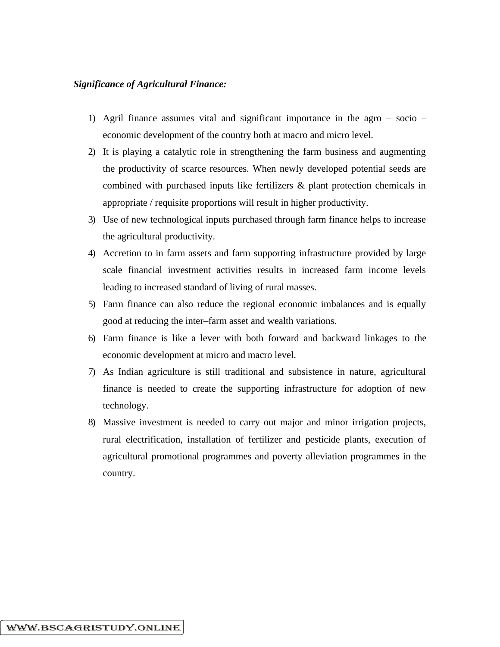## *Significance of Agricultural Finance:*

- 1) Agril finance assumes vital and significant importance in the agro socio economic development of the country both at macro and micro level.
- 2) It is playing a catalytic role in strengthening the farm business and augmenting the productivity of scarce resources. When newly developed potential seeds are combined with purchased inputs like fertilizers & plant protection chemicals in appropriate / requisite proportions will result in higher productivity.
- 3) Use of new technological inputs purchased through farm finance helps to increase the agricultural productivity.
- 4) Accretion to in farm assets and farm supporting infrastructure provided by large scale financial investment activities results in increased farm income levels leading to increased standard of living of rural masses.
- 5) Farm finance can also reduce the regional economic imbalances and is equally good at reducing the inter–farm asset and wealth variations.
- 6) Farm finance is like a lever with both forward and backward linkages to the economic development at micro and macro level.
- 7) As Indian agriculture is still traditional and subsistence in nature, agricultural finance is needed to create the supporting infrastructure for adoption of new technology.
- 8) Massive investment is needed to carry out major and minor irrigation projects, rural electrification, installation of fertilizer and pesticide plants, execution of agricultural promotional programmes and poverty alleviation programmes in the country.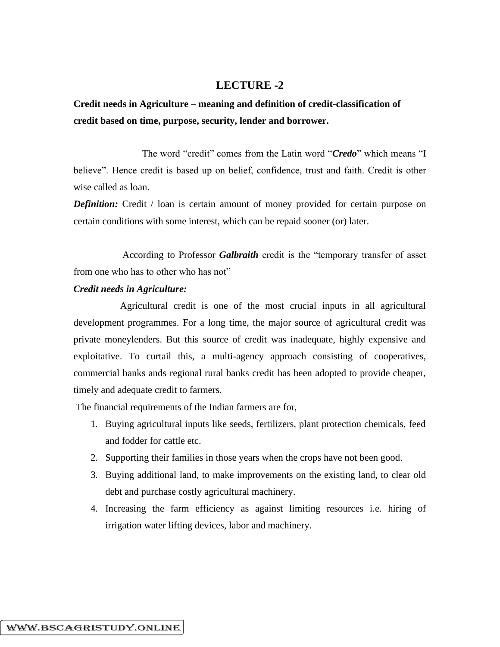# **LECTURE -2**

**Credit needs in Agriculture – meaning and definition of credit-classification of credit based on time, purpose, security, lender and borrower.**

The word "credit" comes from the Latin word "*Credo*" which means "I believe". Hence credit is based up on belief, confidence, trust and faith. Credit is other wise called as loan.

*Definition:* Credit / loan is certain amount of money provided for certain purpose on certain conditions with some interest, which can be repaid sooner (or) later.

According to Professor *Galbraith* credit is the "temporary transfer of asset from one who has to other who has not"

### *Credit needs in Agriculture:*

Agricultural credit is one of the most crucial inputs in all agricultural development programmes. For a long time, the major source of agricultural credit was private moneylenders. But this source of credit was inadequate, highly expensive and exploitative. To curtail this, a multi-agency approach consisting of cooperatives, commercial banks ands regional rural banks credit has been adopted to provide cheaper, timely and adequate credit to farmers.

The financial requirements of the Indian farmers are for,

- 1. Buying agricultural inputs like seeds, fertilizers, plant protection chemicals, feed and fodder for cattle etc.
- 2. Supporting their families in those years when the crops have not been good.
- 3. Buying additional land, to make improvements on the existing land, to clear old debt and purchase costly agricultural machinery.
- 4. Increasing the farm efficiency as against limiting resources i.e. hiring of irrigation water lifting devices, labor and machinery.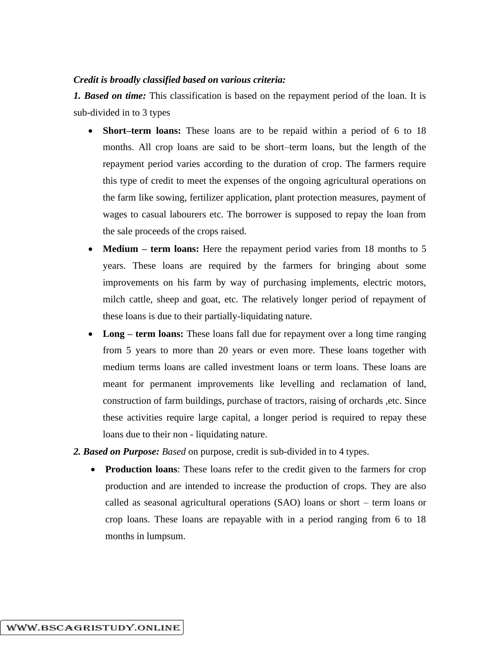#### *Credit is broadly classified based on various criteria:*

*1. Based on time:* This classification is based on the repayment period of the loan. It is sub-divided in to 3 types

- **Short–term loans:** These loans are to be repaid within a period of 6 to 18 months. All crop loans are said to be short–term loans, but the length of the repayment period varies according to the duration of crop. The farmers require this type of credit to meet the expenses of the ongoing agricultural operations on the farm like sowing, fertilizer application, plant protection measures, payment of wages to casual labourers etc. The borrower is supposed to repay the loan from the sale proceeds of the crops raised.
- **Medium term loans:** Here the repayment period varies from 18 months to 5 years. These loans are required by the farmers for bringing about some improvements on his farm by way of purchasing implements, electric motors, milch cattle, sheep and goat, etc. The relatively longer period of repayment of these loans is due to their partially-liquidating nature.
- Long **term loans:** These loans fall due for repayment over a long time ranging from 5 years to more than 20 years or even more. These loans together with medium terms loans are called investment loans or term loans. These loans are meant for permanent improvements like levelling and reclamation of land, construction of farm buildings, purchase of tractors, raising of orchards ,etc. Since these activities require large capital, a longer period is required to repay these loans due to their non - liquidating nature.
- *2. Based on Purpose: Based* on purpose, credit is sub-divided in to 4 types.
	- **Production loans**: These loans refer to the credit given to the farmers for crop production and are intended to increase the production of crops. They are also called as seasonal agricultural operations (SAO) loans or short – term loans or crop loans. These loans are repayable with in a period ranging from 6 to 18 months in lumpsum.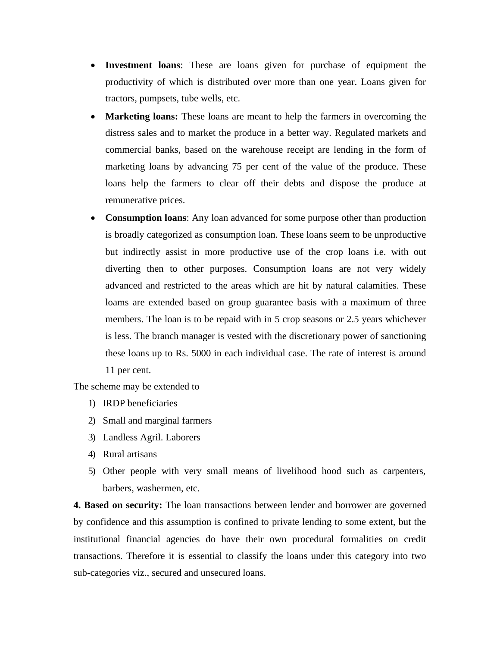- **Investment loans**: These are loans given for purchase of equipment the productivity of which is distributed over more than one year. Loans given for tractors, pumpsets, tube wells, etc.
- **Marketing loans:** These loans are meant to help the farmers in overcoming the distress sales and to market the produce in a better way. Regulated markets and commercial banks, based on the warehouse receipt are lending in the form of marketing loans by advancing 75 per cent of the value of the produce. These loans help the farmers to clear off their debts and dispose the produce at remunerative prices.
- **Consumption loans**: Any loan advanced for some purpose other than production is broadly categorized as consumption loan. These loans seem to be unproductive but indirectly assist in more productive use of the crop loans i.e. with out diverting then to other purposes. Consumption loans are not very widely advanced and restricted to the areas which are hit by natural calamities. These loams are extended based on group guarantee basis with a maximum of three members. The loan is to be repaid with in 5 crop seasons or 2.5 years whichever is less. The branch manager is vested with the discretionary power of sanctioning these loans up to Rs. 5000 in each individual case. The rate of interest is around 11 per cent.

The scheme may be extended to

- 1) IRDP beneficiaries
- 2) Small and marginal farmers
- 3) Landless Agril. Laborers
- 4) Rural artisans
- 5) Other people with very small means of livelihood hood such as carpenters, barbers, washermen, etc.

**4. Based on security:** The loan transactions between lender and borrower are governed by confidence and this assumption is confined to private lending to some extent, but the institutional financial agencies do have their own procedural formalities on credit transactions. Therefore it is essential to classify the loans under this category into two sub-categories viz., secured and unsecured loans.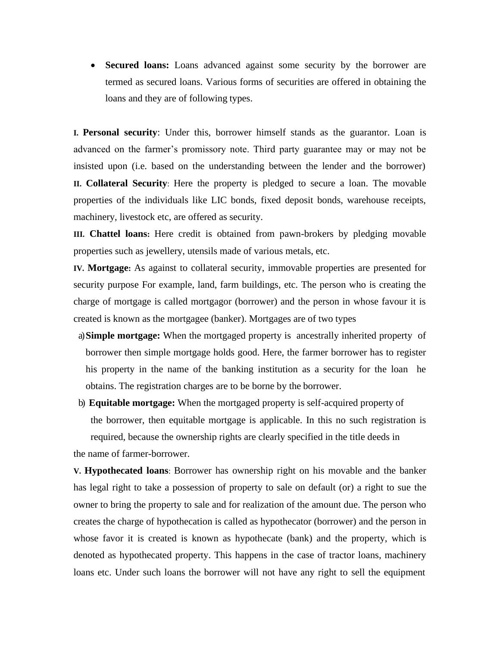• **Secured loans:** Loans advanced against some security by the borrower are termed as secured loans. Various forms of securities are offered in obtaining the loans and they are of following types.

**I. Personal security**: Under this, borrower himself stands as the guarantor. Loan is advanced on the farmer's promissory note. Third party guarantee may or may not be insisted upon (i.e. based on the understanding between the lender and the borrower) **II. Collateral Security**: Here the property is pledged to secure a loan. The movable properties of the individuals like LIC bonds, fixed deposit bonds, warehouse receipts, machinery, livestock etc, are offered as security.

**III. Chattel loans:** Here credit is obtained from pawn-brokers by pledging movable properties such as jewellery, utensils made of various metals, etc.

**IV. Mortgage:** As against to collateral security, immovable properties are presented for security purpose For example, land, farm buildings, etc. The person who is creating the charge of mortgage is called mortgagor (borrower) and the person in whose favour it is created is known as the mortgagee (banker). Mortgages are of two types

- a)**Simple mortgage:** When the mortgaged property is ancestrally inherited property of borrower then simple mortgage holds good. Here, the farmer borrower has to register his property in the name of the banking institution as a security for the loan he obtains. The registration charges are to be borne by the borrower.
- b) **Equitable mortgage:** When the mortgaged property is self-acquired property of the borrower, then equitable mortgage is applicable. In this no such registration is required, because the ownership rights are clearly specified in the title deeds in

the name of farmer-borrower.

**V. Hypothecated loans**: Borrower has ownership right on his movable and the banker has legal right to take a possession of property to sale on default (or) a right to sue the owner to bring the property to sale and for realization of the amount due. The person who creates the charge of hypothecation is called as hypothecator (borrower) and the person in whose favor it is created is known as hypothecate (bank) and the property, which is denoted as hypothecated property. This happens in the case of tractor loans, machinery loans etc. Under such loans the borrower will not have any right to sell the equipment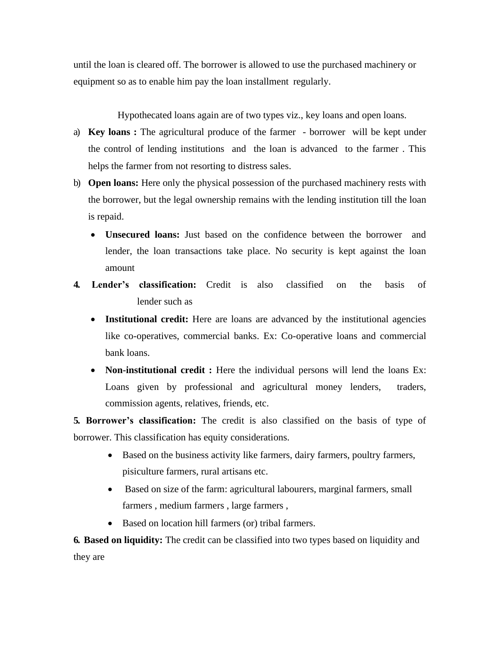until the loan is cleared off. The borrower is allowed to use the purchased machinery or equipment so as to enable him pay the loan installment regularly.

Hypothecated loans again are of two types viz., key loans and open loans.

- a) **Key loans :** The agricultural produce of the farmer borrower will be kept under the control of lending institutions and the loan is advanced to the farmer . This helps the farmer from not resorting to distress sales.
- b) **Open loans:** Here only the physical possession of the purchased machinery rests with the borrower, but the legal ownership remains with the lending institution till the loan is repaid.
	- **Unsecured loans:** Just based on the confidence between the borrower and lender, the loan transactions take place. No security is kept against the loan amount
- **4. Lender's classification:** Credit is also classified on the basis of lender such as
	- **Institutional credit:** Here are loans are advanced by the institutional agencies like co-operatives, commercial banks. Ex: Co-operative loans and commercial bank loans.
	- **Non-institutional credit :** Here the individual persons will lend the loans Ex: Loans given by professional and agricultural money lenders, traders, commission agents, relatives, friends, etc.

**5. Borrower's classification:** The credit is also classified on the basis of type of borrower. This classification has equity considerations.

- Based on the business activity like farmers, dairy farmers, poultry farmers, pisiculture farmers, rural artisans etc.
- Based on size of the farm: agricultural labourers, marginal farmers, small farmers , medium farmers , large farmers ,
- Based on location hill farmers (or) tribal farmers.

**6. Based on liquidity:** The credit can be classified into two types based on liquidity and they are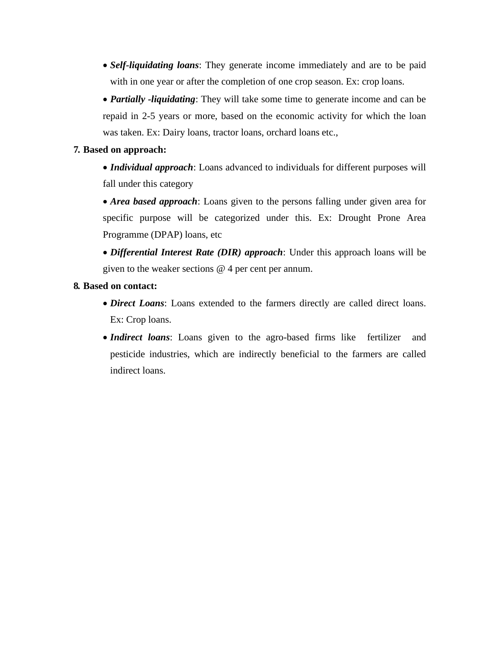- *Self-liquidating loans*: They generate income immediately and are to be paid with in one year or after the completion of one crop season. Ex: crop loans.
- *Partially -liquidating*: They will take some time to generate income and can be repaid in 2-5 years or more, based on the economic activity for which the loan was taken. Ex: Dairy loans, tractor loans, orchard loans etc.,

# **7. Based on approach:**

- *Individual approach*: Loans advanced to individuals for different purposes will fall under this category
- *Area based approach*: Loans given to the persons falling under given area for specific purpose will be categorized under this. Ex: Drought Prone Area Programme (DPAP) loans, etc
- *Differential Interest Rate (DIR) approach*: Under this approach loans will be given to the weaker sections @ 4 per cent per annum.

# **8. Based on contact:**

- *Direct Loans*: Loans extended to the farmers directly are called direct loans. Ex: Crop loans.
- *Indirect loans*: Loans given to the agro-based firms like fertilizer and pesticide industries, which are indirectly beneficial to the farmers are called indirect loans.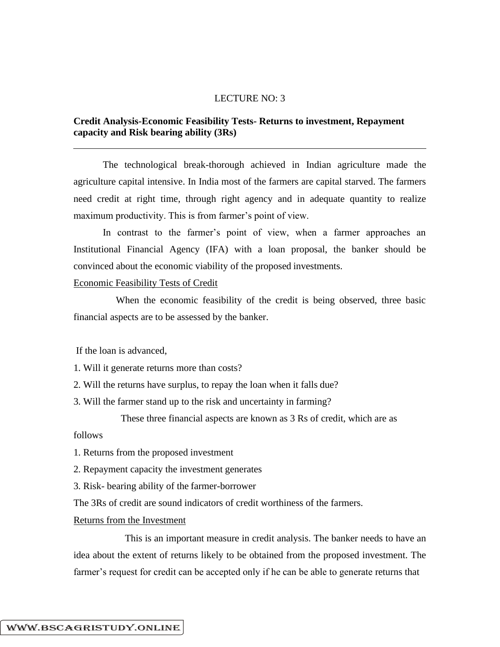## LECTURE NO: 3

## **Credit Analysis-Economic Feasibility Tests- Returns to investment, Repayment capacity and Risk bearing ability (3Rs)**

The technological break-thorough achieved in Indian agriculture made the agriculture capital intensive. In India most of the farmers are capital starved. The farmers need credit at right time, through right agency and in adequate quantity to realize maximum productivity. This is from farmer's point of view.

In contrast to the farmer's point of view, when a farmer approaches an Institutional Financial Agency (IFA) with a loan proposal, the banker should be convinced about the economic viability of the proposed investments.

### Economic Feasibility Tests of Credit

When the economic feasibility of the credit is being observed, three basic financial aspects are to be assessed by the banker.

If the loan is advanced,

1. Will it generate returns more than costs?

2. Will the returns have surplus, to repay the loan when it falls due?

3. Will the farmer stand up to the risk and uncertainty in farming?

These three financial aspects are known as 3 Rs of credit, which are as

follows

- 1. Returns from the proposed investment
- 2. Repayment capacity the investment generates
- 3. Risk- bearing ability of the farmer-borrower

The 3Rs of credit are sound indicators of credit worthiness of the farmers.

#### Returns from the Investment

This is an important measure in credit analysis. The banker needs to have an idea about the extent of returns likely to be obtained from the proposed investment. The farmer's request for credit can be accepted only if he can be able to generate returns that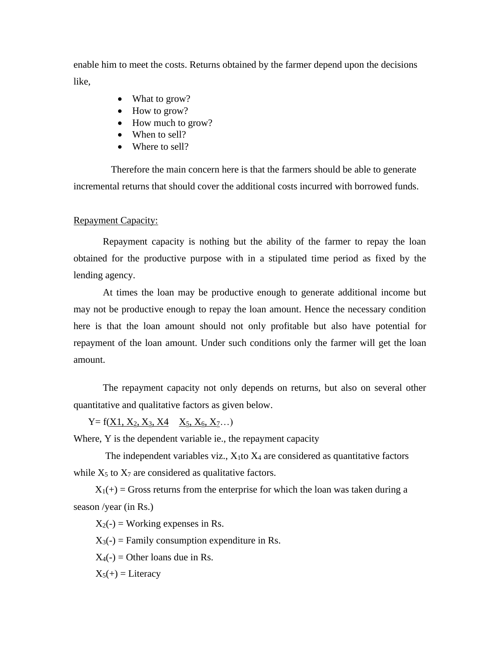enable him to meet the costs. Returns obtained by the farmer depend upon the decisions like,

- What to grow?
- How to grow?
- How much to grow?
- When to sell?
- Where to sell?

Therefore the main concern here is that the farmers should be able to generate incremental returns that should cover the additional costs incurred with borrowed funds.

## Repayment Capacity:

Repayment capacity is nothing but the ability of the farmer to repay the loan obtained for the productive purpose with in a stipulated time period as fixed by the lending agency.

At times the loan may be productive enough to generate additional income but may not be productive enough to repay the loan amount. Hence the necessary condition here is that the loan amount should not only profitable but also have potential for repayment of the loan amount. Under such conditions only the farmer will get the loan amount.

The repayment capacity not only depends on returns, but also on several other quantitative and qualitative factors as given below.

 $Y = f(X1, X_2, X_3, X_4 \quad X_5, X_6, X_7...)$ 

Where, Y is the dependent variable ie., the repayment capacity

The independent variables viz.,  $X_1$  to  $X_4$  are considered as quantitative factors while  $X_5$  to  $X_7$  are considered as qualitative factors.

 $X_1(+)$  = Gross returns from the enterprise for which the loan was taken during a season /year (in Rs.)

 $X_2(-) =$  Working expenses in Rs.

 $X_3(-)$  = Family consumption expenditure in Rs.

 $X_4(-) =$  Other loans due in Rs.

 $X_5(+) =$  Literacy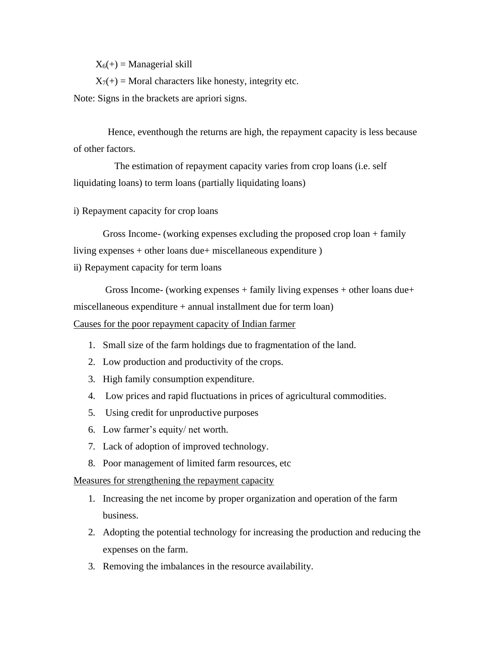$X_6(+) =$  Managerial skill

 $X_7(+)$  = Moral characters like honesty, integrity etc.

Note: Signs in the brackets are apriori signs.

Hence, eventhough the returns are high, the repayment capacity is less because of other factors.

The estimation of repayment capacity varies from crop loans (i.e. self liquidating loans) to term loans (partially liquidating loans)

i) Repayment capacity for crop loans

Gross Income- (working expenses excluding the proposed crop loan + family living expenses + other loans due+ miscellaneous expenditure )

ii) Repayment capacity for term loans

Gross Income- (working expenses + family living expenses + other loans due+ miscellaneous expenditure  $+$  annual installment due for term loan)

Causes for the poor repayment capacity of Indian farmer

- 1. Small size of the farm holdings due to fragmentation of the land.
- 2. Low production and productivity of the crops.
- 3. High family consumption expenditure.
- 4. Low prices and rapid fluctuations in prices of agricultural commodities.
- 5. Using credit for unproductive purposes
- 6. Low farmer's equity/ net worth.
- 7. Lack of adoption of improved technology.
- 8. Poor management of limited farm resources, etc

Measures for strengthening the repayment capacity

- 1. Increasing the net income by proper organization and operation of the farm business.
- 2. Adopting the potential technology for increasing the production and reducing the expenses on the farm.
- 3. Removing the imbalances in the resource availability.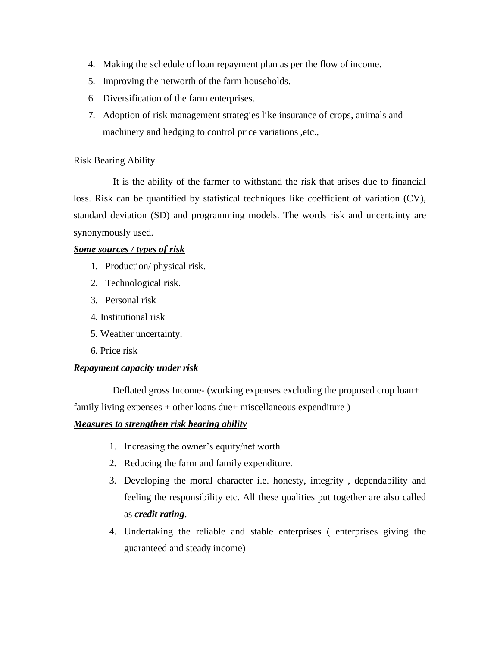- 4. Making the schedule of loan repayment plan as per the flow of income.
- 5. Improving the networth of the farm households.
- 6. Diversification of the farm enterprises.
- 7. Adoption of risk management strategies like insurance of crops, animals and machinery and hedging to control price variations ,etc.,

## Risk Bearing Ability

It is the ability of the farmer to withstand the risk that arises due to financial loss. Risk can be quantified by statistical techniques like coefficient of variation (CV), standard deviation (SD) and programming models. The words risk and uncertainty are synonymously used.

## *Some sources / types of risk*

- 1. Production/ physical risk.
- 2. Technological risk.
- 3. Personal risk
- 4. Institutional risk
- 5. Weather uncertainty.
- 6. Price risk

## *Repayment capacity under risk*

Deflated gross Income- (working expenses excluding the proposed crop loan+ family living expenses + other loans due+ miscellaneous expenditure )

## *Measures to strengthen risk bearing ability*

- 1. Increasing the owner's equity/net worth
- 2. Reducing the farm and family expenditure.
- 3. Developing the moral character i.e. honesty, integrity , dependability and feeling the responsibility etc. All these qualities put together are also called as *credit rating*.
- 4. Undertaking the reliable and stable enterprises ( enterprises giving the guaranteed and steady income)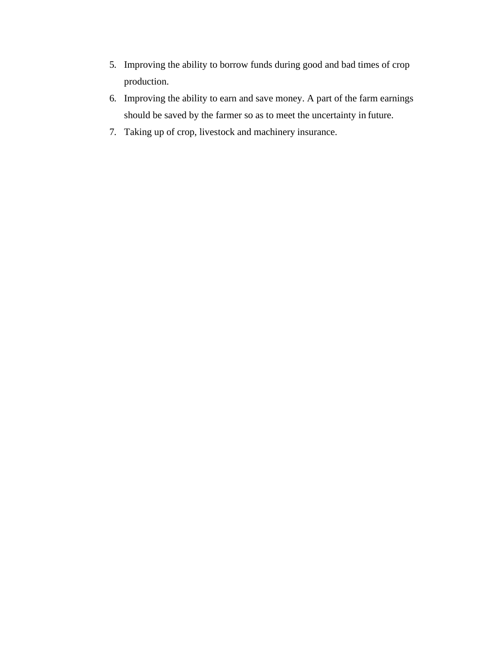- 5. Improving the ability to borrow funds during good and bad times of crop production.
- 6. Improving the ability to earn and save money. A part of the farm earnings should be saved by the farmer so as to meet the uncertainty in future.
- 7. Taking up of crop, livestock and machinery insurance.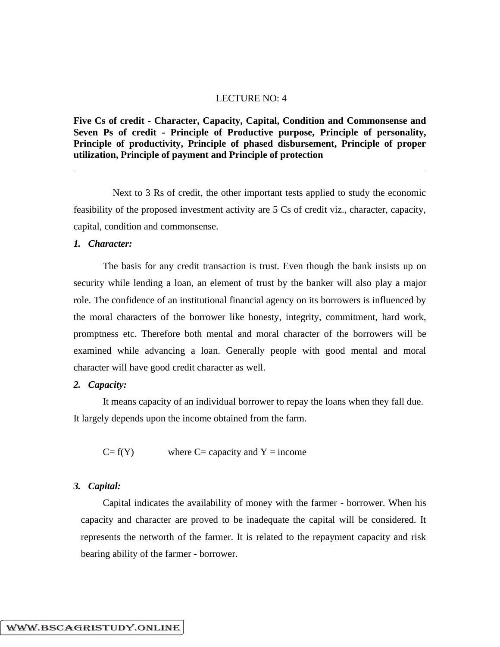### LECTURE NO: 4

**Five Cs of credit - Character, Capacity, Capital, Condition and Commonsense and Seven Ps of credit - Principle of Productive purpose, Principle of personality, Principle of productivity, Principle of phased disbursement, Principle of proper utilization, Principle of payment and Principle of protection**

Next to 3 Rs of credit, the other important tests applied to study the economic feasibility of the proposed investment activity are 5 Cs of credit viz., character, capacity, capital, condition and commonsense.

#### *1. Character:*

The basis for any credit transaction is trust. Even though the bank insists up on security while lending a loan, an element of trust by the banker will also play a major role. The confidence of an institutional financial agency on its borrowers is influenced by the moral characters of the borrower like honesty, integrity, commitment, hard work, promptness etc. Therefore both mental and moral character of the borrowers will be examined while advancing a loan. Generally people with good mental and moral character will have good credit character as well.

#### *2. Capacity:*

It means capacity of an individual borrower to repay the loans when they fall due. It largely depends upon the income obtained from the farm.

 $C = f(Y)$  where  $C =$  capacity and  $Y =$  income

#### *3. Capital:*

Capital indicates the availability of money with the farmer - borrower. When his capacity and character are proved to be inadequate the capital will be considered. It represents the networth of the farmer. It is related to the repayment capacity and risk bearing ability of the farmer - borrower.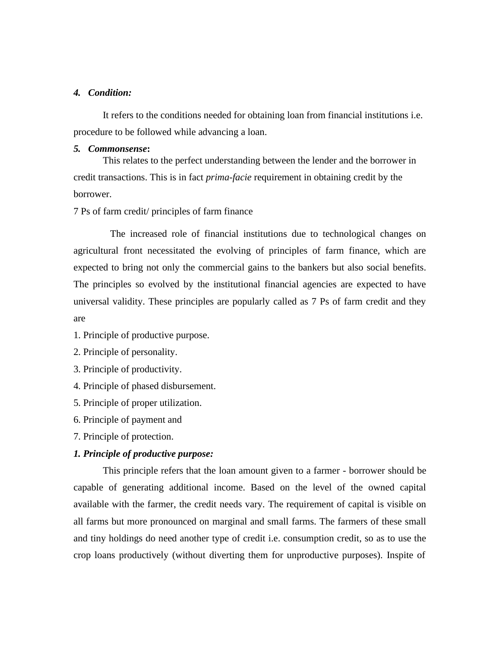#### *4. Condition:*

It refers to the conditions needed for obtaining loan from financial institutions i.e. procedure to be followed while advancing a loan.

#### *5. Commonsense***:**

This relates to the perfect understanding between the lender and the borrower in credit transactions. This is in fact *prima-facie* requirement in obtaining credit by the borrower.

7 Ps of farm credit/ principles of farm finance

The increased role of financial institutions due to technological changes on agricultural front necessitated the evolving of principles of farm finance, which are expected to bring not only the commercial gains to the bankers but also social benefits. The principles so evolved by the institutional financial agencies are expected to have universal validity. These principles are popularly called as 7 Ps of farm credit and they are

- 1. Principle of productive purpose.
- 2. Principle of personality.
- 3. Principle of productivity.
- 4. Principle of phased disbursement.
- 5. Principle of proper utilization.
- 6. Principle of payment and
- 7. Principle of protection.

# *1. Principle of productive purpose:*

This principle refers that the loan amount given to a farmer - borrower should be capable of generating additional income. Based on the level of the owned capital available with the farmer, the credit needs vary. The requirement of capital is visible on all farms but more pronounced on marginal and small farms. The farmers of these small and tiny holdings do need another type of credit i.e. consumption credit, so as to use the crop loans productively (without diverting them for unproductive purposes). Inspite of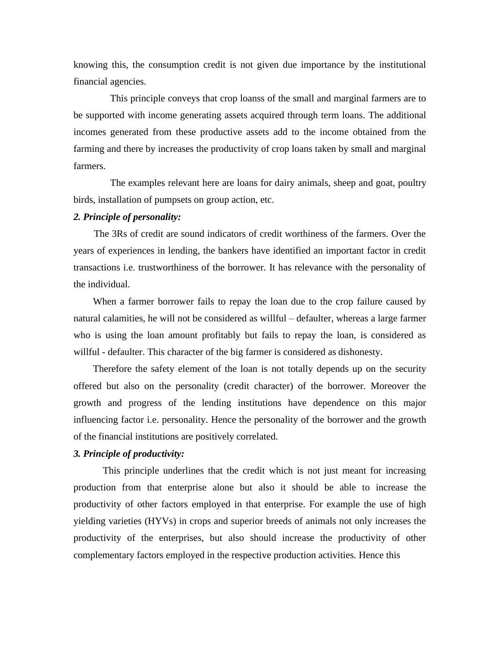knowing this, the consumption credit is not given due importance by the institutional financial agencies.

This principle conveys that crop loanss of the small and marginal farmers are to be supported with income generating assets acquired through term loans. The additional incomes generated from these productive assets add to the income obtained from the farming and there by increases the productivity of crop loans taken by small and marginal farmers.

The examples relevant here are loans for dairy animals, sheep and goat, poultry birds, installation of pumpsets on group action, etc.

### *2. Principle of personality:*

The 3Rs of credit are sound indicators of credit worthiness of the farmers. Over the years of experiences in lending, the bankers have identified an important factor in credit transactions i.e. trustworthiness of the borrower. It has relevance with the personality of the individual.

When a farmer borrower fails to repay the loan due to the crop failure caused by natural calamities, he will not be considered as willful – defaulter, whereas a large farmer who is using the loan amount profitably but fails to repay the loan, is considered as willful - defaulter. This character of the big farmer is considered as dishonesty.

Therefore the safety element of the loan is not totally depends up on the security offered but also on the personality (credit character) of the borrower. Moreover the growth and progress of the lending institutions have dependence on this major influencing factor i.e. personality. Hence the personality of the borrower and the growth of the financial institutions are positively correlated.

## *3. Principle of productivity:*

This principle underlines that the credit which is not just meant for increasing production from that enterprise alone but also it should be able to increase the productivity of other factors employed in that enterprise. For example the use of high yielding varieties (HYVs) in crops and superior breeds of animals not only increases the productivity of the enterprises, but also should increase the productivity of other complementary factors employed in the respective production activities. Hence this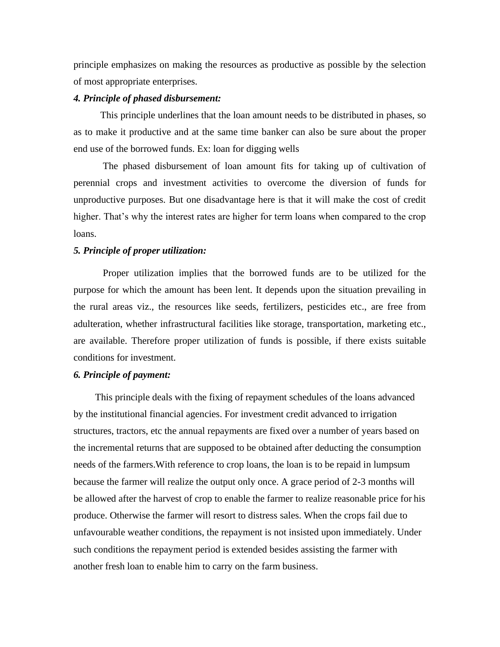principle emphasizes on making the resources as productive as possible by the selection of most appropriate enterprises.

#### *4. Principle of phased disbursement:*

This principle underlines that the loan amount needs to be distributed in phases, so as to make it productive and at the same time banker can also be sure about the proper end use of the borrowed funds. Ex: loan for digging wells

The phased disbursement of loan amount fits for taking up of cultivation of perennial crops and investment activities to overcome the diversion of funds for unproductive purposes. But one disadvantage here is that it will make the cost of credit higher. That's why the interest rates are higher for term loans when compared to the crop loans.

#### *5. Principle of proper utilization:*

Proper utilization implies that the borrowed funds are to be utilized for the purpose for which the amount has been lent. It depends upon the situation prevailing in the rural areas viz., the resources like seeds, fertilizers, pesticides etc., are free from adulteration, whether infrastructural facilities like storage, transportation, marketing etc., are available. Therefore proper utilization of funds is possible, if there exists suitable conditions for investment.

## *6. Principle of payment:*

This principle deals with the fixing of repayment schedules of the loans advanced by the institutional financial agencies. For investment credit advanced to irrigation structures, tractors, etc the annual repayments are fixed over a number of years based on the incremental returns that are supposed to be obtained after deducting the consumption needs of the farmers.With reference to crop loans, the loan is to be repaid in lumpsum because the farmer will realize the output only once. A grace period of 2-3 months will be allowed after the harvest of crop to enable the farmer to realize reasonable price for his produce. Otherwise the farmer will resort to distress sales. When the crops fail due to unfavourable weather conditions, the repayment is not insisted upon immediately. Under such conditions the repayment period is extended besides assisting the farmer with another fresh loan to enable him to carry on the farm business.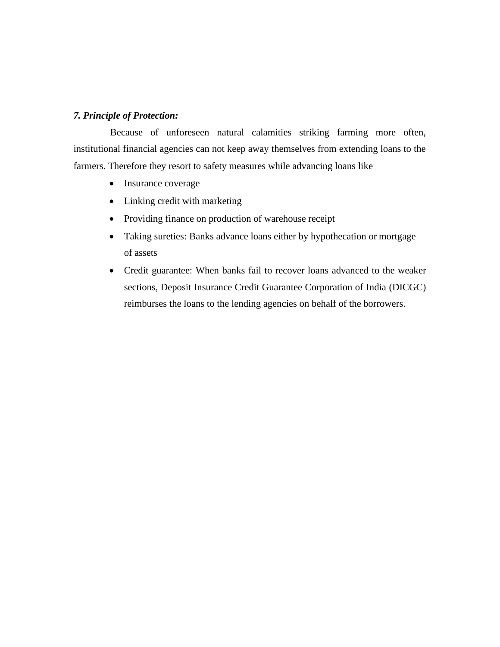# *7. Principle of Protection:*

Because of unforeseen natural calamities striking farming more often, institutional financial agencies can not keep away themselves from extending loans to the farmers. Therefore they resort to safety measures while advancing loans like

- Insurance coverage
- Linking credit with marketing
- Providing finance on production of warehouse receipt
- Taking sureties: Banks advance loans either by hypothecation or mortgage of assets
- Credit guarantee: When banks fail to recover loans advanced to the weaker sections, Deposit Insurance Credit Guarantee Corporation of India (DICGC) reimburses the loans to the lending agencies on behalf of the borrowers.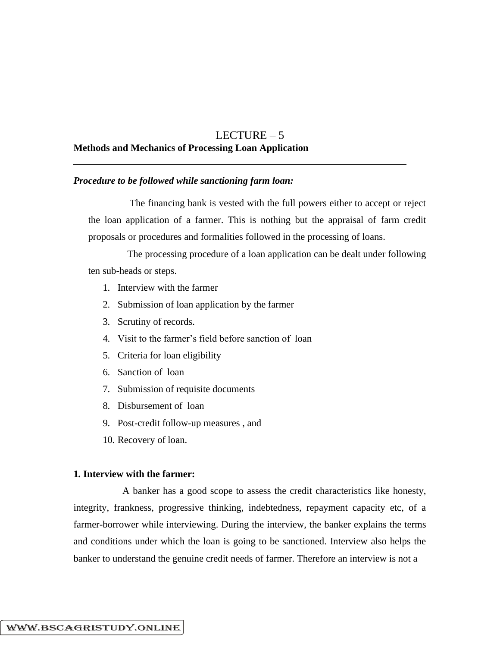# LECTURE – 5 **Methods and Mechanics of Processing Loan Application**

#### *Procedure to be followed while sanctioning farm loan:*

The financing bank is vested with the full powers either to accept or reject the loan application of a farmer. This is nothing but the appraisal of farm credit proposals or procedures and formalities followed in the processing of loans.

The processing procedure of a loan application can be dealt under following ten sub-heads or steps.

- 1. Interview with the farmer
- 2. Submission of loan application by the farmer
- 3. Scrutiny of records.
- 4. Visit to the farmer's field before sanction of loan
- 5. Criteria for loan eligibility
- 6. Sanction of loan
- 7. Submission of requisite documents
- 8. Disbursement of loan
- 9. Post-credit follow-up measures , and
- 10. Recovery of loan.

## **1. Interview with the farmer:**

A banker has a good scope to assess the credit characteristics like honesty, integrity, frankness, progressive thinking, indebtedness, repayment capacity etc, of a farmer-borrower while interviewing. During the interview, the banker explains the terms and conditions under which the loan is going to be sanctioned. Interview also helps the banker to understand the genuine credit needs of farmer. Therefore an interview is not a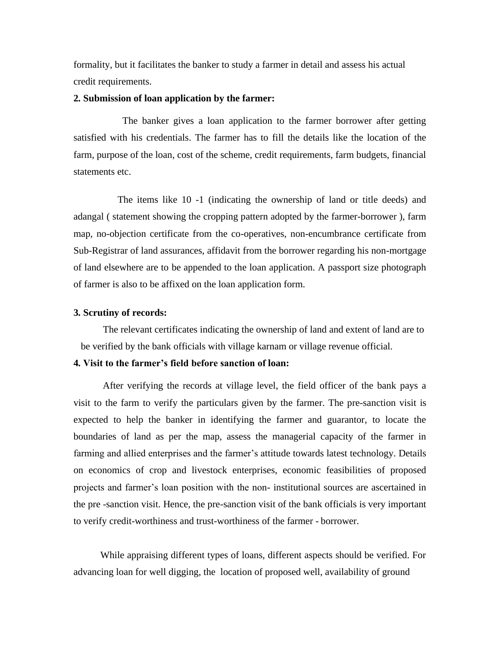formality, but it facilitates the banker to study a farmer in detail and assess his actual credit requirements.

#### **2. Submission of loan application by the farmer:**

The banker gives a loan application to the farmer borrower after getting satisfied with his credentials. The farmer has to fill the details like the location of the farm, purpose of the loan, cost of the scheme, credit requirements, farm budgets, financial statements etc.

The items like 10 -1 (indicating the ownership of land or title deeds) and adangal ( statement showing the cropping pattern adopted by the farmer-borrower ), farm map, no-objection certificate from the co-operatives, non-encumbrance certificate from Sub-Registrar of land assurances, affidavit from the borrower regarding his non-mortgage of land elsewhere are to be appended to the loan application. A passport size photograph of farmer is also to be affixed on the loan application form.

#### **3. Scrutiny of records:**

The relevant certificates indicating the ownership of land and extent of land are to be verified by the bank officials with village karnam or village revenue official.

#### **4. Visit to the farmer's field before sanction of loan:**

After verifying the records at village level, the field officer of the bank pays a visit to the farm to verify the particulars given by the farmer. The pre-sanction visit is expected to help the banker in identifying the farmer and guarantor, to locate the boundaries of land as per the map, assess the managerial capacity of the farmer in farming and allied enterprises and the farmer's attitude towards latest technology. Details on economics of crop and livestock enterprises, economic feasibilities of proposed projects and farmer's loan position with the non- institutional sources are ascertained in the pre -sanction visit. Hence, the pre-sanction visit of the bank officials is very important to verify credit-worthiness and trust-worthiness of the farmer - borrower.

While appraising different types of loans, different aspects should be verified. For advancing loan for well digging, the location of proposed well, availability of ground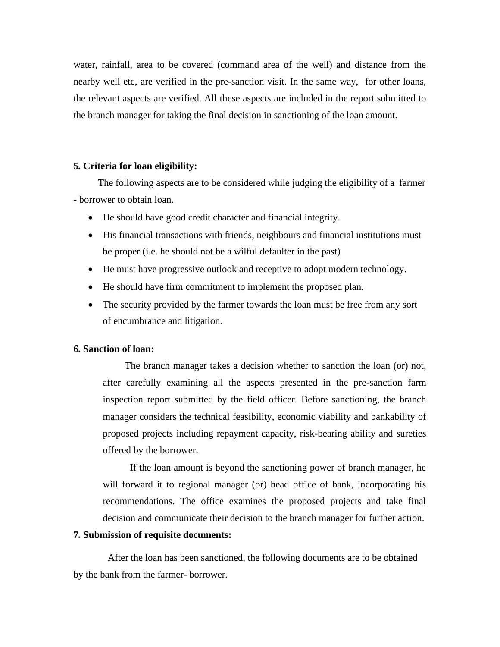water, rainfall, area to be covered (command area of the well) and distance from the nearby well etc, are verified in the pre-sanction visit. In the same way, for other loans, the relevant aspects are verified. All these aspects are included in the report submitted to the branch manager for taking the final decision in sanctioning of the loan amount.

#### **5. Criteria for loan eligibility:**

The following aspects are to be considered while judging the eligibility of a farmer - borrower to obtain loan.

- He should have good credit character and financial integrity.
- His financial transactions with friends, neighbours and financial institutions must be proper (i.e. he should not be a wilful defaulter in the past)
- He must have progressive outlook and receptive to adopt modern technology.
- He should have firm commitment to implement the proposed plan.
- The security provided by the farmer towards the loan must be free from any sort of encumbrance and litigation.

## **6. Sanction of loan:**

The branch manager takes a decision whether to sanction the loan (or) not, after carefully examining all the aspects presented in the pre-sanction farm inspection report submitted by the field officer. Before sanctioning, the branch manager considers the technical feasibility, economic viability and bankability of proposed projects including repayment capacity, risk-bearing ability and sureties offered by the borrower.

If the loan amount is beyond the sanctioning power of branch manager, he will forward it to regional manager (or) head office of bank, incorporating his recommendations. The office examines the proposed projects and take final decision and communicate their decision to the branch manager for further action.

#### **7. Submission of requisite documents:**

After the loan has been sanctioned, the following documents are to be obtained by the bank from the farmer- borrower.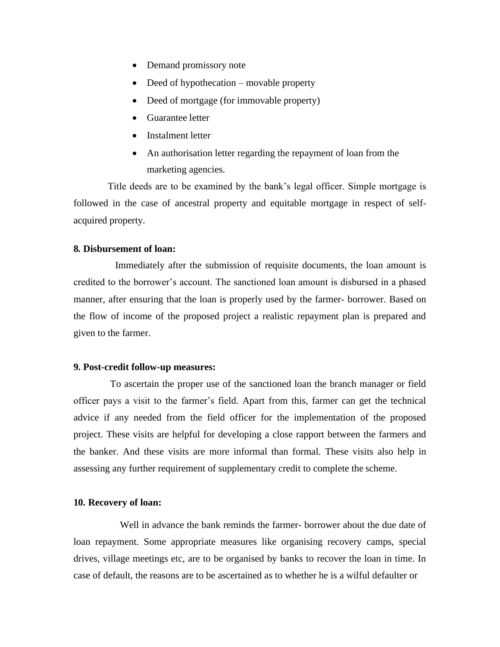- Demand promissory note
- Deed of hypothecation movable property
- Deed of mortgage (for immovable property)
- Guarantee letter
- Instalment letter
- An authorisation letter regarding the repayment of loan from the marketing agencies.

Title deeds are to be examined by the bank's legal officer. Simple mortgage is followed in the case of ancestral property and equitable mortgage in respect of selfacquired property.

### **8. Disbursement of loan:**

Immediately after the submission of requisite documents, the loan amount is credited to the borrower's account. The sanctioned loan amount is disbursed in a phased manner, after ensuring that the loan is properly used by the farmer- borrower. Based on the flow of income of the proposed project a realistic repayment plan is prepared and given to the farmer.

#### **9. Post-credit follow-up measures:**

To ascertain the proper use of the sanctioned loan the branch manager or field officer pays a visit to the farmer's field. Apart from this, farmer can get the technical advice if any needed from the field officer for the implementation of the proposed project. These visits are helpful for developing a close rapport between the farmers and the banker. And these visits are more informal than formal. These visits also help in assessing any further requirement of supplementary credit to complete the scheme.

#### **10. Recovery of loan:**

Well in advance the bank reminds the farmer- borrower about the due date of loan repayment. Some appropriate measures like organising recovery camps, special drives, village meetings etc, are to be organised by banks to recover the loan in time. In case of default, the reasons are to be ascertained as to whether he is a wilful defaulter or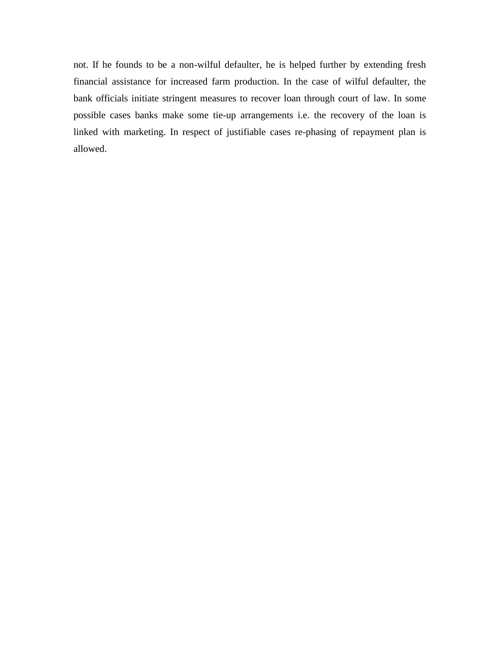not. If he founds to be a non-wilful defaulter, he is helped further by extending fresh financial assistance for increased farm production. In the case of wilful defaulter, the bank officials initiate stringent measures to recover loan through court of law. In some possible cases banks make some tie-up arrangements i.e. the recovery of the loan is linked with marketing. In respect of justifiable cases re-phasing of repayment plan is allowed.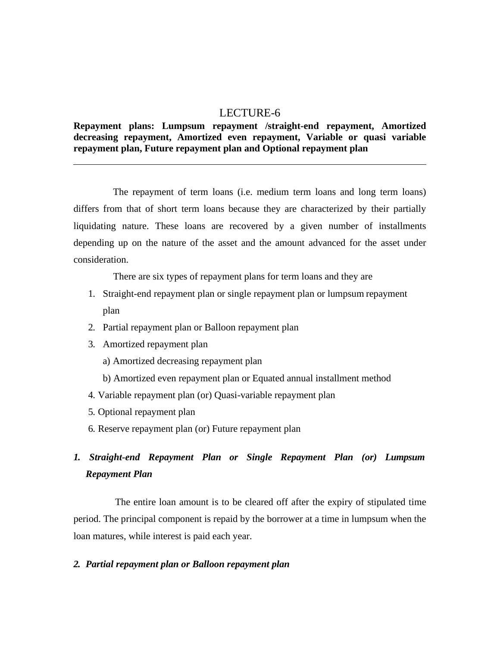# LECTURE-6

## **Repayment plans: Lumpsum repayment /straight-end repayment, Amortized decreasing repayment, Amortized even repayment, Variable or quasi variable repayment plan, Future repayment plan and Optional repayment plan**

The repayment of term loans (i.e. medium term loans and long term loans) differs from that of short term loans because they are characterized by their partially liquidating nature. These loans are recovered by a given number of installments depending up on the nature of the asset and the amount advanced for the asset under consideration.

There are six types of repayment plans for term loans and they are

- 1. Straight-end repayment plan or single repayment plan or lumpsum repayment plan
- 2. Partial repayment plan or Balloon repayment plan
- 3. Amortized repayment plan
	- a) Amortized decreasing repayment plan
	- b) Amortized even repayment plan or Equated annual installment method
- 4. Variable repayment plan (or) Quasi-variable repayment plan
- 5. Optional repayment plan
- 6. Reserve repayment plan (or) Future repayment plan

# *1. Straight-end Repayment Plan or Single Repayment Plan (or) Lumpsum Repayment Plan*

The entire loan amount is to be cleared off after the expiry of stipulated time period. The principal component is repaid by the borrower at a time in lumpsum when the loan matures, while interest is paid each year.

## *2. Partial repayment plan or Balloon repayment plan*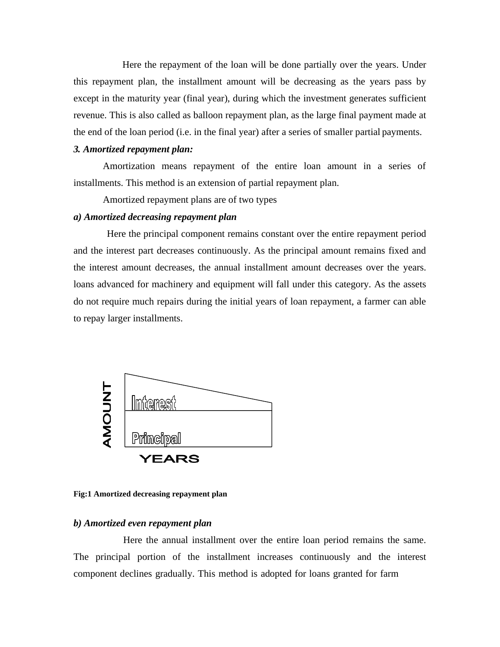Here the repayment of the loan will be done partially over the years. Under this repayment plan, the installment amount will be decreasing as the years pass by except in the maturity year (final year), during which the investment generates sufficient revenue. This is also called as balloon repayment plan, as the large final payment made at the end of the loan period (i.e. in the final year) after a series of smaller partial payments.

## *3. Amortized repayment plan:*

Amortization means repayment of the entire loan amount in a series of installments. This method is an extension of partial repayment plan.

Amortized repayment plans are of two types

### *a) Amortized decreasing repayment plan*

Here the principal component remains constant over the entire repayment period and the interest part decreases continuously. As the principal amount remains fixed and the interest amount decreases, the annual installment amount decreases over the years. loans advanced for machinery and equipment will fall under this category. As the assets do not require much repairs during the initial years of loan repayment, a farmer can able to repay larger installments.



#### **Fig:1 Amortized decreasing repayment plan**

### *b) Amortized even repayment plan*

Here the annual installment over the entire loan period remains the same. The principal portion of the installment increases continuously and the interest component declines gradually. This method is adopted for loans granted for farm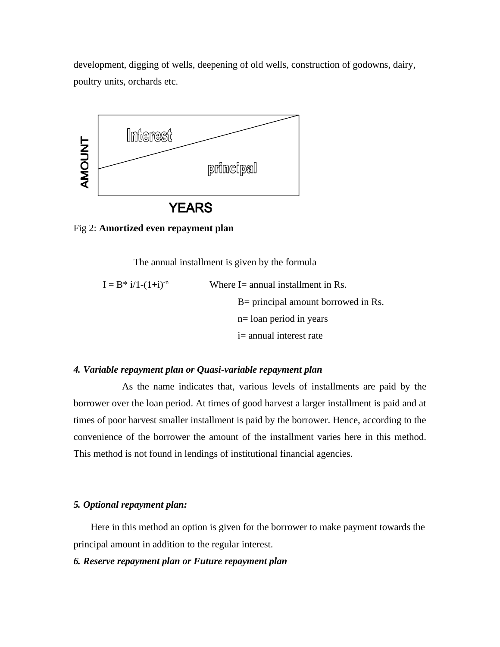development, digging of wells, deepening of old wells, construction of godowns, dairy, poultry units, orchards etc.



#### Fig 2: **Amortized even repayment plan**

The annual installment is given by the formula

$$
I = B^* i/1-(1+i)^{-n}
$$
 Where I= annual installment in Rs.  
\n
$$
B= principal amount borrowed in Rs.
$$
  
\n
$$
n= loan period in years
$$
  
\n
$$
i= annual interest rate
$$

#### *4. Variable repayment plan or Quasi-variable repayment plan*

As the name indicates that, various levels of installments are paid by the borrower over the loan period. At times of good harvest a larger installment is paid and at times of poor harvest smaller installment is paid by the borrower. Hence, according to the convenience of the borrower the amount of the installment varies here in this method. This method is not found in lendings of institutional financial agencies.

#### *5. Optional repayment plan:*

Here in this method an option is given for the borrower to make payment towards the principal amount in addition to the regular interest.

## *6. Reserve repayment plan or Future repayment plan*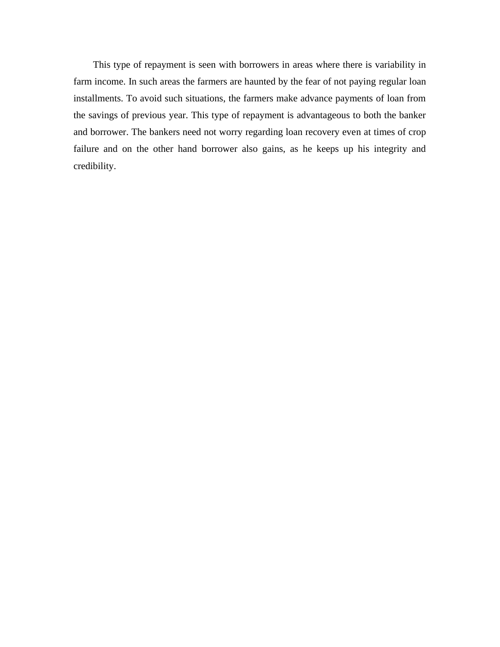This type of repayment is seen with borrowers in areas where there is variability in farm income. In such areas the farmers are haunted by the fear of not paying regular loan installments. To avoid such situations, the farmers make advance payments of loan from the savings of previous year. This type of repayment is advantageous to both the banker and borrower. The bankers need not worry regarding loan recovery even at times of crop failure and on the other hand borrower also gains, as he keeps up his integrity and credibility.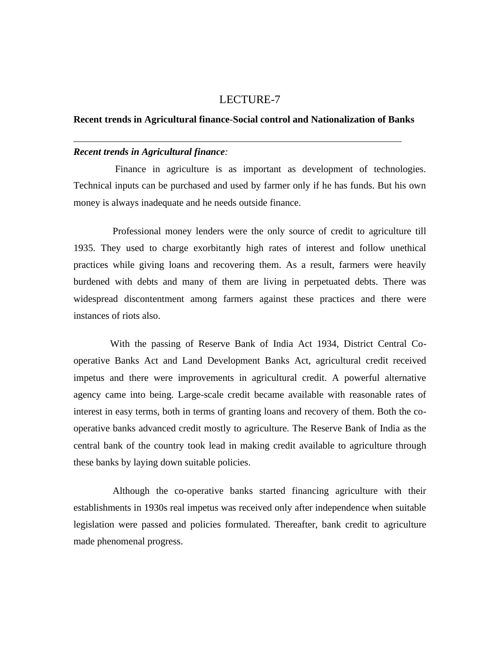# LECTURE-7

### **Recent trends in Agricultural finance***-***Social control and Nationalization of Banks**

#### *Recent trends in Agricultural finance:*

Finance in agriculture is as important as development of technologies. Technical inputs can be purchased and used by farmer only if he has funds. But his own money is always inadequate and he needs outside finance.

Professional money lenders were the only source of credit to agriculture till 1935. They used to charge exorbitantly high rates of interest and follow unethical practices while giving loans and recovering them. As a result, farmers were heavily burdened with debts and many of them are living in perpetuated debts. There was widespread discontentment among farmers against these practices and there were instances of riots also.

With the passing of Reserve Bank of India Act 1934, District Central Cooperative Banks Act and Land Development Banks Act, agricultural credit received impetus and there were improvements in agricultural credit. A powerful alternative agency came into being. Large-scale credit became available with reasonable rates of interest in easy terms, both in terms of granting loans and recovery of them. Both the cooperative banks advanced credit mostly to agriculture. The Reserve Bank of India as the central bank of the country took lead in making credit available to agriculture through these banks by laying down suitable policies.

Although the co-operative banks started financing agriculture with their establishments in 1930s real impetus was received only after independence when suitable legislation were passed and policies formulated. Thereafter, bank credit to agriculture made phenomenal progress.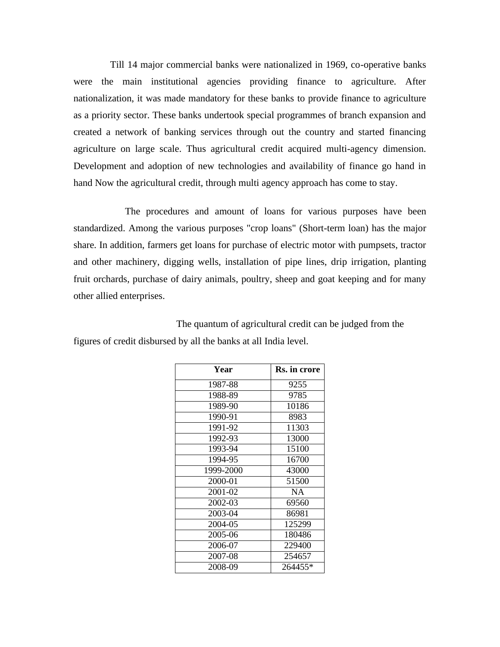Till 14 major commercial banks were nationalized in 1969, co-operative banks were the main institutional agencies providing finance to agriculture. After nationalization, it was made mandatory for these banks to provide finance to agriculture as a priority sector. These banks undertook special programmes of branch expansion and created a network of banking services through out the country and started financing agriculture on large scale. Thus agricultural credit acquired multi-agency dimension. Development and adoption of new technologies and availability of finance go hand in hand Now the agricultural credit, through multi agency approach has come to stay.

The procedures and amount of loans for various purposes have been standardized. Among the various purposes "crop loans" (Short-term loan) has the major share. In addition, farmers get loans for purchase of electric motor with pumpsets, tractor and other machinery, digging wells, installation of pipe lines, drip irrigation, planting fruit orchards, purchase of dairy animals, poultry, sheep and goat keeping and for many other allied enterprises.

The quantum of agricultural credit can be judged from the figures of credit disbursed by all the banks at all India level.

| Year      | Rs. in crore |  |  |  |
|-----------|--------------|--|--|--|
| 1987-88   | 9255         |  |  |  |
| 1988-89   | 9785         |  |  |  |
| 1989-90   | 10186        |  |  |  |
| 1990-91   | 8983         |  |  |  |
| 1991-92   | 11303        |  |  |  |
| 1992-93   | 13000        |  |  |  |
| 1993-94   | 15100        |  |  |  |
| 1994-95   | 16700        |  |  |  |
| 1999-2000 | 43000        |  |  |  |
| 2000-01   | 51500        |  |  |  |
| 2001-02   | <b>NA</b>    |  |  |  |
| 2002-03   | 69560        |  |  |  |
| 2003-04   | 86981        |  |  |  |
| 2004-05   | 125299       |  |  |  |
| 2005-06   | 180486       |  |  |  |
| 2006-07   | 229400       |  |  |  |
| 2007-08   | 254657       |  |  |  |
| 2008-09   | 264455*      |  |  |  |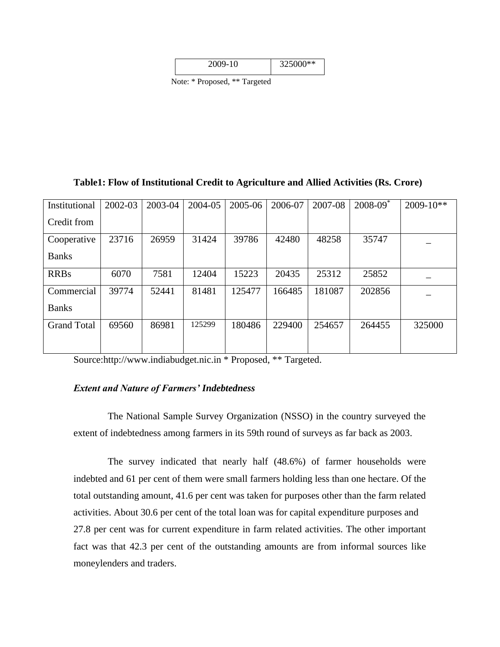|  | 25000**<br>$\boldsymbol{0}$<br>⌒ |
|--|----------------------------------|
|--|----------------------------------|

Note: \* Proposed, \*\* Targeted

## **Table1: Flow of Institutional Credit to Agriculture and Allied Activities (Rs. Crore)**

| Institutional      | 2002-03 | 2003-04 | 2004-05 | 2005-06 | 2006-07 | 2007-08 | $2008 - 09^*$ | $2009 - 10**$ |
|--------------------|---------|---------|---------|---------|---------|---------|---------------|---------------|
| Credit from        |         |         |         |         |         |         |               |               |
| Cooperative        | 23716   | 26959   | 31424   | 39786   | 42480   | 48258   | 35747         |               |
| <b>Banks</b>       |         |         |         |         |         |         |               |               |
| <b>RRBs</b>        | 6070    | 7581    | 12404   | 15223   | 20435   | 25312   | 25852         |               |
| Commercial         | 39774   | 52441   | 81481   | 125477  | 166485  | 181087  | 202856        |               |
| <b>Banks</b>       |         |         |         |         |         |         |               |               |
| <b>Grand Total</b> | 69560   | 86981   | 125299  | 180486  | 229400  | 254657  | 264455        | 325000        |
|                    |         |         |         |         |         |         |               |               |

Sourc[e:http://www.indiabudget.nic.in](http://www.indiabudget.nic.in/) \* Proposed, \*\* Targeted.

## *Extent and Nature of Farmers' Indebtedness*

The National Sample Survey Organization (NSSO) in the country surveyed the extent of indebtedness among farmers in its 59th round of surveys as far back as 2003.

The survey indicated that nearly half (48.6%) of farmer households were indebted and 61 per cent of them were small farmers holding less than one hectare. Of the total outstanding amount, 41.6 per cent was taken for purposes other than the farm related activities. About 30.6 per cent of the total loan was for capital expenditure purposes and 27.8 per cent was for current expenditure in farm related activities. The other important fact was that 42.3 per cent of the outstanding amounts are from informal sources like moneylenders and traders.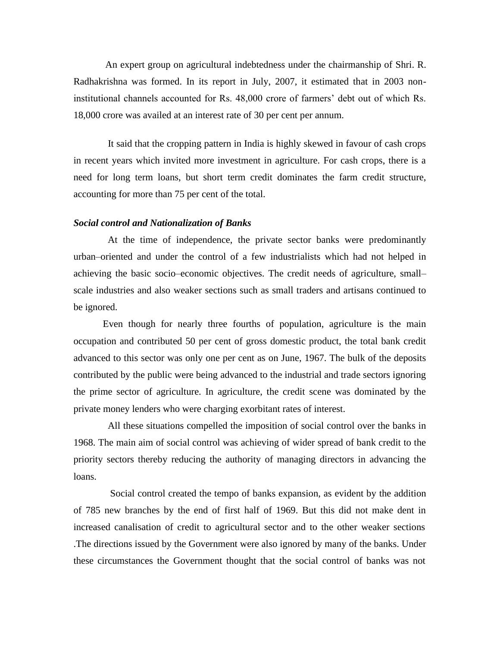An expert group on agricultural indebtedness under the chairmanship of Shri. R. Radhakrishna was formed. In its report in July, 2007, it estimated that in 2003 noninstitutional channels accounted for Rs. 48,000 crore of farmers' debt out of which Rs. 18,000 crore was availed at an interest rate of 30 per cent per annum.

It said that the cropping pattern in India is highly skewed in favour of cash crops in recent years which invited more investment in agriculture. For cash crops, there is a need for long term loans, but short term credit dominates the farm credit structure, accounting for more than 75 per cent of the total.

#### *Social control and Nationalization of Banks*

At the time of independence, the private sector banks were predominantly urban–oriented and under the control of a few industrialists which had not helped in achieving the basic socio–economic objectives. The credit needs of agriculture, small– scale industries and also weaker sections such as small traders and artisans continued to be ignored.

Even though for nearly three fourths of population, agriculture is the main occupation and contributed 50 per cent of gross domestic product, the total bank credit advanced to this sector was only one per cent as on June, 1967. The bulk of the deposits contributed by the public were being advanced to the industrial and trade sectors ignoring the prime sector of agriculture. In agriculture, the credit scene was dominated by the private money lenders who were charging exorbitant rates of interest.

All these situations compelled the imposition of social control over the banks in 1968. The main aim of social control was achieving of wider spread of bank credit to the priority sectors thereby reducing the authority of managing directors in advancing the loans.

Social control created the tempo of banks expansion, as evident by the addition of 785 new branches by the end of first half of 1969. But this did not make dent in increased canalisation of credit to agricultural sector and to the other weaker sections .The directions issued by the Government were also ignored by many of the banks. Under these circumstances the Government thought that the social control of banks was not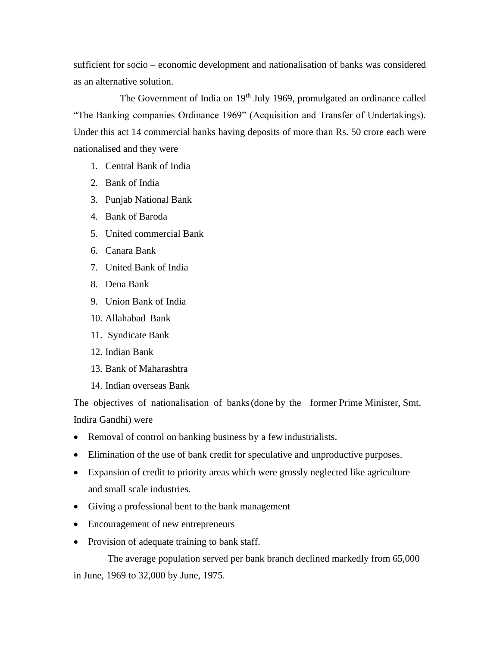sufficient for socio – economic development and nationalisation of banks was considered as an alternative solution.

The Government of India on 19<sup>th</sup> July 1969, promulgated an ordinance called "The Banking companies Ordinance 1969" (Acquisition and Transfer of Undertakings). Under this act 14 commercial banks having deposits of more than Rs. 50 crore each were nationalised and they were

- 1. Central Bank of India
- 2. Bank of India
- 3. Punjab National Bank
- 4. Bank of Baroda
- 5. United commercial Bank
- 6. Canara Bank
- 7. United Bank of India
- 8. Dena Bank
- 9. Union Bank of India
- 10. Allahabad Bank
- 11. Syndicate Bank
- 12. Indian Bank
- 13. Bank of Maharashtra
- 14. Indian overseas Bank

The objectives of nationalisation of banks(done by the former Prime Minister, Smt. Indira Gandhi) were

- Removal of control on banking business by a few industrialists.
- Elimination of the use of bank credit for speculative and unproductive purposes.
- Expansion of credit to priority areas which were grossly neglected like agriculture and small scale industries.
- Giving a professional bent to the bank management
- Encouragement of new entrepreneurs
- Provision of adequate training to bank staff.

The average population served per bank branch declined markedly from 65,000 in June, 1969 to 32,000 by June, 1975.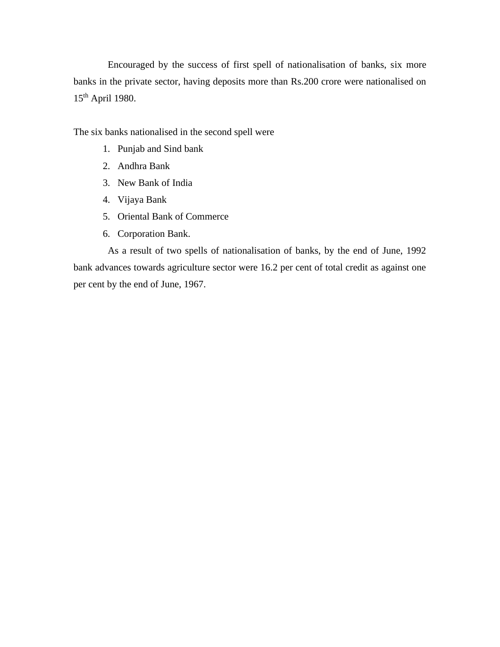Encouraged by the success of first spell of nationalisation of banks, six more banks in the private sector, having deposits more than Rs.200 crore were nationalised on 15th April 1980.

The six banks nationalised in the second spell were

- 1. Punjab and Sind bank
- 2. Andhra Bank
- 3. New Bank of India
- 4. Vijaya Bank
- 5. Oriental Bank of Commerce
- 6. Corporation Bank.

As a result of two spells of nationalisation of banks, by the end of June, 1992 bank advances towards agriculture sector were 16.2 per cent of total credit as against one per cent by the end of June, 1967.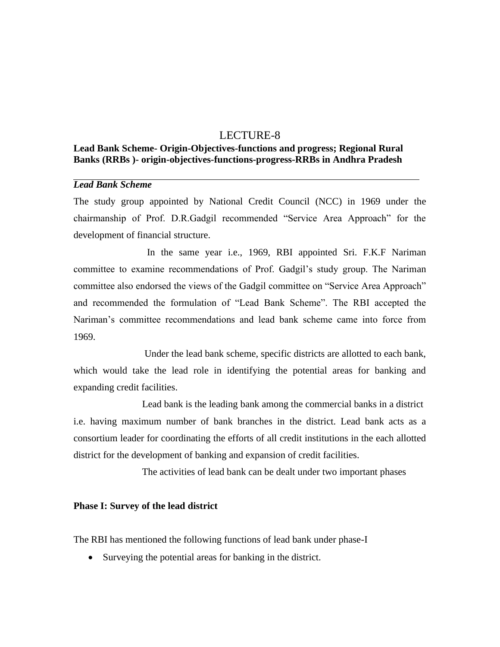# LECTURE-8

# **Lead Bank Scheme- Origin-Objectives-functions and progress; Regional Rural Banks (RRBs )- origin-objectives-functions-progress-RRBs in Andhra Pradesh**

## *Lead Bank Scheme*

The study group appointed by National Credit Council (NCC) in 1969 under the chairmanship of Prof. D.R.Gadgil recommended "Service Area Approach" for the development of financial structure.

In the same year i.e., 1969, RBI appointed Sri. F.K.F Nariman committee to examine recommendations of Prof. Gadgil's study group. The Nariman committee also endorsed the views of the Gadgil committee on "Service Area Approach" and recommended the formulation of "Lead Bank Scheme". The RBI accepted the Nariman's committee recommendations and lead bank scheme came into force from 1969.

Under the lead bank scheme, specific districts are allotted to each bank, which would take the lead role in identifying the potential areas for banking and expanding credit facilities.

Lead bank is the leading bank among the commercial banks in a district i.e. having maximum number of bank branches in the district. Lead bank acts as a consortium leader for coordinating the efforts of all credit institutions in the each allotted district for the development of banking and expansion of credit facilities.

The activities of lead bank can be dealt under two important phases

#### **Phase I: Survey of the lead district**

The RBI has mentioned the following functions of lead bank under phase-I

• Surveying the potential areas for banking in the district.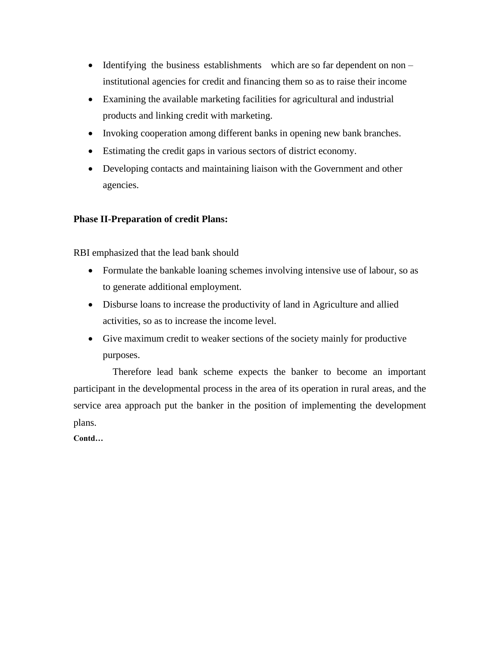- Identifying the business establishments which are so far dependent on non institutional agencies for credit and financing them so as to raise their income
- Examining the available marketing facilities for agricultural and industrial products and linking credit with marketing.
- Invoking cooperation among different banks in opening new bank branches.
- Estimating the credit gaps in various sectors of district economy.
- Developing contacts and maintaining liaison with the Government and other agencies.

# **Phase II-Preparation of credit Plans:**

RBI emphasized that the lead bank should

- Formulate the bankable loaning schemes involving intensive use of labour, so as to generate additional employment.
- Disburse loans to increase the productivity of land in Agriculture and allied activities, so as to increase the income level.
- Give maximum credit to weaker sections of the society mainly for productive purposes.

Therefore lead bank scheme expects the banker to become an important participant in the developmental process in the area of its operation in rural areas, and the service area approach put the banker in the position of implementing the development plans.

**Contd…**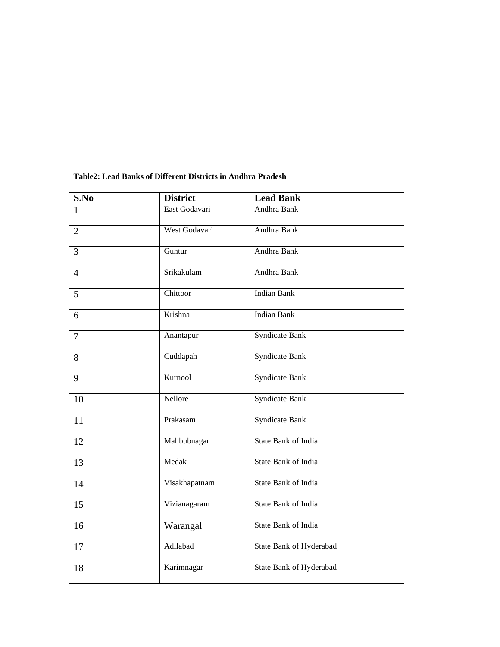| S.No           | <b>District</b><br><b>Lead Bank</b> |                            |
|----------------|-------------------------------------|----------------------------|
| $\mathbf{1}$   | East Godavari                       | Andhra Bank                |
| $\overline{2}$ | West Godavari                       | Andhra Bank                |
| 3              | Guntur                              | Andhra Bank                |
| $\overline{4}$ | Srikakulam                          | Andhra Bank                |
| 5              | Chittoor                            | <b>Indian Bank</b>         |
| 6              | Krishna                             | <b>Indian Bank</b>         |
| $\overline{7}$ | Anantapur                           | <b>Syndicate Bank</b>      |
| 8              | Cuddapah                            | <b>Syndicate Bank</b>      |
| 9              | Kurnool                             | <b>Syndicate Bank</b>      |
| 10             | Nellore                             | <b>Syndicate Bank</b>      |
| 11             | Prakasam                            | <b>Syndicate Bank</b>      |
| 12             | Mahbubnagar                         | <b>State Bank of India</b> |
| 13             | Medak                               | <b>State Bank of India</b> |
| 14             | Visakhapatnam                       | State Bank of India        |
| 15             | Vizianagaram                        | State Bank of India        |
| 16             | Warangal                            | State Bank of India        |
| 17             | Adilabad                            | State Bank of Hyderabad    |
| 18             | Karimnagar                          | State Bank of Hyderabad    |

### **Table2: Lead Banks of Different Districts in Andhra Pradesh**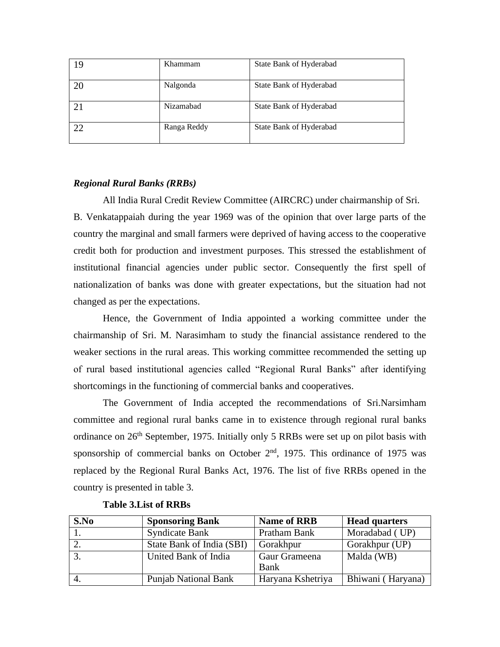| 19 | Khammam     | State Bank of Hyderabad |
|----|-------------|-------------------------|
| 20 | Nalgonda    | State Bank of Hyderabad |
| 21 | Nizamabad   | State Bank of Hyderabad |
| 22 | Ranga Reddy | State Bank of Hyderabad |

# *Regional Rural Banks (RRBs)*

All India Rural Credit Review Committee (AIRCRC) under chairmanship of Sri. B. Venkatappaiah during the year 1969 was of the opinion that over large parts of the country the marginal and small farmers were deprived of having access to the cooperative credit both for production and investment purposes. This stressed the establishment of institutional financial agencies under public sector. Consequently the first spell of nationalization of banks was done with greater expectations, but the situation had not changed as per the expectations.

Hence, the Government of India appointed a working committee under the chairmanship of Sri. M. Narasimham to study the financial assistance rendered to the weaker sections in the rural areas. This working committee recommended the setting up of rural based institutional agencies called "Regional Rural Banks" after identifying shortcomings in the functioning of commercial banks and cooperatives.

The Government of India accepted the recommendations of Sri.Narsimham committee and regional rural banks came in to existence through regional rural banks ordinance on  $26<sup>th</sup>$  September, 1975. Initially only 5 RRBs were set up on pilot basis with sponsorship of commercial banks on October  $2<sup>nd</sup>$ , 1975. This ordinance of 1975 was replaced by the Regional Rural Banks Act, 1976. The list of five RRBs opened in the country is presented in table 3.

| S.No             | <b>Sponsoring Bank</b>      | <b>Name of RRB</b>    | <b>Head quarters</b> |
|------------------|-----------------------------|-----------------------|----------------------|
|                  | <b>Syndicate Bank</b>       | Pratham Bank          | Moradabad (UP)       |
|                  | State Bank of India (SBI)   | Gorakhpur             | Gorakhpur (UP)       |
| $\overline{3}$ . | United Bank of India        | Gaur Grameena<br>Bank | Malda (WB)           |
| $\overline{4}$ . | <b>Punjab National Bank</b> | Haryana Kshetriya     | Bhiwani (Haryana)    |

#### **Table 3.List of RRBs**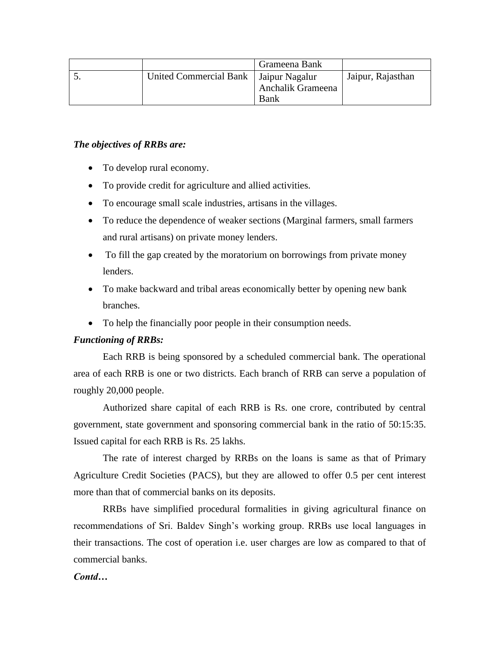|                                         | Grameena Bank     |                   |
|-----------------------------------------|-------------------|-------------------|
| United Commercial Bank   Jaipur Nagalur |                   | Jaipur, Rajasthan |
|                                         | Anchalik Grameena |                   |
|                                         | <b>Bank</b>       |                   |

# *The objectives of RRBs are:*

- To develop rural economy.
- To provide credit for agriculture and allied activities.
- To encourage small scale industries, artisans in the villages.
- To reduce the dependence of weaker sections (Marginal farmers, small farmers and rural artisans) on private money lenders.
- To fill the gap created by the moratorium on borrowings from private money lenders.
- To make backward and tribal areas economically better by opening new bank branches.
- To help the financially poor people in their consumption needs.

# *Functioning of RRBs:*

Each RRB is being sponsored by a scheduled commercial bank. The operational area of each RRB is one or two districts. Each branch of RRB can serve a population of roughly 20,000 people.

Authorized share capital of each RRB is Rs. one crore, contributed by central government, state government and sponsoring commercial bank in the ratio of 50:15:35. Issued capital for each RRB is Rs. 25 lakhs.

The rate of interest charged by RRBs on the loans is same as that of Primary Agriculture Credit Societies (PACS), but they are allowed to offer 0.5 per cent interest more than that of commercial banks on its deposits.

RRBs have simplified procedural formalities in giving agricultural finance on recommendations of Sri. Baldev Singh's working group. RRBs use local languages in their transactions. The cost of operation i.e. user charges are low as compared to that of commercial banks.

# *Contd…*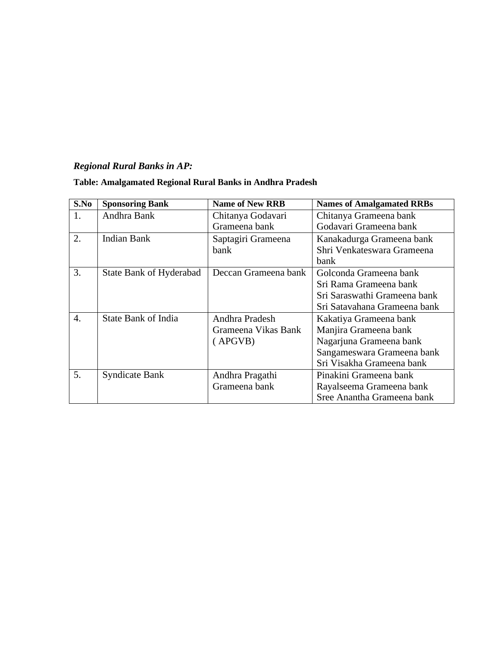# *Regional Rural Banks in AP:*

| S.No             | <b>Sponsoring Bank</b>     | <b>Name of New RRB</b> | <b>Names of Amalgamated RRBs</b> |  |
|------------------|----------------------------|------------------------|----------------------------------|--|
| 1.               | Andhra Bank                | Chitanya Godavari      | Chitanya Grameena bank           |  |
|                  |                            | Grameena bank          | Godavari Grameena bank           |  |
| 2.               | Indian Bank                | Saptagiri Grameena     | Kanakadurga Grameena bank        |  |
|                  |                            | bank                   | Shri Venkateswara Grameena       |  |
|                  |                            |                        | bank                             |  |
| 3.               | State Bank of Hyderabad    | Deccan Grameena bank   | Golconda Grameena bank           |  |
|                  |                            |                        | Sri Rama Grameena bank           |  |
|                  |                            |                        | Sri Saraswathi Grameena bank     |  |
|                  |                            |                        | Sri Satavahana Grameena bank     |  |
| $\overline{4}$ . | <b>State Bank of India</b> | Andhra Pradesh         | Kakatiya Grameena bank           |  |
|                  |                            | Grameena Vikas Bank    | Manjira Grameena bank            |  |
|                  |                            | (APGVB)                | Nagarjuna Grameena bank          |  |
|                  |                            |                        | Sangameswara Grameena bank       |  |
|                  |                            |                        | Sri Visakha Grameena bank        |  |
| 5.               | <b>Syndicate Bank</b>      | Andhra Pragathi        | Pinakini Grameena bank           |  |
|                  |                            | Grameena bank          | Rayalseema Grameena bank         |  |
|                  |                            |                        | Sree Anantha Grameena bank       |  |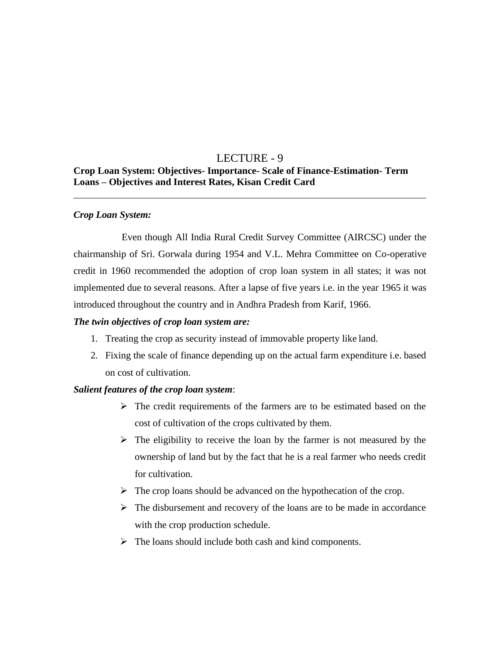# LECTURE - 9

# **Crop Loan System: Objectives- Importance- Scale of Finance-Estimation- Term Loans – Objectives and Interest Rates, Kisan Credit Card**

# *Crop Loan System:*

Even though All India Rural Credit Survey Committee (AIRCSC) under the chairmanship of Sri. Gorwala during 1954 and V.L. Mehra Committee on Co-operative credit in 1960 recommended the adoption of crop loan system in all states; it was not implemented due to several reasons. After a lapse of five years i.e. in the year 1965 it was introduced throughout the country and in Andhra Pradesh from Karif, 1966.

# *The twin objectives of crop loan system are:*

- 1. Treating the crop as security instead of immovable property like land.
- 2. Fixing the scale of finance depending up on the actual farm expenditure i.e. based on cost of cultivation.

# *Salient features of the crop loan system*:

- $\triangleright$  The credit requirements of the farmers are to be estimated based on the cost of cultivation of the crops cultivated by them.
- $\triangleright$  The eligibility to receive the loan by the farmer is not measured by the ownership of land but by the fact that he is a real farmer who needs credit for cultivation.
- $\triangleright$  The crop loans should be advanced on the hypothecation of the crop.
- ➢ The disbursement and recovery of the loans are to be made in accordance with the crop production schedule.
- ➢ The loans should include both cash and kind components.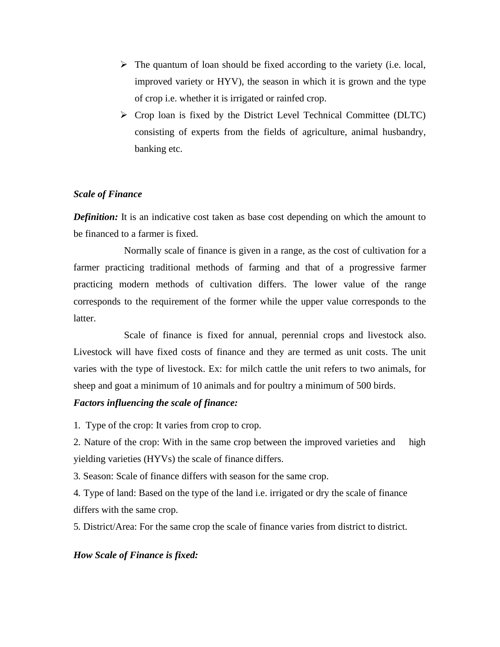- $\triangleright$  The quantum of loan should be fixed according to the variety (i.e. local, improved variety or HYV), the season in which it is grown and the type of crop i.e. whether it is irrigated or rainfed crop.
- ➢ Crop loan is fixed by the District Level Technical Committee (DLTC) consisting of experts from the fields of agriculture, animal husbandry, banking etc.

# *Scale of Finance*

*Definition:* It is an indicative cost taken as base cost depending on which the amount to be financed to a farmer is fixed.

Normally scale of finance is given in a range, as the cost of cultivation for a farmer practicing traditional methods of farming and that of a progressive farmer practicing modern methods of cultivation differs. The lower value of the range corresponds to the requirement of the former while the upper value corresponds to the latter.

Scale of finance is fixed for annual, perennial crops and livestock also. Livestock will have fixed costs of finance and they are termed as unit costs. The unit varies with the type of livestock. Ex: for milch cattle the unit refers to two animals, for sheep and goat a minimum of 10 animals and for poultry a minimum of 500 birds.

# *Factors influencing the scale of finance:*

1. Type of the crop: It varies from crop to crop.

2. Nature of the crop: With in the same crop between the improved varieties and high yielding varieties (HYVs) the scale of finance differs.

3. Season: Scale of finance differs with season for the same crop.

4. Type of land: Based on the type of the land i.e. irrigated or dry the scale of finance differs with the same crop.

5. District/Area: For the same crop the scale of finance varies from district to district.

# *How Scale of Finance is fixed:*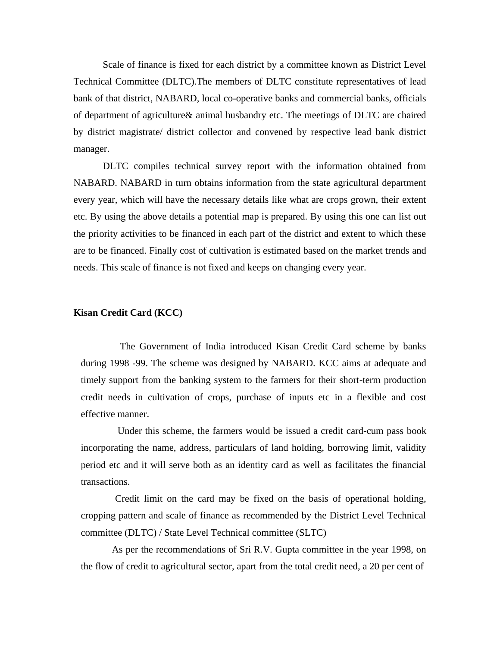Scale of finance is fixed for each district by a committee known as District Level Technical Committee (DLTC).The members of DLTC constitute representatives of lead bank of that district, NABARD, local co-operative banks and commercial banks, officials of department of agriculture& animal husbandry etc. The meetings of DLTC are chaired by district magistrate/ district collector and convened by respective lead bank district manager.

DLTC compiles technical survey report with the information obtained from NABARD. NABARD in turn obtains information from the state agricultural department every year, which will have the necessary details like what are crops grown, their extent etc. By using the above details a potential map is prepared. By using this one can list out the priority activities to be financed in each part of the district and extent to which these are to be financed. Finally cost of cultivation is estimated based on the market trends and needs. This scale of finance is not fixed and keeps on changing every year.

#### **Kisan Credit Card (KCC)**

The Government of India introduced Kisan Credit Card scheme by banks during 1998 -99. The scheme was designed by NABARD. KCC aims at adequate and timely support from the banking system to the farmers for their short-term production credit needs in cultivation of crops, purchase of inputs etc in a flexible and cost effective manner.

Under this scheme, the farmers would be issued a credit card-cum pass book incorporating the name, address, particulars of land holding, borrowing limit, validity period etc and it will serve both as an identity card as well as facilitates the financial transactions.

Credit limit on the card may be fixed on the basis of operational holding, cropping pattern and scale of finance as recommended by the District Level Technical committee (DLTC) / State Level Technical committee (SLTC)

As per the recommendations of Sri R.V. Gupta committee in the year 1998, on the flow of credit to agricultural sector, apart from the total credit need, a 20 per cent of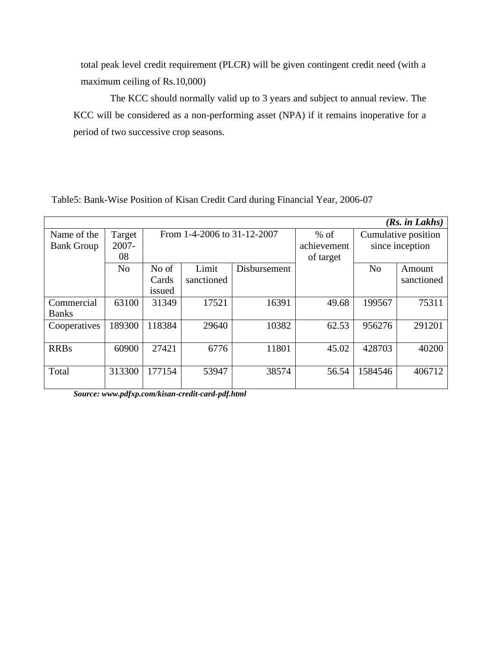total peak level credit requirement (PLCR) will be given contingent credit need (with a maximum ceiling of Rs.10,000)

The KCC should normally valid up to 3 years and subject to annual review. The KCC will be considered as a non-performing asset (NPA) if it remains inoperative for a period of two successive crop seasons.

| (Rs. in Lakhs)    |                |                             |            |              |                     |                 |            |
|-------------------|----------------|-----------------------------|------------|--------------|---------------------|-----------------|------------|
| Name of the       | Target         | From 1-4-2006 to 31-12-2007 |            | $%$ of       | Cumulative position |                 |            |
| <b>Bank Group</b> | 2007-          |                             |            |              | achievement         | since inception |            |
|                   | 08             |                             |            |              | of target           |                 |            |
|                   | N <sub>o</sub> | No of                       | Limit      | Disbursement |                     | N <sub>o</sub>  | Amount     |
|                   |                | Cards                       | sanctioned |              |                     |                 | sanctioned |
|                   |                | issued                      |            |              |                     |                 |            |
| Commercial        | 63100          | 31349                       | 17521      | 16391        | 49.68               | 199567          | 75311      |
| <b>Banks</b>      |                |                             |            |              |                     |                 |            |
| Cooperatives      | 189300         | 118384                      | 29640      | 10382        | 62.53               | 956276          | 291201     |
|                   |                |                             |            |              |                     |                 |            |
| <b>RRBs</b>       | 60900          | 27421                       | 6776       | 11801        | 45.02               | 428703          | 40200      |
|                   |                |                             |            |              |                     |                 |            |
| Total             | 313300         | 177154                      | 53947      | 38574        | 56.54               | 1584546         | 406712     |
|                   |                |                             |            |              |                     |                 |            |

Table5: Bank-Wise Position of Kisan Credit Card during Financial Year, 2006-07

*Source[: www.pdfxp.com/kisan-credit-card-pdf.html](http://www.pdfxp.com/kisan-credit-card-pdf.html)*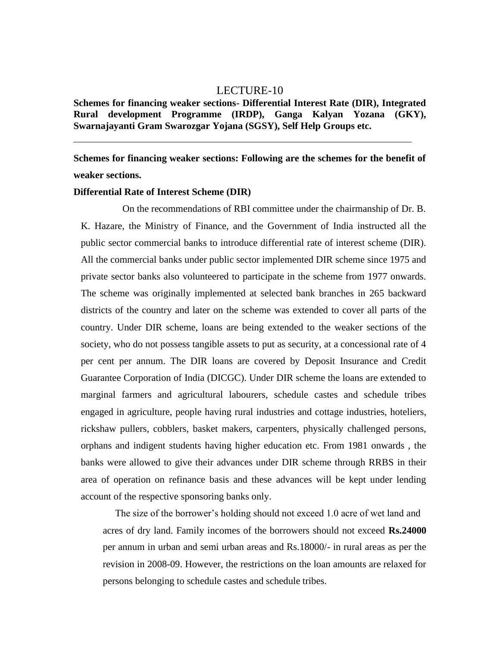# LECTURE-10

**Schemes for financing weaker sections- Differential Interest Rate (DIR), Integrated Rural development Programme (IRDP), Ganga Kalyan Yozana (GKY), Swarnajayanti Gram Swarozgar Yojana (SGSY), Self Help Groups etc.**

**Schemes for financing weaker sections: Following are the schemes for the benefit of weaker sections.**

#### **Differential Rate of Interest Scheme (DIR)**

On the recommendations of RBI committee under the chairmanship of Dr. B. K. Hazare, the Ministry of Finance, and the Government of India instructed all the public sector commercial banks to introduce differential rate of interest scheme (DIR). All the commercial banks under public sector implemented DIR scheme since 1975 and private sector banks also volunteered to participate in the scheme from 1977 onwards. The scheme was originally implemented at selected bank branches in 265 backward districts of the country and later on the scheme was extended to cover all parts of the country. Under DIR scheme, loans are being extended to the weaker sections of the society, who do not possess tangible assets to put as security, at a concessional rate of 4 per cent per annum. The DIR loans are covered by Deposit Insurance and Credit Guarantee Corporation of India (DICGC). Under DIR scheme the loans are extended to marginal farmers and agricultural labourers, schedule castes and schedule tribes engaged in agriculture, people having rural industries and cottage industries, hoteliers, rickshaw pullers, cobblers, basket makers, carpenters, physically challenged persons, orphans and indigent students having higher education etc. From 1981 onwards , the banks were allowed to give their advances under DIR scheme through RRBS in their area of operation on refinance basis and these advances will be kept under lending account of the respective sponsoring banks only.

The size of the borrower's holding should not exceed 1.0 acre of wet land and acres of dry land. Family incomes of the borrowers should not exceed **Rs.24000**  per annum in urban and semi urban areas and Rs.18000/- in rural areas as per the revision in 2008-09. However, the restrictions on the loan amounts are relaxed for persons belonging to schedule castes and schedule tribes.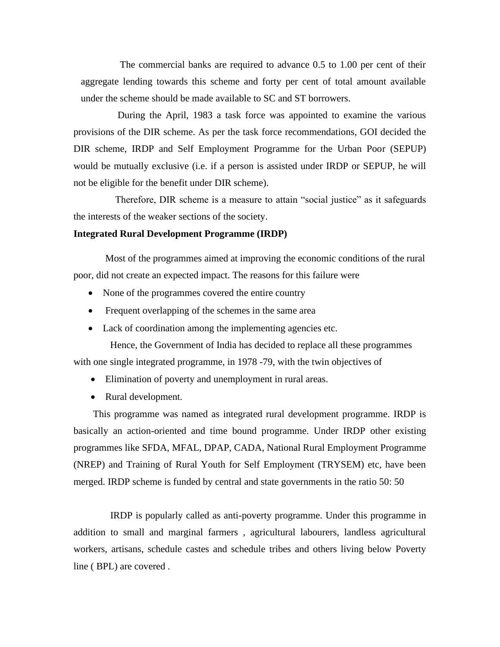The commercial banks are required to advance 0.5 to 1.00 per cent of their aggregate lending towards this scheme and forty per cent of total amount available under the scheme should be made available to SC and ST borrowers.

During the April, 1983 a task force was appointed to examine the various provisions of the DIR scheme. As per the task force recommendations, GOI decided the DIR scheme, IRDP and Self Employment Programme for the Urban Poor (SEPUP) would be mutually exclusive (i.e. if a person is assisted under IRDP or SEPUP, he will not be eligible for the benefit under DIR scheme).

Therefore, DIR scheme is a measure to attain "social justice" as it safeguards the interests of the weaker sections of the society.

#### **Integrated Rural Development Programme (IRDP)**

Most of the programmes aimed at improving the economic conditions of the rural poor, did not create an expected impact. The reasons for this failure were

- None of the programmes covered the entire country
- Frequent overlapping of the schemes in the same area
- Lack of coordination among the implementing agencies etc.

Hence, the Government of India has decided to replace all these programmes with one single integrated programme, in 1978 -79, with the twin objectives of

- Elimination of poverty and unemployment in rural areas.
- Rural development.

This programme was named as integrated rural development programme. IRDP is basically an action-oriented and time bound programme. Under IRDP other existing programmes like SFDA, MFAL, DPAP, CADA, National Rural Employment Programme (NREP) and Training of Rural Youth for Self Employment (TRYSEM) etc, have been merged. IRDP scheme is funded by central and state governments in the ratio 50: 50

IRDP is popularly called as anti-poverty programme. Under this programme in addition to small and marginal farmers , agricultural labourers, landless agricultural workers, artisans, schedule castes and schedule tribes and others living below Poverty line ( BPL) are covered .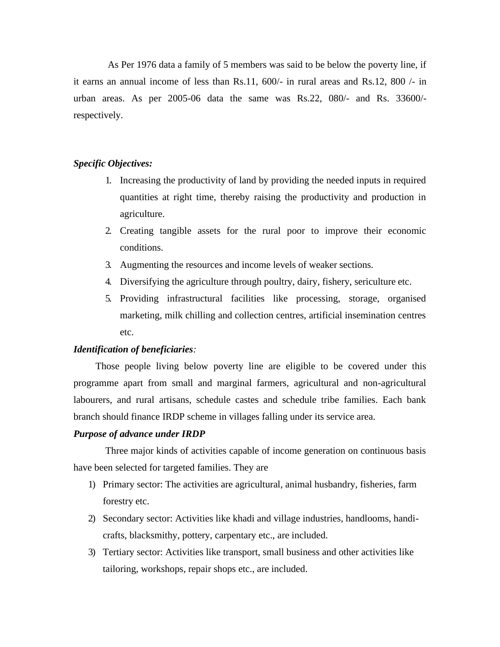As Per 1976 data a family of 5 members was said to be below the poverty line, if it earns an annual income of less than Rs.11, 600/- in rural areas and Rs.12, 800 /- in urban areas. As per 2005-06 data the same was Rs.22, 080/- and Rs. 33600/ respectively.

### *Specific Objectives:*

- 1. Increasing the productivity of land by providing the needed inputs in required quantities at right time, thereby raising the productivity and production in agriculture.
- 2. Creating tangible assets for the rural poor to improve their economic conditions.
- 3. Augmenting the resources and income levels of weaker sections.
- 4. Diversifying the agriculture through poultry, dairy, fishery, sericulture etc.
- 5. Providing infrastructural facilities like processing, storage, organised marketing, milk chilling and collection centres, artificial insemination centres etc.

# *Identification of beneficiaries:*

Those people living below poverty line are eligible to be covered under this programme apart from small and marginal farmers, agricultural and non-agricultural labourers, and rural artisans, schedule castes and schedule tribe families. Each bank branch should finance IRDP scheme in villages falling under its service area.

#### *Purpose of advance under IRDP*

Three major kinds of activities capable of income generation on continuous basis have been selected for targeted families. They are

- 1) Primary sector: The activities are agricultural, animal husbandry, fisheries, farm forestry etc.
- 2) Secondary sector: Activities like khadi and village industries, handlooms, handicrafts, blacksmithy, pottery, carpentary etc., are included.
- 3) Tertiary sector: Activities like transport, small business and other activities like tailoring, workshops, repair shops etc., are included.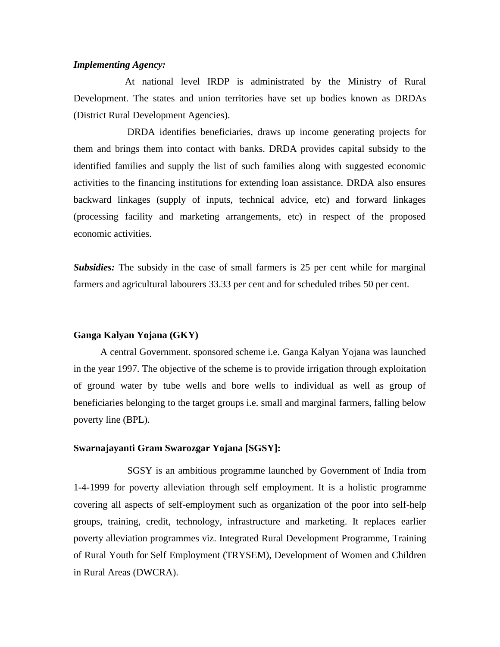### *Implementing Agency:*

At national level IRDP is administrated by the Ministry of Rural Development. The states and union territories have set up bodies known as DRDAs (District Rural Development Agencies).

DRDA identifies beneficiaries, draws up income generating projects for them and brings them into contact with banks. DRDA provides capital subsidy to the identified families and supply the list of such families along with suggested economic activities to the financing institutions for extending loan assistance. DRDA also ensures backward linkages (supply of inputs, technical advice, etc) and forward linkages (processing facility and marketing arrangements, etc) in respect of the proposed economic activities.

*Subsidies:* The subsidy in the case of small farmers is 25 per cent while for marginal farmers and agricultural labourers 33.33 per cent and for scheduled tribes 50 per cent.

#### **Ganga Kalyan Yojana (GKY)**

A central Government. sponsored scheme i.e. Ganga Kalyan Yojana was launched in the year 1997. The objective of the scheme is to provide irrigation through exploitation of ground water by tube wells and bore wells to individual as well as group of beneficiaries belonging to the target groups i.e. small and marginal farmers, falling below poverty line (BPL).

#### **Swarnajayanti Gram Swarozgar Yojana [SGSY]:**

SGSY is an ambitious programme launched by Government of India from 1-4-1999 for poverty alleviation through self employment. It is a holistic programme covering all aspects of self-employment such as organization of the poor into self-help groups, training, credit, technology, infrastructure and marketing. It replaces earlier poverty alleviation programmes viz. Integrated Rural Development Programme, Training of Rural Youth for Self Employment (TRYSEM), Development of Women and Children in Rural Areas (DWCRA).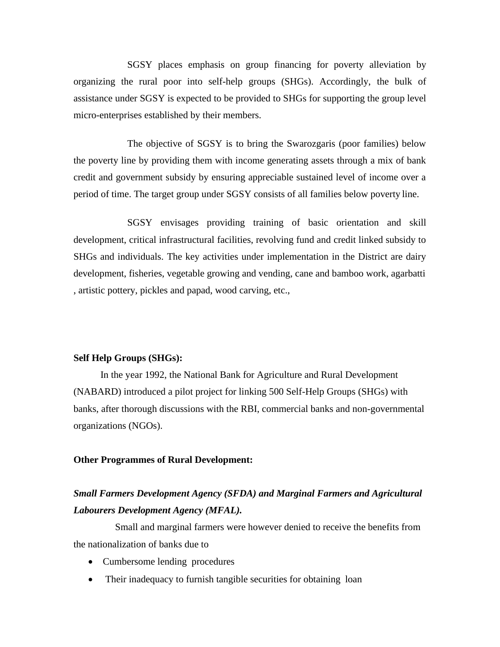SGSY places emphasis on group financing for poverty alleviation by organizing the rural poor into self-help groups (SHGs). Accordingly, the bulk of assistance under SGSY is expected to be provided to SHGs for supporting the group level micro-enterprises established by their members.

The objective of SGSY is to bring the Swarozgaris (poor families) below the poverty line by providing them with income generating assets through a mix of bank credit and government subsidy by ensuring appreciable sustained level of income over a period of time. The target group under SGSY consists of all families below poverty line.

SGSY envisages providing training of basic orientation and skill development, critical infrastructural facilities, revolving fund and credit linked subsidy to SHGs and individuals. The key activities under implementation in the District are dairy development, fisheries, vegetable growing and vending, cane and bamboo work, agarbatti , artistic pottery, pickles and papad, wood carving, etc.,

#### **Self Help Groups (SHGs):**

In the year 1992, the National Bank for Agriculture and Rural Development (NABARD) introduced a pilot project for linking 500 Self-Help Groups (SHGs) with banks, after thorough discussions with the RBI, commercial banks and non-governmental organizations (NGOs).

#### **Other Programmes of Rural Development:**

# *Small Farmers Development Agency (SFDA) and Marginal Farmers and Agricultural Labourers Development Agency (MFAL).*

Small and marginal farmers were however denied to receive the benefits from the nationalization of banks due to

- Cumbersome lending procedures
- Their inadequacy to furnish tangible securities for obtaining loan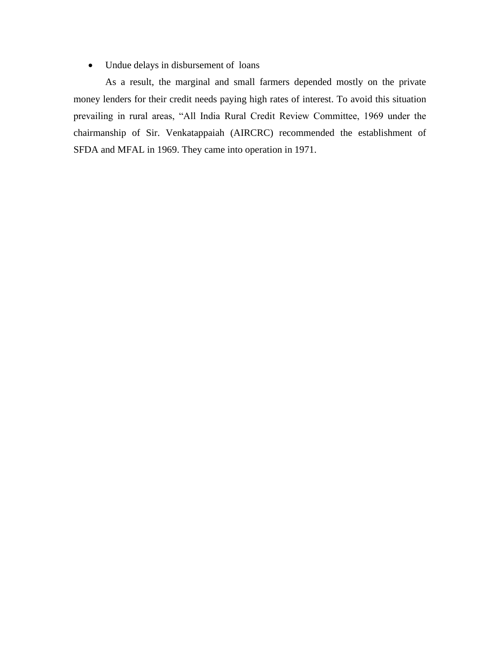• Undue delays in disbursement of loans

As a result, the marginal and small farmers depended mostly on the private money lenders for their credit needs paying high rates of interest. To avoid this situation prevailing in rural areas, "All India Rural Credit Review Committee, 1969 under the chairmanship of Sir. Venkatappaiah (AIRCRC) recommended the establishment of SFDA and MFAL in 1969. They came into operation in 1971.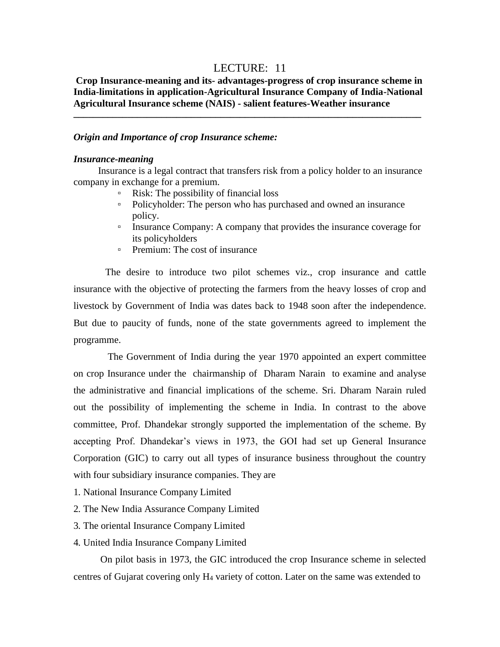# LECTURE: 11

# **Crop Insurance-meaning and its- advantages-progress of crop insurance scheme in India-limitations in application-Agricultural Insurance Company of India-National Agricultural Insurance scheme (NAIS) - salient features-Weather insurance \_\_\_\_\_\_\_\_\_\_\_\_\_\_\_\_\_\_\_\_\_\_\_\_\_\_\_\_\_\_\_\_\_\_\_\_\_\_\_\_\_\_\_\_\_\_\_\_\_\_\_\_\_\_\_\_\_\_\_\_\_\_\_\_\_\_\_\_\_\_\_**

### *Origin and Importance of crop Insurance scheme:*

#### *Insurance-meaning*

Insurance is a legal contract that transfers risk from a policy holder to an insurance company in exchange for a premium.

- Risk: The possibility of financial loss
- Policyholder: The person who has purchased and owned an insurance policy.
- Insurance Company: A company that provides the insurance coverage for its policyholders
- Premium: The cost of insurance

The desire to introduce two pilot schemes viz., crop insurance and cattle insurance with the objective of protecting the farmers from the heavy losses of crop and livestock by Government of India was dates back to 1948 soon after the independence. But due to paucity of funds, none of the state governments agreed to implement the programme.

The Government of India during the year 1970 appointed an expert committee on crop Insurance under the chairmanship of Dharam Narain to examine and analyse the administrative and financial implications of the scheme. Sri. Dharam Narain ruled out the possibility of implementing the scheme in India. In contrast to the above committee, Prof. Dhandekar strongly supported the implementation of the scheme. By accepting Prof. Dhandekar's views in 1973, the GOI had set up General Insurance Corporation (GIC) to carry out all types of insurance business throughout the country with four subsidiary insurance companies. They are

- 1. National Insurance Company Limited
- 2. The New India Assurance Company Limited
- 3. The oriental Insurance Company Limited
- 4. United India Insurance Company Limited

On pilot basis in 1973, the GIC introduced the crop Insurance scheme in selected centres of Gujarat covering only H<sup>4</sup> variety of cotton. Later on the same was extended to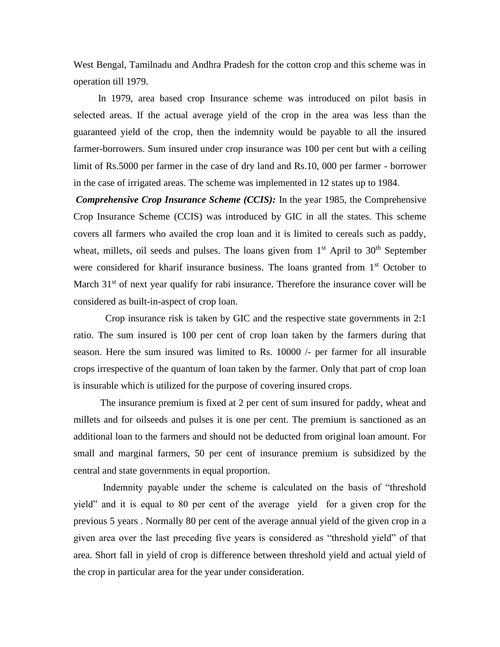West Bengal, Tamilnadu and Andhra Pradesh for the cotton crop and this scheme was in operation till 1979.

In 1979, area based crop Insurance scheme was introduced on pilot basis in selected areas. If the actual average yield of the crop in the area was less than the guaranteed yield of the crop, then the indemnity would be payable to all the insured farmer-borrowers. Sum insured under crop insurance was 100 per cent but with a ceiling limit of Rs.5000 per farmer in the case of dry land and Rs.10, 000 per farmer - borrower in the case of irrigated areas. The scheme was implemented in 12 states up to 1984.

*Comprehensive Crop Insurance Scheme (CCIS):* In the year 1985, the Comprehensive Crop Insurance Scheme (CCIS) was introduced by GIC in all the states. This scheme covers all farmers who availed the crop loan and it is limited to cereals such as paddy, wheat, millets, oil seeds and pulses. The loans given from  $1<sup>st</sup>$  April to  $30<sup>th</sup>$  September were considered for kharif insurance business. The loans granted from 1<sup>st</sup> October to March  $31<sup>st</sup>$  of next year qualify for rabi insurance. Therefore the insurance cover will be considered as built-in-aspect of crop loan.

Crop insurance risk is taken by GIC and the respective state governments in 2:1 ratio. The sum insured is 100 per cent of crop loan taken by the farmers during that season. Here the sum insured was limited to Rs. 10000 /- per farmer for all insurable crops irrespective of the quantum of loan taken by the farmer. Only that part of crop loan is insurable which is utilized for the purpose of covering insured crops.

The insurance premium is fixed at 2 per cent of sum insured for paddy, wheat and millets and for oilseeds and pulses it is one per cent. The premium is sanctioned as an additional loan to the farmers and should not be deducted from original loan amount. For small and marginal farmers, 50 per cent of insurance premium is subsidized by the central and state governments in equal proportion.

Indemnity payable under the scheme is calculated on the basis of "threshold yield" and it is equal to 80 per cent of the average yield for a given crop for the previous 5 years . Normally 80 per cent of the average annual yield of the given crop in a given area over the last preceding five years is considered as "threshold yield" of that area. Short fall in yield of crop is difference between threshold yield and actual yield of the crop in particular area for the year under consideration.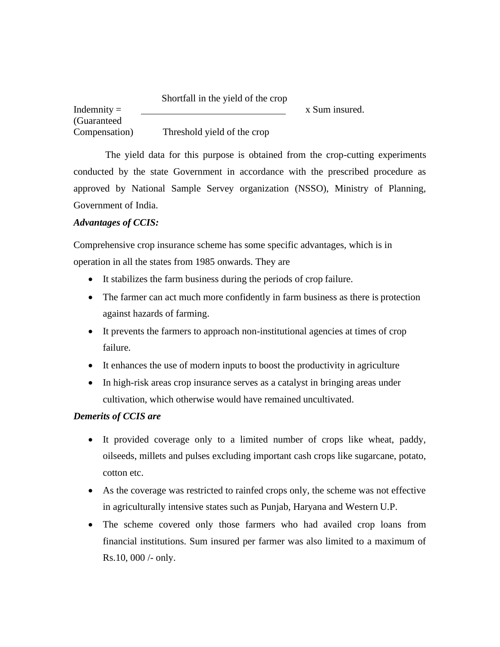### Shortfall in the yield of the crop

Indemnity  $=$ (Guaranteed Compensation) Threshold yield of the crop

The yield data for this purpose is obtained from the crop-cutting experiments conducted by the state Government in accordance with the prescribed procedure as approved by National Sample Servey organization (NSSO), Ministry of Planning, Government of India.

x Sum insured.

# *Advantages of CCIS:*

Comprehensive crop insurance scheme has some specific advantages, which is in operation in all the states from 1985 onwards. They are

- It stabilizes the farm business during the periods of crop failure.
- The farmer can act much more confidently in farm business as there is protection against hazards of farming.
- It prevents the farmers to approach non-institutional agencies at times of crop failure.
- It enhances the use of modern inputs to boost the productivity in agriculture
- In high-risk areas crop insurance serves as a catalyst in bringing areas under cultivation, which otherwise would have remained uncultivated.

# *Demerits of CCIS are*

- It provided coverage only to a limited number of crops like wheat, paddy, oilseeds, millets and pulses excluding important cash crops like sugarcane, potato, cotton etc.
- As the coverage was restricted to rainfed crops only, the scheme was not effective in agriculturally intensive states such as Punjab, Haryana and Western U.P.
- The scheme covered only those farmers who had availed crop loans from financial institutions. Sum insured per farmer was also limited to a maximum of Rs.10, 000 /- only.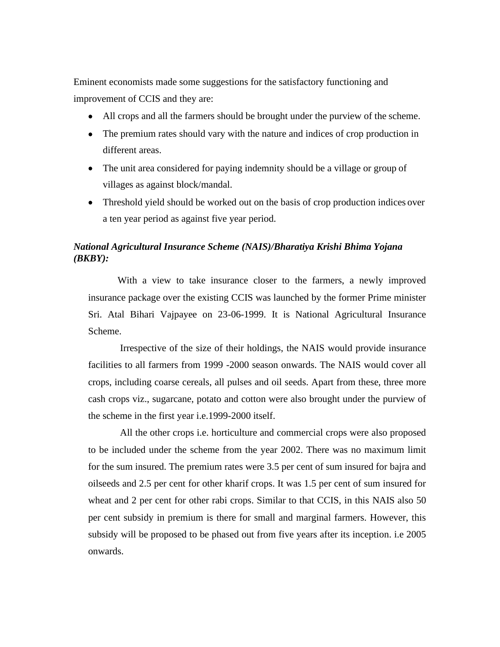Eminent economists made some suggestions for the satisfactory functioning and improvement of CCIS and they are:

- All crops and all the farmers should be brought under the purview of the scheme.
- The premium rates should vary with the nature and indices of crop production in different areas.
- The unit area considered for paying indemnity should be a village or group of villages as against block/mandal.
- Threshold yield should be worked out on the basis of crop production indices over a ten year period as against five year period.

# *National Agricultural Insurance Scheme (NAIS)/Bharatiya Krishi Bhima Yojana (BKBY):*

With a view to take insurance closer to the farmers, a newly improved insurance package over the existing CCIS was launched by the former Prime minister Sri. Atal Bihari Vajpayee on 23-06-1999. It is National Agricultural Insurance Scheme.

Irrespective of the size of their holdings, the NAIS would provide insurance facilities to all farmers from 1999 -2000 season onwards. The NAIS would cover all crops, including coarse cereals, all pulses and oil seeds. Apart from these, three more cash crops viz., sugarcane, potato and cotton were also brought under the purview of the scheme in the first year i.e.1999-2000 itself.

All the other crops i.e. horticulture and commercial crops were also proposed to be included under the scheme from the year 2002. There was no maximum limit for the sum insured. The premium rates were 3.5 per cent of sum insured for bajra and oilseeds and 2.5 per cent for other kharif crops. It was 1.5 per cent of sum insured for wheat and 2 per cent for other rabi crops. Similar to that CCIS, in this NAIS also 50 per cent subsidy in premium is there for small and marginal farmers. However, this subsidy will be proposed to be phased out from five years after its inception. i.e 2005 onwards.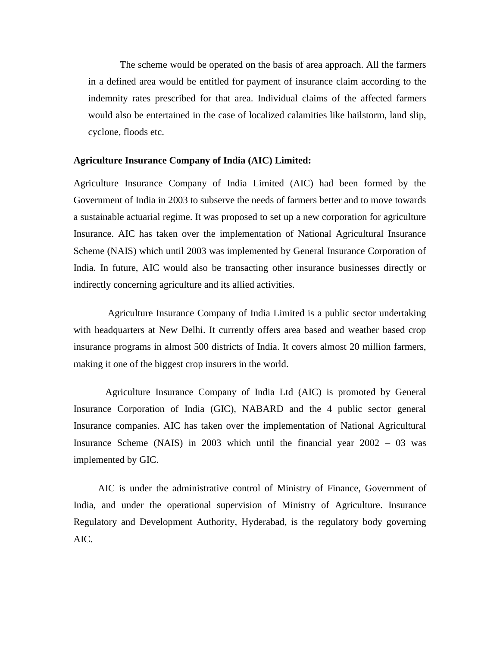The scheme would be operated on the basis of area approach. All the farmers in a defined area would be entitled for payment of insurance claim according to the indemnity rates prescribed for that area. Individual claims of the affected farmers would also be entertained in the case of localized calamities like hailstorm, land slip, cyclone, floods etc.

#### **Agriculture Insurance Company of India (AIC) Limited:**

Agriculture Insurance Company of India Limited (AIC) had been formed by the Government of India in 2003 to subserve the needs of farmers better and to move towards a sustainable actuarial regime. It was proposed to set up a new corporation for agriculture Insurance. AIC has taken over the implementation of National Agricultural Insurance Scheme (NAIS) which until 2003 was implemented by General Insurance Corporation of India. In future, AIC would also be transacting other insurance businesses directly or indirectly concerning agriculture and its allied activities.

Agriculture Insurance Company of India Limited is a public sector undertaking with headquarters at [New Delhi.](http://en.wikipedia.org/wiki/New_Delhi) It currently offers area based and weather based crop insurance programs in almost 500 districts of India. It covers almost 20 million farmers, making it one of the biggest crop insurers in the world.

Agriculture Insurance Company of India Ltd (AIC) is promoted by General Insurance Corporation of India (GIC), NABARD and the 4 public sector general Insurance companies. AIC has taken over the implementation of National Agricultural Insurance Scheme (NAIS) in 2003 which until the financial year 2002 – 03 was implemented by GIC.

AIC is under the administrative control of [Ministry of Finance,](http://en.wikipedia.org/wiki/Ministry_of_Finance) [Government of](http://en.wikipedia.org/wiki/Government_of_India) [India,](http://en.wikipedia.org/wiki/Government_of_India) and under the operational supervision of [Ministry of Agriculture.](http://en.wikipedia.org/wiki/Ministry_of_Agriculture) [Insurance](http://en.wikipedia.org/wiki/Insurance_Regulatory_and_Development_Authority) [Regulatory and Development Authority,](http://en.wikipedia.org/wiki/Insurance_Regulatory_and_Development_Authority) Hyderabad, is the regulatory body governing AIC.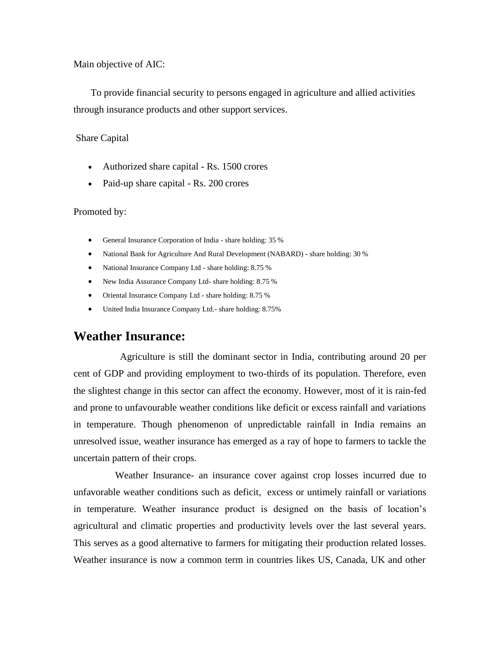Main objective of AIC:

To provide financial security to persons engaged in agriculture and allied activities through insurance products and other support services.

#### Share Capital

- Authorized share capital Rs. 1500 crores
- Paid-up share capital Rs. 200 crores

#### Promoted by:

- General Insurance Corporation of India share holding: 35 %
- National Bank for Agriculture And Rural Development (NABARD) share holding: 30 %
- National Insurance Company Ltd share holding: 8.75 %
- New India Assurance Company Ltd- share holding: 8.75 %
- Oriental Insurance Company Ltd share holding: 8.75 %
- United India Insurance Company Ltd.- share holding: 8.75%

# **Weather Insurance:**

Agriculture is still the dominant sector in India, contributing around 20 per cent of GDP and providing employment to two-thirds of its population. Therefore, even the slightest change in this sector can affect the economy. However, most of it is rain-fed and prone to unfavourable weather conditions like deficit or excess rainfall and variations in temperature. Though phenomenon of unpredictable rainfall in India remains an unresolved issue, weather insurance has emerged as a ray of hope to farmers to tackle the uncertain pattern of their crops.

Weather Insurance- an insurance cover against crop losses incurred due to unfavorable weather conditions such as deficit, excess or untimely rainfall or variations in temperature. Weather insurance product is designed on the basis of location's agricultural and climatic properties and productivity levels over the last several years. This serves as a good alternative to farmers for mitigating their production related losses. Weather insurance is now a common term in countries likes US, Canada, UK and other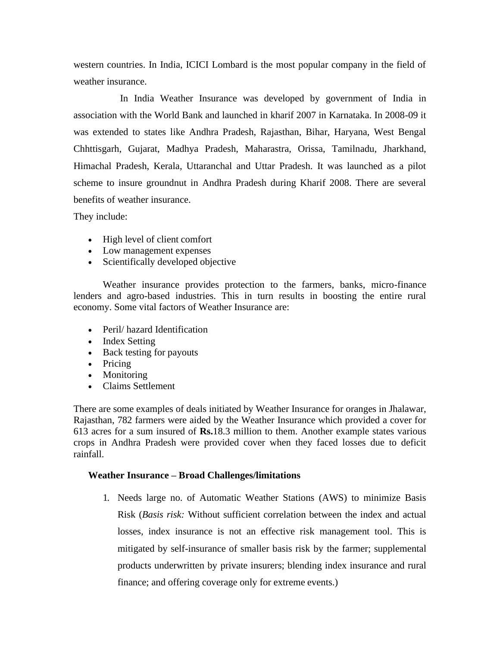western countries. In India, ICICI Lombard is the most popular company in the field of weather insurance.

In India Weather Insurance was developed by government of India in association with the World Bank and launched in kharif 2007 in Karnataka. In 2008-09 it was extended to states like Andhra Pradesh, Rajasthan, Bihar, Haryana, West Bengal Chhttisgarh, Gujarat, Madhya Pradesh, Maharastra, Orissa, Tamilnadu, Jharkhand, Himachal Pradesh, Kerala, Uttaranchal and Uttar Pradesh. It was launched as a pilot scheme to insure groundnut in Andhra Pradesh during Kharif 2008. There are several benefits of weather insurance.

They include:

- High level of client comfort
- Low management expenses
- Scientifically developed objective

Weather insurance provides protection to the farmers, banks, micro-finance lenders and agro-based industries. This in turn results in boosting the entire rural economy. Some vital factors of Weather Insurance are:

- Peril/ hazard Identification
- Index Setting
- Back testing for payouts
- Pricing
- Monitoring
- Claims Settlement

There are some examples of deals initiated by Weather Insurance for oranges in Jhalawar, Rajasthan, 782 farmers were aided by the Weather Insurance which provided a cover for 613 acres for a sum insured of **Rs.**18.3 million to them. Another example states various crops in Andhra Pradesh were provided cover when they faced losses due to deficit rainfall.

# **Weather Insurance – Broad Challenges/limitations**

1. Needs large no. of Automatic Weather Stations (AWS) to minimize Basis Risk (*Basis risk:* Without sufficient correlation between the index and actual losses, index insurance is not an effective risk management tool. This is mitigated by self-insurance of smaller basis risk by the farmer; supplemental products underwritten by private insurers; blending index insurance and rural finance; and offering coverage only for extreme events.)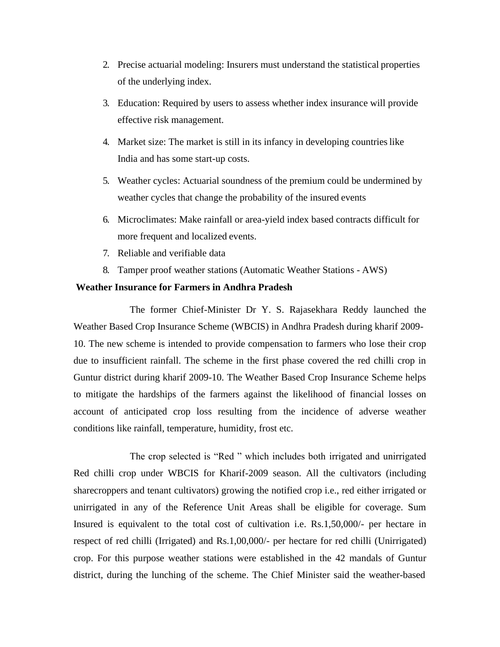- 2. Precise actuarial modeling: Insurers must understand the statistical properties of the underlying index.
- 3. Education: Required by users to assess whether index insurance will provide effective risk management.
- 4. Market size: The market is still in its infancy in developing countrieslike India and has some start-up costs.
- 5. Weather cycles: Actuarial soundness of the premium could be undermined by weather cycles that change the probability of the insured events
- 6. Microclimates: Make rainfall or area-yield index based contracts difficult for more frequent and localized events.
- 7. Reliable and verifiable data
- 8. Tamper proof weather stations (Automatic Weather Stations AWS)

### **Weather Insurance for Farmers in Andhra Pradesh**

The former Chief-Minister Dr Y. S. Rajasekhara Reddy launched the Weather Based Crop Insurance Scheme (WBCIS) in Andhra Pradesh during kharif 2009- 10. The new scheme is intended to provide compensation to farmers who lose their crop due to insufficient rainfall. The scheme in the first phase covered the red chilli crop in Guntur district during kharif 2009-10. The Weather Based Crop Insurance Scheme helps to mitigate the hardships of the farmers against the likelihood of financial losses on account of anticipated crop loss resulting from the incidence of adverse weather conditions like rainfall, temperature, humidity, frost etc.

The crop selected is "Red " which includes both irrigated and unirrigated Red chilli crop under WBCIS for Kharif-2009 season. All the cultivators (including sharecroppers and tenant cultivators) growing the notified crop i.e., red either irrigated or unirrigated in any of the Reference Unit Areas shall be eligible for coverage. Sum Insured is equivalent to the total cost of cultivation i.e. Rs.1,50,000/- per hectare in respect of red chilli (Irrigated) and Rs.1,00,000/- per hectare for red chilli (Unirrigated) crop. For this purpose weather stations were established in the 42 mandals of Guntur district, during the lunching of the scheme. The Chief Minister said the weather-based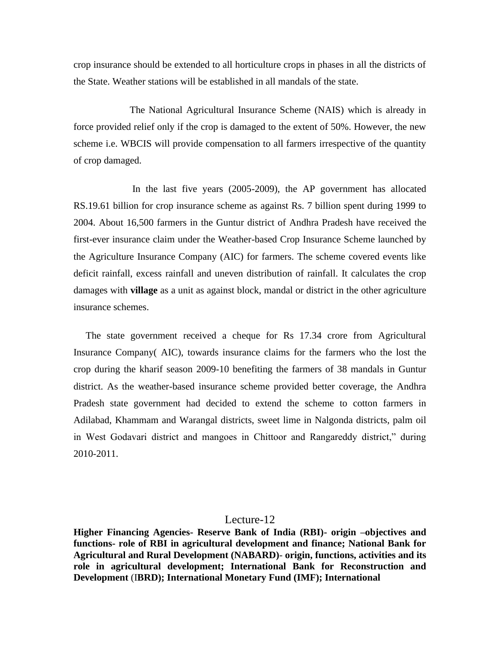crop insurance should be extended to all horticulture crops in phases in all the districts of the State. Weather stations will be established in all mandals of the state.

The National Agricultural Insurance Scheme (NAIS) which is already in force provided relief only if the crop is damaged to the extent of 50%. However, the new scheme i.e. WBCIS will provide compensation to all farmers irrespective of the quantity of crop damaged.

In the last five years (2005-2009), the AP government has allocated RS.19.61 billion for crop insurance scheme as against Rs. 7 billion spent during 1999 to 2004. About 16,500 farmers in the Guntur district of Andhra Pradesh have received the first-ever insurance claim under the Weather-based Crop Insurance Scheme launched by the Agriculture Insurance Company (AIC) for farmers. The scheme covered events like deficit rainfall, excess rainfall and uneven distribution of rainfall. It calculates the crop damages with **village** as a unit as against block, mandal or district in the other agriculture insurance schemes.

The state government received a cheque for Rs 17.34 crore from Agricultural Insurance Company( AIC), towards insurance claims for the farmers who the lost the crop during the kharif season 2009-10 benefiting the farmers of 38 mandals in Guntur district. As the weather-based insurance scheme provided better coverage, the Andhra Pradesh state government had decided to extend the scheme to cotton farmers in Adilabad, Khammam and Warangal districts, sweet lime in Nalgonda districts, palm oil in West Godavari district and mangoes in Chittoor and Rangareddy district," during 2010-2011.

#### Lecture-12

**Higher Financing Agencies- Reserve Bank of India (RBI)- origin –objectives and functions- role of RBI in agricultural development and finance; National Bank for Agricultural and Rural Development (NABARD)**- **origin, functions, activities and its role in agricultural development; International Bank for Reconstruction and Development** (I**BRD); International Monetary Fund (IMF); International**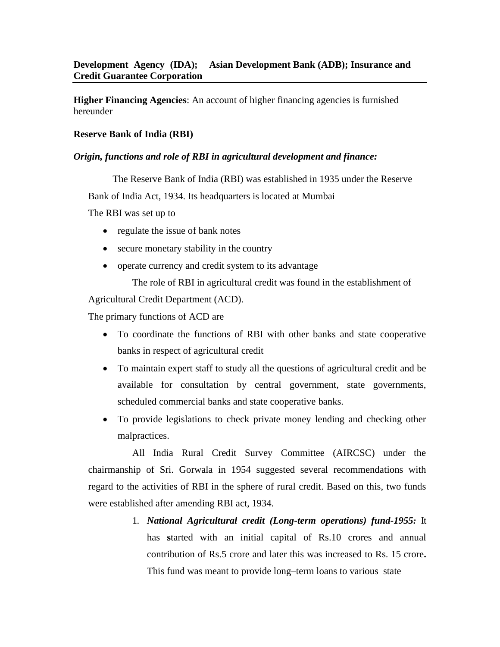**Higher Financing Agencies**: An account of higher financing agencies is furnished hereunder

# **Reserve Bank of India (RBI)**

# *Origin, functions and role of RBI in agricultural development and finance:*

The Reserve Bank of India (RBI) was established in 1935 under the Reserve

Bank of India Act, 1934. Its headquarters is located at Mumbai

The RBI was set up to

- regulate the issue of bank notes
- secure monetary stability in the country
- operate currency and credit system to its advantage

The role of RBI in agricultural credit was found in the establishment of

Agricultural Credit Department (ACD).

The primary functions of ACD are

- To coordinate the functions of RBI with other banks and state cooperative banks in respect of agricultural credit
- To maintain expert staff to study all the questions of agricultural credit and be available for consultation by central government, state governments, scheduled commercial banks and state cooperative banks.
- To provide legislations to check private money lending and checking other malpractices.

All India Rural Credit Survey Committee (AIRCSC) under the chairmanship of Sri. Gorwala in 1954 suggested several recommendations with regard to the activities of RBI in the sphere of rural credit. Based on this, two funds were established after amending RBI act, 1934.

> 1. *National Agricultural credit (Long-term operations) fund-1955:* It has **s**tarted with an initial capital of Rs.10 crores and annual contribution of Rs.5 crore and later this was increased to Rs. 15 crore**.**  This fund was meant to provide long–term loans to various state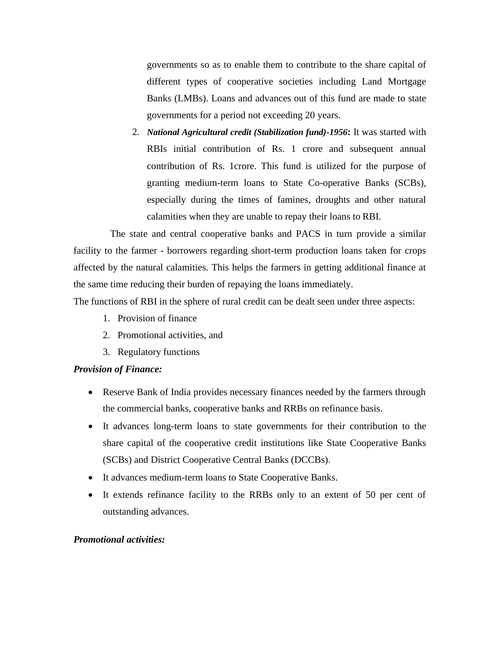governments so as to enable them to contribute to the share capital of different types of cooperative societies including Land Mortgage Banks (LMBs). Loans and advances out of this fund are made to state governments for a period not exceeding 20 years.

2. *National Agricultural credit (Stabilization fund)-1956***:** It was started with RBIs initial contribution of Rs. 1 crore and subsequent annual contribution of Rs. 1crore. This fund is utilized for the purpose of granting medium-term loans to State Co-operative Banks (SCBs), especially during the times of famines, droughts and other natural calamities when they are unable to repay their loans to RBI.

The state and central cooperative banks and PACS in turn provide a similar facility to the farmer - borrowers regarding short-term production loans taken for crops affected by the natural calamities. This helps the farmers in getting additional finance at the same time reducing their burden of repaying the loans immediately.

The functions of RBI in the sphere of rural credit can be dealt seen under three aspects:

- 1. Provision of finance
- 2. Promotional activities, and
- 3. Regulatory functions

# *Provision of Finance:*

- Reserve Bank of India provides necessary finances needed by the farmers through the commercial banks, cooperative banks and RRBs on refinance basis.
- It advances long-term loans to state governments for their contribution to the share capital of the cooperative credit institutions like State Cooperative Banks (SCBs) and District Cooperative Central Banks (DCCBs).
- It advances medium-term loans to State Cooperative Banks.
- It extends refinance facility to the RRBs only to an extent of 50 per cent of outstanding advances.

# *Promotional activities:*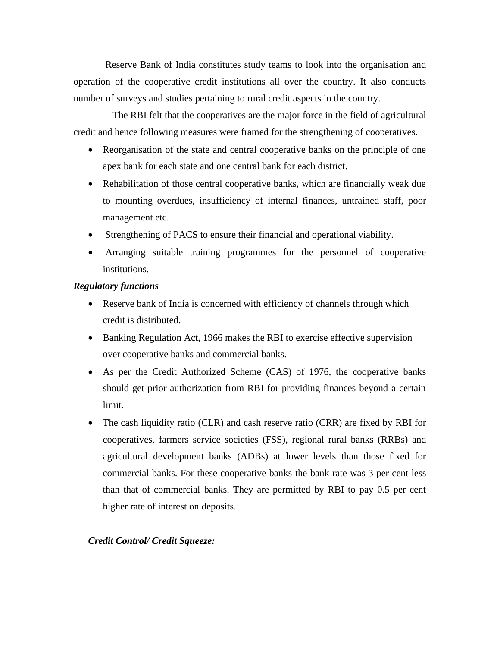Reserve Bank of India constitutes study teams to look into the organisation and operation of the cooperative credit institutions all over the country. It also conducts number of surveys and studies pertaining to rural credit aspects in the country.

The RBI felt that the cooperatives are the major force in the field of agricultural credit and hence following measures were framed for the strengthening of cooperatives.

- Reorganisation of the state and central cooperative banks on the principle of one apex bank for each state and one central bank for each district.
- Rehabilitation of those central cooperative banks, which are financially weak due to mounting overdues, insufficiency of internal finances, untrained staff, poor management etc.
- Strengthening of PACS to ensure their financial and operational viability.
- Arranging suitable training programmes for the personnel of cooperative institutions.

### *Regulatory functions*

- Reserve bank of India is concerned with efficiency of channels through which credit is distributed.
- Banking Regulation Act, 1966 makes the RBI to exercise effective supervision over cooperative banks and commercial banks.
- As per the Credit Authorized Scheme (CAS) of 1976, the cooperative banks should get prior authorization from RBI for providing finances beyond a certain limit.
- The cash liquidity ratio (CLR) and cash reserve ratio (CRR) are fixed by RBI for cooperatives, farmers service societies (FSS), regional rural banks (RRBs) and agricultural development banks (ADBs) at lower levels than those fixed for commercial banks. For these cooperative banks the bank rate was 3 per cent less than that of commercial banks. They are permitted by RBI to pay 0.5 per cent higher rate of interest on deposits.

# *Credit Control/ Credit Squeeze:*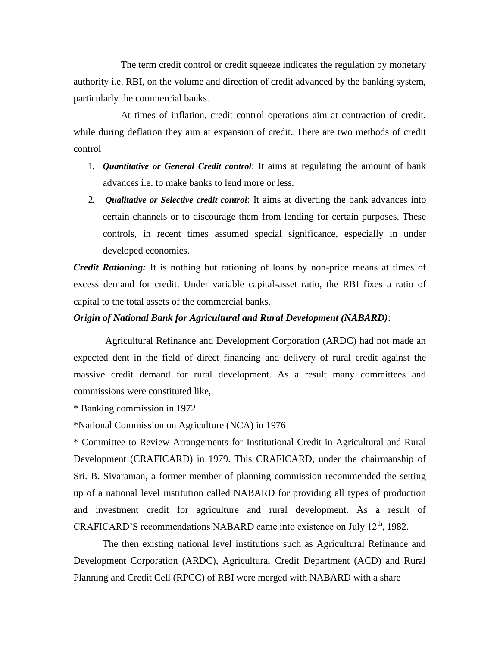The term credit control or credit squeeze indicates the regulation by monetary authority i.e. RBI, on the volume and direction of credit advanced by the banking system, particularly the commercial banks.

At times of inflation, credit control operations aim at contraction of credit, while during deflation they aim at expansion of credit. There are two methods of credit control

- 1. *Quantitative or General Credit control*: It aims at regulating the amount of bank advances i.e. to make banks to lend more or less.
- 2. *Qualitative or Selective credit control*: It aims at diverting the bank advances into certain channels or to discourage them from lending for certain purposes. These controls, in recent times assumed special significance, especially in under developed economies.

*Credit Rationing:* It is nothing but rationing of loans by non-price means at times of excess demand for credit. Under variable capital-asset ratio, the RBI fixes a ratio of capital to the total assets of the commercial banks.

### *Origin of National Bank for Agricultural and Rural Development (NABARD)*:

Agricultural Refinance and Development Corporation (ARDC) had not made an expected dent in the field of direct financing and delivery of rural credit against the massive credit demand for rural development. As a result many committees and commissions were constituted like,

\* Banking commission in 1972

\*National Commission on Agriculture (NCA) in 1976

\* Committee to Review Arrangements for Institutional Credit in Agricultural and Rural Development (CRAFICARD) in 1979. This CRAFICARD, under the chairmanship of Sri. B. Sivaraman, a former member of planning commission recommended the setting up of a national level institution called NABARD for providing all types of production and investment credit for agriculture and rural development. As a result of CRAFICARD'S recommendations NABARD came into existence on July 12<sup>th</sup>, 1982.

The then existing national level institutions such as Agricultural Refinance and Development Corporation (ARDC), Agricultural Credit Department (ACD) and Rural Planning and Credit Cell (RPCC) of RBI were merged with NABARD with a share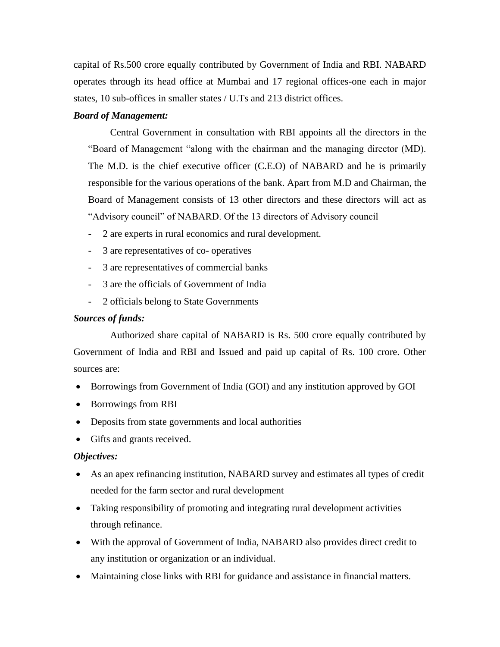capital of Rs.500 crore equally contributed by Government of India and RBI. NABARD operates through its head office at Mumbai and 17 regional offices-one each in major states, 10 sub-offices in smaller states / U.Ts and 213 district offices.

#### *Board of Management:*

Central Government in consultation with RBI appoints all the directors in the "Board of Management "along with the chairman and the managing director (MD). The M.D. is the chief executive officer (C.E.O) of NABARD and he is primarily responsible for the various operations of the bank. Apart from M.D and Chairman, the Board of Management consists of 13 other directors and these directors will act as "Advisory council" of NABARD. Of the 13 directors of Advisory council

- 2 are experts in rural economics and rural development.
- 3 are representatives of co- operatives
- 3 are representatives of commercial banks
- 3 are the officials of Government of India
- 2 officials belong to State Governments

### *Sources of funds:*

Authorized share capital of NABARD is Rs. 500 crore equally contributed by Government of India and RBI and Issued and paid up capital of Rs. 100 crore. Other sources are:

- Borrowings from Government of India (GOI) and any institution approved by GOI
- Borrowings from RBI
- Deposits from state governments and local authorities
- Gifts and grants received.

#### *Objectives:*

- As an apex refinancing institution, NABARD survey and estimates all types of credit needed for the farm sector and rural development
- Taking responsibility of promoting and integrating rural development activities through refinance.
- With the approval of Government of India, NABARD also provides direct credit to any institution or organization or an individual.
- Maintaining close links with RBI for guidance and assistance in financial matters.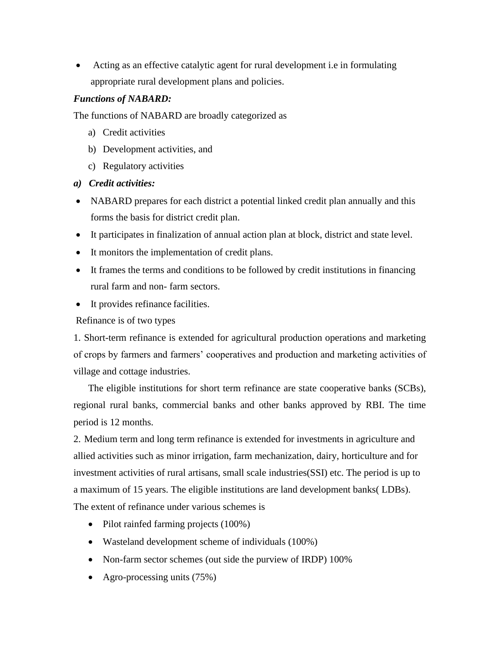• Acting as an effective catalytic agent for rural development i.e in formulating appropriate rural development plans and policies.

# *Functions of NABARD:*

The functions of NABARD are broadly categorized as

- a) Credit activities
- b) Development activities, and
- c) Regulatory activities
- *a) Credit activities:*
- NABARD prepares for each district a potential linked credit plan annually and this forms the basis for district credit plan.
- It participates in finalization of annual action plan at block, district and state level.
- It monitors the implementation of credit plans.
- It frames the terms and conditions to be followed by credit institutions in financing rural farm and non- farm sectors.
- It provides refinance facilities.

Refinance is of two types

1. Short-term refinance is extended for agricultural production operations and marketing of crops by farmers and farmers' cooperatives and production and marketing activities of village and cottage industries.

The eligible institutions for short term refinance are state cooperative banks (SCBs), regional rural banks, commercial banks and other banks approved by RBI. The time period is 12 months.

2. Medium term and long term refinance is extended for investments in agriculture and allied activities such as minor irrigation, farm mechanization, dairy, horticulture and for investment activities of rural artisans, small scale industries(SSI) etc. The period is up to a maximum of 15 years. The eligible institutions are land development banks( LDBs). The extent of refinance under various schemes is

- Pilot rainfed farming projects (100%)
- Wasteland development scheme of individuals (100%)
- Non-farm sector schemes (out side the purview of IRDP) 100%
- Agro-processing units (75%)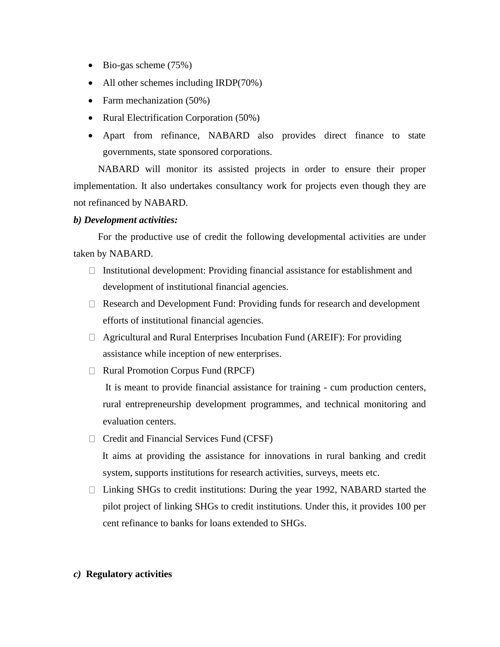- Bio-gas scheme (75%)
- All other schemes including IRDP(70%)
- Farm mechanization (50%)
- Rural Electrification Corporation (50%)
- Apart from refinance, NABARD also provides direct finance to state governments, state sponsored corporations.

NABARD will monitor its assisted projects in order to ensure their proper implementation. It also undertakes consultancy work for projects even though they are not refinanced by NABARD.

# *b) Development activities:*

For the productive use of credit the following developmental activities are under taken by NABARD.

- $\Box$  Institutional development: Providing financial assistance for establishment and development of institutional financial agencies.
- $\Box$  Research and Development Fund: Providing funds for research and development efforts of institutional financial agencies.
- □ Agricultural and Rural Enterprises Incubation Fund (AREIF): For providing assistance while inception of new enterprises.
- $\Box$  Rural Promotion Corpus Fund (RPCF)

It is meant to provide financial assistance for training - cum production centers, rural entrepreneurship development programmes, and technical monitoring and evaluation centers.

 $\Box$  Credit and Financial Services Fund (CFSF)

It aims at providing the assistance for innovations in rural banking and credit system, supports institutions for research activities, surveys, meets etc.

 $\Box$  Linking SHGs to credit institutions: During the year 1992, NABARD started the pilot project of linking SHGs to credit institutions. Under this, it provides 100 per cent refinance to banks for loans extended to SHGs.

# *c)* **Regulatory activities**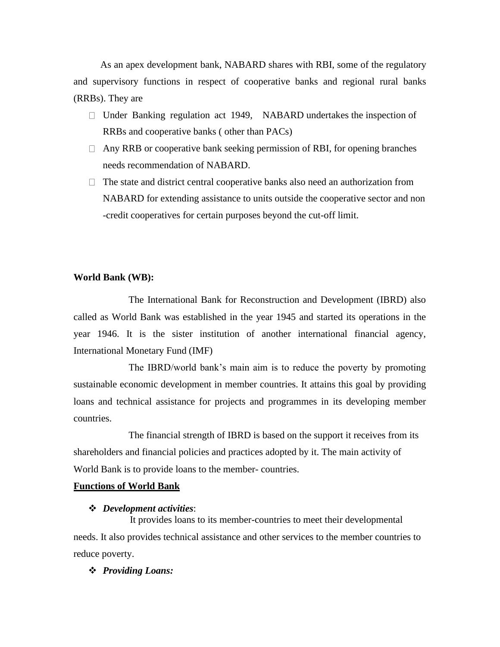As an apex development bank, NABARD shares with RBI, some of the regulatory and supervisory functions in respect of cooperative banks and regional rural banks (RRBs). They are

- $\Box$  Under Banking regulation act 1949, NABARD undertakes the inspection of RRBs and cooperative banks ( other than PACs)
- $\Box$  Any RRB or cooperative bank seeking permission of RBI, for opening branches needs recommendation of NABARD.
- $\Box$  The state and district central cooperative banks also need an authorization from NABARD for extending assistance to units outside the cooperative sector and non -credit cooperatives for certain purposes beyond the cut-off limit.

#### **World Bank (WB):**

The International Bank for Reconstruction and Development (IBRD) also called as World Bank was established in the year 1945 and started its operations in the year 1946. It is the sister institution of another international financial agency, International Monetary Fund (IMF)

The IBRD/world bank's main aim is to reduce the poverty by promoting sustainable economic development in member countries. It attains this goal by providing loans and technical assistance for projects and programmes in its developing member countries.

The financial strength of IBRD is based on the support it receives from its shareholders and financial policies and practices adopted by it. The main activity of World Bank is to provide loans to the member- countries.

#### **Functions of World Bank**

#### ❖ *Development activities*:

It provides loans to its member-countries to meet their developmental needs. It also provides technical assistance and other services to the member countries to reduce poverty.

#### ❖ *Providing Loans:*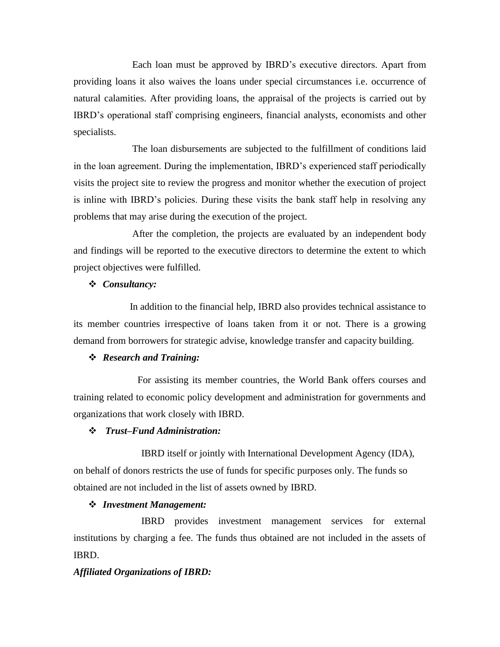Each loan must be approved by IBRD's executive directors. Apart from providing loans it also waives the loans under special circumstances i.e. occurrence of natural calamities. After providing loans, the appraisal of the projects is carried out by IBRD's operational staff comprising engineers, financial analysts, economists and other specialists.

The loan disbursements are subjected to the fulfillment of conditions laid in the loan agreement. During the implementation, IBRD's experienced staff periodically visits the project site to review the progress and monitor whether the execution of project is inline with IBRD's policies. During these visits the bank staff help in resolving any problems that may arise during the execution of the project.

After the completion, the projects are evaluated by an independent body and findings will be reported to the executive directors to determine the extent to which project objectives were fulfilled.

### ❖ *Consultancy:*

In addition to the financial help, IBRD also provides technical assistance to its member countries irrespective of loans taken from it or not. There is a growing demand from borrowers for strategic advise, knowledge transfer and capacity building.

#### ❖ *Research and Training:*

For assisting its member countries, the World Bank offers courses and training related to economic policy development and administration for governments and organizations that work closely with IBRD.

### ❖ *Trust–Fund Administration:*

IBRD itself or jointly with International Development Agency (IDA), on behalf of donors restricts the use of funds for specific purposes only. The funds so obtained are not included in the list of assets owned by IBRD.

### ❖ *Investment Management:*

IBRD provides investment management services for external institutions by charging a fee. The funds thus obtained are not included in the assets of IBRD.

### *Affiliated Organizations of IBRD:*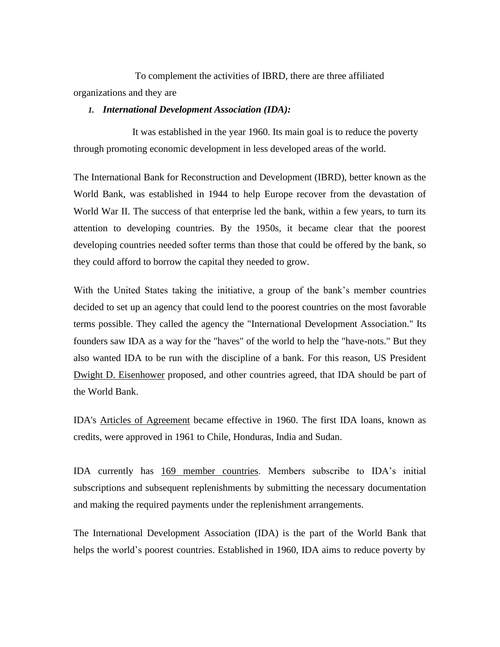To complement the activities of IBRD, there are three affiliated organizations and they are

### *1. International Development Association (IDA):*

It was established in the year 1960. Its main goal is to reduce the poverty through promoting economic development in less developed areas of the world.

The International Bank for Reconstruction and Development (IBRD), better known as the World Bank, was established in 1944 to help Europe recover from the devastation of World War II. The success of that enterprise led the bank, within a few years, to turn its attention to developing countries. By the 1950s, it became clear that the poorest developing countries needed softer terms than those that could be offered by the bank, so they could afford to borrow the capital they needed to grow.

With the United States taking the initiative, a group of the bank's member countries decided to set up an agency that could lend to the poorest countries on the most favorable terms possible. They called the agency the "International Development Association." Its founders saw IDA as a way for the "haves" of the world to help the "have-nots." But they also wanted IDA to be run with the discipline of a bank. For this reason, US President [Dwight D. Eisenhower](http://www.presidency.ucsb.edu/ws/index.php?pid=12050) proposed, and other countries agreed, that IDA should be part of the World Bank.

IDA's Articles of Agreement became effective in 1960. The first IDA loans, known as credits, were approved in 1961 to Chile, Honduras, India and Sudan.

IDA currently has [169 member countries.](http://egln0002.worldbank.org/public/sec/secrm/member.nsf/webalphaIDADate?OpenView&count=500) Members subscribe to IDA's initial subscriptions and subsequent replenishments by submitting the necessary documentation and making the required payments under the replenishment arrangements.

The International Development Association (IDA) is the part of the World Bank that helps the world's poorest countries. Established in 1960, IDA aims to reduce poverty by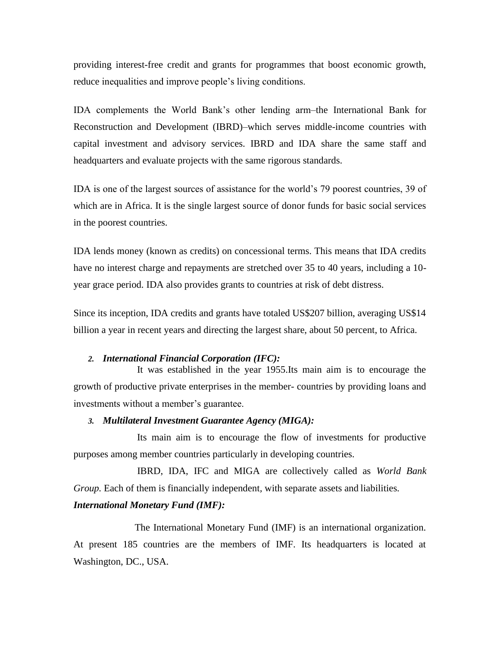providing interest-free credit and grants for programmes that boost economic growth, reduce inequalities and improve people's living conditions.

IDA complements the World Bank's other lending arm–the International Bank for Reconstruction and Development (IBRD)–which serves middle-income countries with capital investment and advisory services. IBRD and IDA share the same staff and headquarters and evaluate projects with the same rigorous standards.

IDA is one of the largest sources of assistance for the world's 79 poorest countries, 39 of which are in Africa. It is the single largest source of donor funds for basic social services in the poorest countries.

IDA lends money (known as credits) on concessional terms. This means that IDA credits have no interest charge and repayments are stretched over 35 to 40 years, including a 10 year grace period. IDA also provides grants to countries at risk of debt distress.

Since its inception, IDA credits and grants have totaled US\$207 billion, averaging US\$14 billion a year in recent years and directing the largest share, about 50 percent, to Africa.

#### *2. International Financial Corporation (IFC):*

It was established in the year 1955.Its main aim is to encourage the growth of productive private enterprises in the member- countries by providing loans and investments without a member's guarantee.

# *3. Multilateral Investment Guarantee Agency (MIGA):*

Its main aim is to encourage the flow of investments for productive purposes among member countries particularly in developing countries.

IBRD, IDA, IFC and MIGA are collectively called as *World Bank Group.* Each of them is financially independent*,* with separate assets and liabilities*.*

### *International Monetary Fund (IMF):*

The International Monetary Fund (IMF) is an international organization. At present 185 countries are the members of IMF. Its headquarters is located at Washington, DC., USA.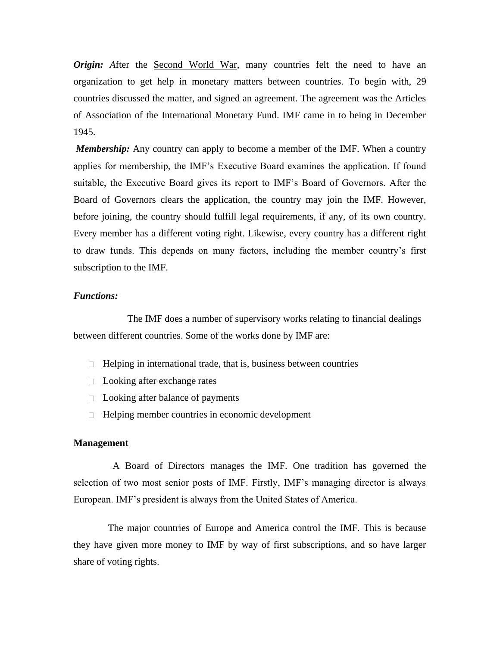*Origin:* After the [Second World War,](http://simple.wikipedia.org/wiki/Second_World_War) many countries felt the need to have an organization to get help in monetary matters between countries. To begin with, 29 countries discussed the matter, and signed an agreement. The agreement was the Articles of Association of the International Monetary Fund. IMF came in to being in December 1945.

*Membership:* Any country can apply to become a member of the IMF. When a country applies for membership, the IMF's Executive Board examines the application. If found suitable, the Executive Board gives its report to IMF's Board of Governors. After the Board of Governors clears the application, the country may join the IMF. However, before joining, the country should fulfill legal requirements, if any, of its own country. Every member has a different voting right. Likewise, every country has a different right to draw funds. This depends on many factors, including the member country's first subscription to the IMF.

### *Functions:*

The IMF does a number of supervisory works relating to financial dealings between different countries. Some of the works done by IMF are:

- $\Box$  Helping in international trade, that is, business between countries
- □ Looking after exchange rates
- □ Looking after balance of payments
- $\Box$  Helping member countries in economic development

#### **Management**

A Board of Directors manages the IMF. One tradition has governed the selection of two most senior posts of IMF. Firstly, IMF's managing director is always European. IMF's president is always from the United States of America.

The major countries of Europe and America control the IMF. This is because they have given more money to IMF by way of first subscriptions, and so have larger share of voting rights.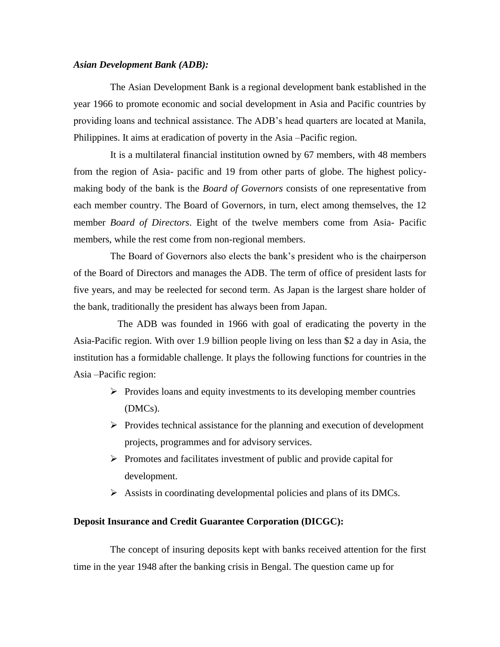#### *Asian Development Bank (ADB):*

The Asian Development Bank is a regional development bank established in the year 1966 to promote economic and social development in Asia and Pacific countries by providing loans and technical assistance. The ADB's head quarters are located at Manila, Philippines. It aims at eradication of poverty in the Asia –Pacific region.

It is a multilateral financial institution owned by 67 members, with 48 members from the region of Asia- pacific and 19 from other parts of globe. The highest policymaking body of the bank is the *Board of Governors* consists of one representative from each member country. The Board of Governors, in turn, elect among themselves, the 12 member *Board of Directors*. Eight of the twelve members come from Asia- Pacific members, while the rest come from non-regional members.

The Board of Governors also elects the bank's president who is the chairperson of the Board of Directors and manages the ADB. The term of office of president lasts for five years, and may be reelected for second term. As Japan is the largest share holder of the bank, traditionally the president has always been from Japan.

The ADB was founded in 1966 with goal of eradicating the poverty in the Asia-Pacific region. With over 1.9 billion people living on less than \$2 a day in Asia, the institution has a formidable challenge. It plays the following functions for countries in the Asia –Pacific region:

- ➢ Provides loans and equity investments to its developing member countries (DMCs).
- $\triangleright$  Provides technical assistance for the planning and execution of development projects, programmes and for advisory services.
- ➢ Promotes and facilitates investment of public and provide capital for development.
- ➢ Assists in coordinating developmental policies and plans of its DMCs.

### **Deposit Insurance and Credit Guarantee Corporation (DICGC):**

The concept of insuring deposits kept with banks received attention for the first time in the year 1948 after the banking crisis in Bengal. The question came up for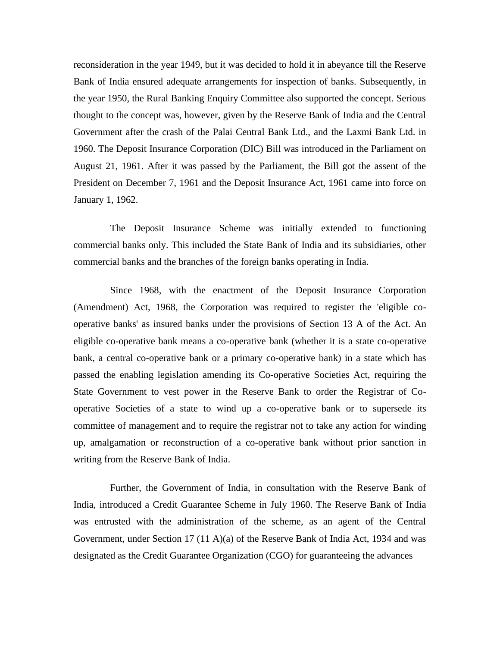reconsideration in the year 1949, but it was decided to hold it in abeyance till the Reserve Bank of India ensured adequate arrangements for inspection of banks. Subsequently, in the year 1950, the Rural Banking Enquiry Committee also supported the concept. Serious thought to the concept was, however, given by the Reserve Bank of India and the Central Government after the crash of the Palai Central Bank Ltd., and the Laxmi Bank Ltd. in 1960. The Deposit Insurance Corporation (DIC) Bill was introduced in the Parliament on August 21, 1961. After it was passed by the Parliament, the Bill got the assent of the President on December 7, 1961 and the Deposit Insurance Act, 1961 came into force on January 1, 1962.

The Deposit Insurance Scheme was initially extended to functioning commercial banks only. This included the State Bank of India and its subsidiaries, other commercial banks and the branches of the foreign banks operating in India.

Since 1968, with the enactment of the Deposit Insurance Corporation (Amendment) Act, 1968, the Corporation was required to register the 'eligible cooperative banks' as insured banks under the provisions of Section 13 A of the Act. An eligible co-operative bank means a co-operative bank (whether it is a state co-operative bank, a central co-operative bank or a primary co-operative bank) in a state which has passed the enabling legislation amending its Co-operative Societies Act, requiring the State Government to vest power in the Reserve Bank to order the Registrar of Cooperative Societies of a state to wind up a co-operative bank or to supersede its committee of management and to require the registrar not to take any action for winding up, amalgamation or reconstruction of a co-operative bank without prior sanction in writing from the Reserve Bank of India.

Further, the Government of India, in consultation with the Reserve Bank of India, introduced a Credit Guarantee Scheme in July 1960. The Reserve Bank of India was entrusted with the administration of the scheme, as an agent of the Central Government, under Section 17 (11 A)(a) of the Reserve Bank of India Act, 1934 and was designated as the Credit Guarantee Organization (CGO) for guaranteeing the advances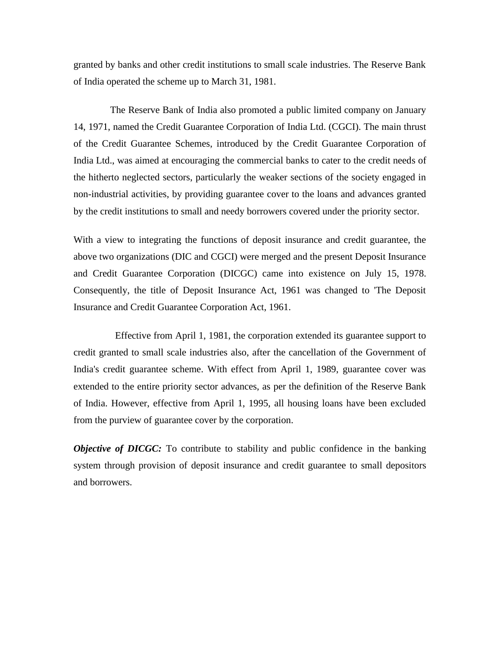granted by banks and other credit institutions to small scale industries. The Reserve Bank of India operated the scheme up to March 31, 1981.

The Reserve Bank of India also promoted a public limited company on January 14, 1971, named the Credit Guarantee Corporation of India Ltd. (CGCI). The main thrust of the Credit Guarantee Schemes, introduced by the Credit Guarantee Corporation of India Ltd., was aimed at encouraging the commercial banks to cater to the credit needs of the hitherto neglected sectors, particularly the weaker sections of the society engaged in non-industrial activities, by providing guarantee cover to the loans and advances granted by the credit institutions to small and needy borrowers covered under the priority sector.

With a view to integrating the functions of deposit insurance and credit guarantee, the above two organizations (DIC and CGCI) were merged and the present Deposit Insurance and Credit Guarantee Corporation (DICGC) came into existence on July 15, 1978. Consequently, the title of Deposit Insurance Act, 1961 was changed to 'The Deposit Insurance and Credit Guarantee Corporation Act, 1961.

Effective from April 1, 1981, the corporation extended its guarantee support to credit granted to small scale industries also, after the cancellation of the Government of India's credit guarantee scheme. With effect from April 1, 1989, guarantee cover was extended to the entire priority sector advances, as per the definition of the Reserve Bank of India. However, effective from April 1, 1995, all housing loans have been excluded from the purview of guarantee cover by the corporation.

*Objective of DICGC:* To contribute to stability and public confidence in the banking system through provision of deposit insurance and credit guarantee to small depositors and borrowers.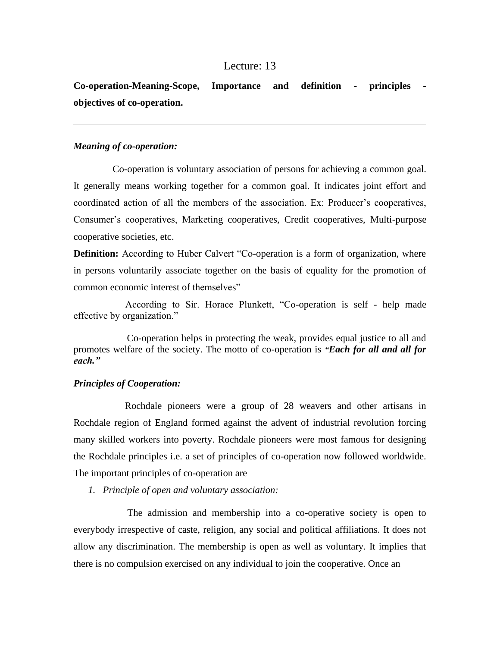## Lecture: 13

**Co-operation-Meaning-Scope, Importance and definition - principles objectives of co-operation.**

## *Meaning of co-operation:*

Co-operation is voluntary association of persons for achieving a common goal. It generally means working together for a common goal. It indicates joint effort and coordinated action of all the members of the association. Ex: Producer's cooperatives, Consumer's cooperatives, Marketing cooperatives, Credit cooperatives, Multi-purpose cooperative societies, etc.

**Definition:** According to Huber Calvert "Co-operation is a form of organization, where in persons voluntarily associate together on the basis of equality for the promotion of common economic interest of themselves"

According to Sir. Horace Plunkett, "Co-operation is self - help made effective by organization."

Co-operation helps in protecting the weak, provides equal justice to all and promotes welfare of the society. The motto of co-operation is *"Each for all and all for each."*

#### *Principles of Cooperation:*

Rochdale pioneers were a group of 28 weavers and other artisans in Rochdale region of England formed against the advent of industrial revolution forcing many skilled workers into poverty. Rochdale pioneers were most famous for designing the Rochdale principles i.e. a set of principles of co-operation now followed worldwide. The important principles of co-operation are

*1. Principle of open and voluntary association:*

The admission and membership into a co-operative society is open to everybody irrespective of caste, religion, any social and political affiliations. It does not allow any discrimination. The membership is open as well as voluntary. It implies that there is no compulsion exercised on any individual to join the cooperative. Once an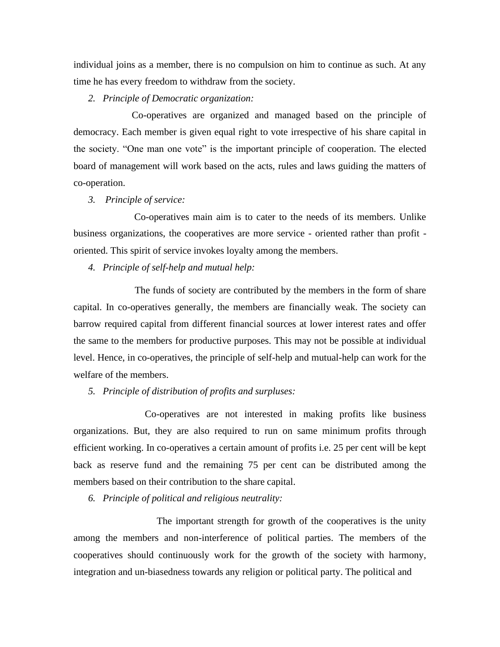individual joins as a member, there is no compulsion on him to continue as such. At any time he has every freedom to withdraw from the society.

*2. Principle of Democratic organization:*

Co-operatives are organized and managed based on the principle of democracy. Each member is given equal right to vote irrespective of his share capital in the society. "One man one vote" is the important principle of cooperation. The elected board of management will work based on the acts, rules and laws guiding the matters of co-operation.

*3. Principle of service:*

Co-operatives main aim is to cater to the needs of its members. Unlike business organizations, the cooperatives are more service - oriented rather than profit oriented. This spirit of service invokes loyalty among the members.

*4. Principle of self-help and mutual help:*

The funds of society are contributed by the members in the form of share capital. In co-operatives generally, the members are financially weak. The society can barrow required capital from different financial sources at lower interest rates and offer the same to the members for productive purposes. This may not be possible at individual level. Hence, in co-operatives, the principle of self-help and mutual-help can work for the welfare of the members.

*5. Principle of distribution of profits and surpluses:*

Co-operatives are not interested in making profits like business organizations. But, they are also required to run on same minimum profits through efficient working. In co-operatives a certain amount of profits i.e. 25 per cent will be kept back as reserve fund and the remaining 75 per cent can be distributed among the members based on their contribution to the share capital.

*6. Principle of political and religious neutrality:*

The important strength for growth of the cooperatives is the unity among the members and non-interference of political parties. The members of the cooperatives should continuously work for the growth of the society with harmony, integration and un-biasedness towards any religion or political party. The political and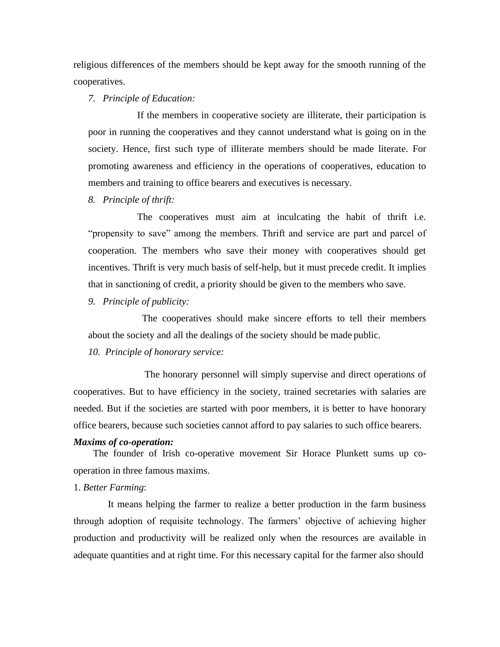religious differences of the members should be kept away for the smooth running of the cooperatives.

#### *7. Principle of Education:*

If the members in cooperative society are illiterate, their participation is poor in running the cooperatives and they cannot understand what is going on in the society. Hence, first such type of illiterate members should be made literate. For promoting awareness and efficiency in the operations of cooperatives, education to members and training to office bearers and executives is necessary.

*8. Principle of thrift:*

The cooperatives must aim at inculcating the habit of thrift i.e. "propensity to save" among the members. Thrift and service are part and parcel of cooperation. The members who save their money with cooperatives should get incentives. Thrift is very much basis of self-help, but it must precede credit. It implies that in sanctioning of credit, a priority should be given to the members who save.

*9. Principle of publicity:*

The cooperatives should make sincere efforts to tell their members about the society and all the dealings of the society should be made public.

*10. Principle of honorary service:*

The honorary personnel will simply supervise and direct operations of cooperatives. But to have efficiency in the society, trained secretaries with salaries are needed. But if the societies are started with poor members, it is better to have honorary office bearers, because such societies cannot afford to pay salaries to such office bearers.

#### *Maxims of co-operation:*

The founder of Irish co-operative movement Sir Horace Plunkett sums up cooperation in three famous maxims.

#### 1. *Better Farming*:

It means helping the farmer to realize a better production in the farm business through adoption of requisite technology. The farmers' objective of achieving higher production and productivity will be realized only when the resources are available in adequate quantities and at right time. For this necessary capital for the farmer also should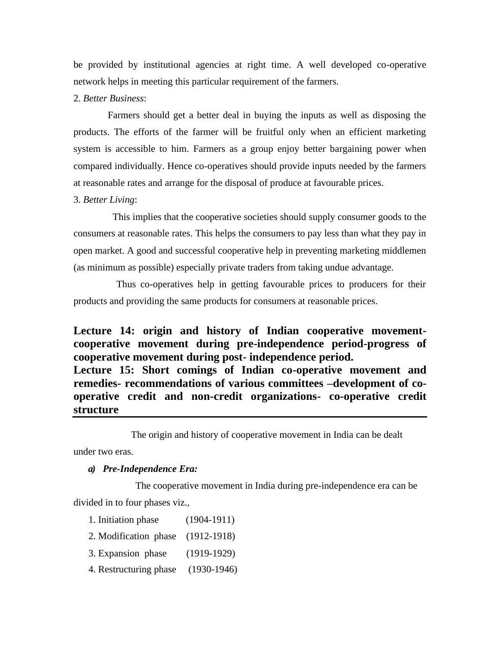be provided by institutional agencies at right time. A well developed co-operative network helps in meeting this particular requirement of the farmers.

## 2. *Better Business*:

Farmers should get a better deal in buying the inputs as well as disposing the products. The efforts of the farmer will be fruitful only when an efficient marketing system is accessible to him. Farmers as a group enjoy better bargaining power when compared individually. Hence co-operatives should provide inputs needed by the farmers at reasonable rates and arrange for the disposal of produce at favourable prices.

## 3. *Better Living*:

This implies that the cooperative societies should supply consumer goods to the consumers at reasonable rates. This helps the consumers to pay less than what they pay in open market. A good and successful cooperative help in preventing marketing middlemen (as minimum as possible) especially private traders from taking undue advantage.

Thus co-operatives help in getting favourable prices to producers for their products and providing the same products for consumers at reasonable prices.

# **Lecture 14: origin and history of Indian cooperative movementcooperative movement during pre-independence period-progress of cooperative movement during post- independence period.**

**Lecture 15: Short comings of Indian co-operative movement and remedies- recommendations of various committees –development of cooperative credit and non-credit organizations- co-operative credit structure**

The origin and history of cooperative movement in India can be dealt

under two eras.

#### *a) Pre-Independence Era:*

The cooperative movement in India during pre-independence era can be

divided in to four phases viz.,

- 1. Initiation phase (1904-1911)
- 2. Modification phase (1912-1918)
- 3. Expansion phase (1919-1929)
- 4. Restructuring phase (1930-1946)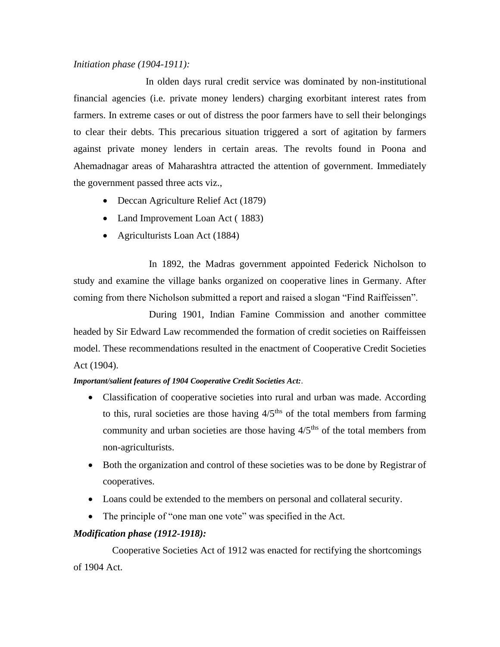## *Initiation phase (1904-1911):*

In olden days rural credit service was dominated by non-institutional financial agencies (i.e. private money lenders) charging exorbitant interest rates from farmers. In extreme cases or out of distress the poor farmers have to sell their belongings to clear their debts. This precarious situation triggered a sort of agitation by farmers against private money lenders in certain areas. The revolts found in Poona and Ahemadnagar areas of Maharashtra attracted the attention of government. Immediately the government passed three acts viz.,

- Deccan Agriculture Relief Act (1879)
- Land Improvement Loan Act (1883)
- Agriculturists Loan Act (1884)

In 1892, the Madras government appointed Federick Nicholson to study and examine the village banks organized on cooperative lines in Germany. After coming from there Nicholson submitted a report and raised a slogan "Find Raiffeissen".

During 1901, Indian Famine Commission and another committee headed by Sir Edward Law recommended the formation of credit societies on Raiffeissen model. These recommendations resulted in the enactment of Cooperative Credit Societies Act (1904).

#### *Important/salient features of 1904 Cooperative Credit Societies Act:.*

- Classification of cooperative societies into rural and urban was made. According to this, rural societies are those having  $4/5$ <sup>ths</sup> of the total members from farming community and urban societies are those having  $4/5<sup>ths</sup>$  of the total members from non-agriculturists.
- Both the organization and control of these societies was to be done by Registrar of cooperatives.
- Loans could be extended to the members on personal and collateral security.
- The principle of "one man one vote" was specified in the Act.

## *Modification phase (1912-1918):*

Cooperative Societies Act of 1912 was enacted for rectifying the shortcomings of 1904 Act.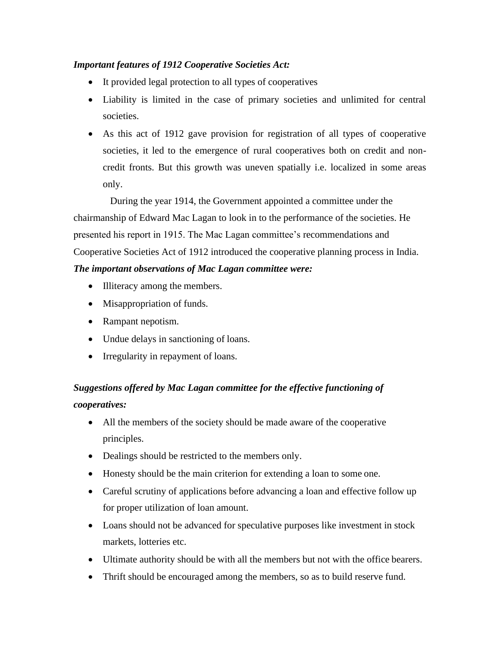# *Important features of 1912 Cooperative Societies Act:*

- It provided legal protection to all types of cooperatives
- Liability is limited in the case of primary societies and unlimited for central societies.
- As this act of 1912 gave provision for registration of all types of cooperative societies, it led to the emergence of rural cooperatives both on credit and noncredit fronts. But this growth was uneven spatially i.e. localized in some areas only.

During the year 1914, the Government appointed a committee under the chairmanship of Edward Mac Lagan to look in to the performance of the societies. He presented his report in 1915. The Mac Lagan committee's recommendations and Cooperative Societies Act of 1912 introduced the cooperative planning process in India.

# *The important observations of Mac Lagan committee were:*

- Illiteracy among the members.
- Misappropriation of funds.
- Rampant nepotism.
- Undue delays in sanctioning of loans.
- Irregularity in repayment of loans.

# *Suggestions offered by Mac Lagan committee for the effective functioning of cooperatives:*

- All the members of the society should be made aware of the cooperative principles.
- Dealings should be restricted to the members only.
- Honesty should be the main criterion for extending a loan to some one.
- Careful scrutiny of applications before advancing a loan and effective follow up for proper utilization of loan amount.
- Loans should not be advanced for speculative purposes like investment in stock markets, lotteries etc.
- Ultimate authority should be with all the members but not with the office bearers.
- Thrift should be encouraged among the members, so as to build reserve fund.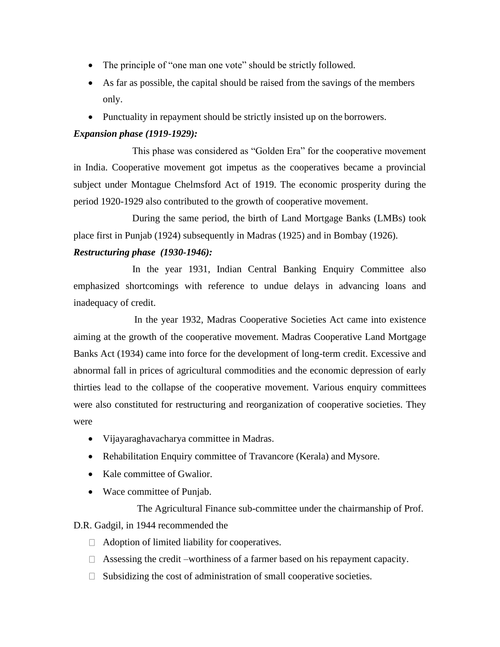- The principle of "one man one vote" should be strictly followed.
- As far as possible, the capital should be raised from the savings of the members only.
- Punctuality in repayment should be strictly insisted up on the borrowers.

## *Expansion phase (1919-1929):*

This phase was considered as "Golden Era" for the cooperative movement in India. Cooperative movement got impetus as the cooperatives became a provincial subject under Montague Chelmsford Act of 1919. The economic prosperity during the period 1920-1929 also contributed to the growth of cooperative movement.

During the same period, the birth of Land Mortgage Banks (LMBs) took place first in Punjab (1924) subsequently in Madras (1925) and in Bombay (1926).

## *Restructuring phase (1930-1946):*

In the year 1931, Indian Central Banking Enquiry Committee also emphasized shortcomings with reference to undue delays in advancing loans and inadequacy of credit.

In the year 1932, Madras Cooperative Societies Act came into existence aiming at the growth of the cooperative movement. Madras Cooperative Land Mortgage Banks Act (1934) came into force for the development of long-term credit. Excessive and abnormal fall in prices of agricultural commodities and the economic depression of early thirties lead to the collapse of the cooperative movement. Various enquiry committees were also constituted for restructuring and reorganization of cooperative societies. They were

- Vijayaraghavacharya committee in Madras.
- Rehabilitation Enquiry committee of Travancore (Kerala) and Mysore.
- Kale committee of Gwalior.
- Wace committee of Punjab.

The Agricultural Finance sub-committee under the chairmanship of Prof.

D.R. Gadgil, in 1944 recommended the

- $\Box$  Adoption of limited liability for cooperatives.
- $\Box$  Assessing the credit –worthiness of a farmer based on his repayment capacity.
- $\Box$  Subsidizing the cost of administration of small cooperative societies.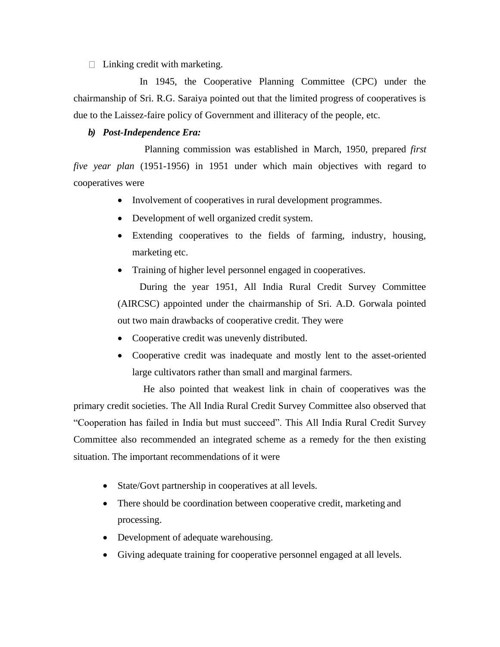$\Box$  Linking credit with marketing.

In 1945, the Cooperative Planning Committee (CPC) under the chairmanship of Sri. R.G. Saraiya pointed out that the limited progress of cooperatives is due to the Laissez-faire policy of Government and illiteracy of the people, etc.

## *b) Post-Independence Era:*

Planning commission was established in March, 1950, prepared *first five year plan* (1951-1956) in 1951 under which main objectives with regard to cooperatives were

- Involvement of cooperatives in rural development programmes.
- Development of well organized credit system.
- Extending cooperatives to the fields of farming, industry, housing, marketing etc.
- Training of higher level personnel engaged in cooperatives.

During the year 1951, All India Rural Credit Survey Committee (AIRCSC) appointed under the chairmanship of Sri. A.D. Gorwala pointed out two main drawbacks of cooperative credit. They were

- Cooperative credit was unevenly distributed.
- Cooperative credit was inadequate and mostly lent to the asset-oriented large cultivators rather than small and marginal farmers.

He also pointed that weakest link in chain of cooperatives was the primary credit societies. The All India Rural Credit Survey Committee also observed that "Cooperation has failed in India but must succeed". This All India Rural Credit Survey Committee also recommended an integrated scheme as a remedy for the then existing situation. The important recommendations of it were

- State/Govt partnership in cooperatives at all levels.
- There should be coordination between cooperative credit, marketing and processing.
- Development of adequate warehousing.
- Giving adequate training for cooperative personnel engaged at all levels.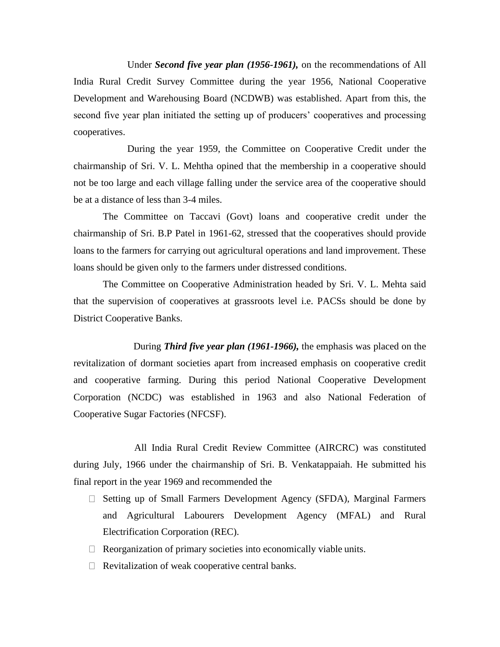Under *Second five year plan (1956-1961),* on the recommendations of All India Rural Credit Survey Committee during the year 1956, National Cooperative Development and Warehousing Board (NCDWB) was established. Apart from this, the second five year plan initiated the setting up of producers' cooperatives and processing cooperatives.

During the year 1959, the Committee on Cooperative Credit under the chairmanship of Sri. V. L. Mehtha opined that the membership in a cooperative should not be too large and each village falling under the service area of the cooperative should be at a distance of less than 3-4 miles.

The Committee on Taccavi (Govt) loans and cooperative credit under the chairmanship of Sri. B.P Patel in 1961-62, stressed that the cooperatives should provide loans to the farmers for carrying out agricultural operations and land improvement. These loans should be given only to the farmers under distressed conditions.

The Committee on Cooperative Administration headed by Sri. V. L. Mehta said that the supervision of cooperatives at grassroots level i.e. PACSs should be done by District Cooperative Banks.

During *Third five year plan (1961-1966),* the emphasis was placed on the revitalization of dormant societies apart from increased emphasis on cooperative credit and cooperative farming. During this period National Cooperative Development Corporation (NCDC) was established in 1963 and also National Federation of Cooperative Sugar Factories (NFCSF).

All India Rural Credit Review Committee (AIRCRC) was constituted during July, 1966 under the chairmanship of Sri. B. Venkatappaiah. He submitted his final report in the year 1969 and recommended the

- □ Setting up of Small Farmers Development Agency (SFDA), Marginal Farmers and Agricultural Labourers Development Agency (MFAL) and Rural Electrification Corporation (REC).
- $\Box$  Reorganization of primary societies into economically viable units.
- $\Box$  Revitalization of weak cooperative central banks.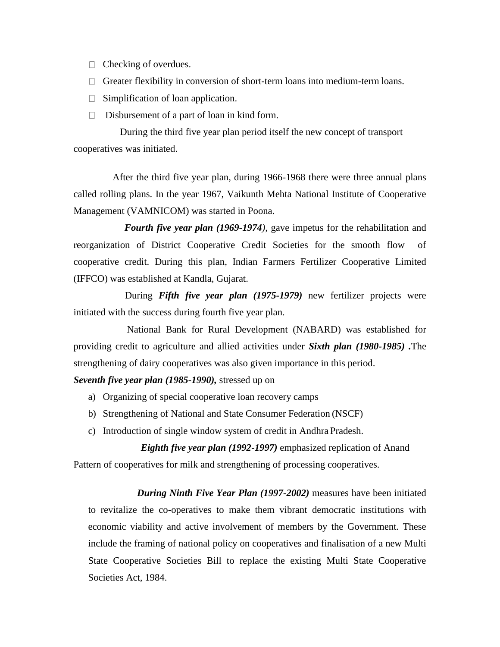- $\Box$  Checking of overdues.
- $\Box$  Greater flexibility in conversion of short-term loans into medium-term loans.
- $\Box$  Simplification of loan application.
- $\Box$  Disbursement of a part of loan in kind form.

During the third five year plan period itself the new concept of transport cooperatives was initiated.

After the third five year plan, during 1966-1968 there were three annual plans called rolling plans. In the year 1967, Vaikunth Mehta National Institute of Cooperative Management (VAMNICOM) was started in Poona.

*Fourth five year plan (1969-1974)*, gave impetus for the rehabilitation and reorganization of District Cooperative Credit Societies for the smooth flow of cooperative credit. During this plan, Indian Farmers Fertilizer Cooperative Limited (IFFCO) was established at Kandla, Gujarat.

During *Fifth five year plan (1975-1979)* new fertilizer projects were initiated with the success during fourth five year plan.

National Bank for Rural Development (NABARD) was established for providing credit to agriculture and allied activities under *Sixth plan (1980-1985) .*The strengthening of dairy cooperatives was also given importance in this period.

#### *Seventh five year plan (1985-1990),* stressed up on

- a) Organizing of special cooperative loan recovery camps
- b) Strengthening of National and State Consumer Federation (NSCF)
- c) Introduction of single window system of credit in Andhra Pradesh.

## *Eighth five year plan (1992-1997)* emphasized replication of Anand

Pattern of cooperatives for milk and strengthening of processing cooperatives.

*During Ninth Five Year Plan (1997-2002)* measures have been initiated to revitalize the co-operatives to make them vibrant democratic institutions with economic viability and active involvement of members by the Government. These include the framing of national policy on cooperatives and finalisation of a new Multi State Cooperative Societies Bill to replace the existing Multi State Cooperative Societies Act, 1984.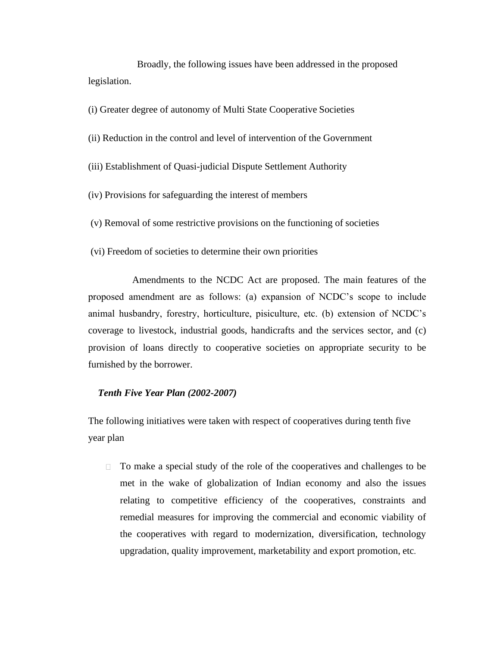Broadly, the following issues have been addressed in the proposed legislation.

(i) Greater degree of autonomy of Multi State Cooperative Societies

- (ii) Reduction in the control and level of intervention of the Government
- (iii) Establishment of Quasi-judicial Dispute Settlement Authority
- (iv) Provisions for safeguarding the interest of members
- (v) Removal of some restrictive provisions on the functioning of societies
- (vi) Freedom of societies to determine their own priorities

Amendments to the NCDC Act are proposed. The main features of the proposed amendment are as follows: (a) expansion of NCDC's scope to include animal husbandry, forestry, horticulture, pisiculture, etc. (b) extension of NCDC's coverage to livestock, industrial goods, handicrafts and the services sector, and (c) provision of loans directly to cooperative societies on appropriate security to be furnished by the borrower.

#### *Tenth Five Year Plan (2002-2007)*

The following initiatives were taken with respect of cooperatives during tenth five year plan

To make a special study of the role of the cooperatives and challenges to be met in the wake of globalization of Indian economy and also the issues relating to competitive efficiency of the cooperatives, constraints and remedial measures for improving the commercial and economic viability of the cooperatives with regard to modernization, diversification, technology upgradation, quality improvement, marketability and export promotion, etc.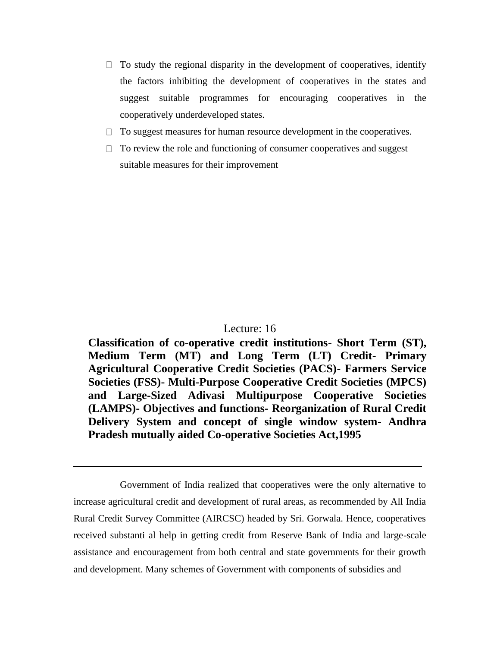- $\Box$  To study the regional disparity in the development of cooperatives, identify the factors inhibiting the development of cooperatives in the states and suggest suitable programmes for encouraging cooperatives in the cooperatively underdeveloped states.
- $\Box$  To suggest measures for human resource development in the cooperatives.
- $\Box$  To review the role and functioning of consumer cooperatives and suggest suitable measures for their improvement

## Lecture: 16

**Classification of co-operative credit institutions- Short Term (ST), Medium Term (MT) and Long Term (LT) Credit- Primary Agricultural Cooperative Credit Societies (PACS)- Farmers Service Societies (FSS)- Multi-Purpose Cooperative Credit Societies (MPCS) and Large-Sized Adivasi Multipurpose Cooperative Societies (LAMPS)- Objectives and functions- Reorganization of Rural Credit Delivery System and concept of single window system- Andhra Pradesh mutually aided Co-operative Societies Act,1995**

Government of India realized that cooperatives were the only alternative to increase agricultural credit and development of rural areas, as recommended by All India Rural Credit Survey Committee (AIRCSC) headed by Sri. Gorwala. Hence, cooperatives received substanti al help in getting credit from Reserve Bank of India and large-scale assistance and encouragement from both central and state governments for their growth and development. Many schemes of Government with components of subsidies and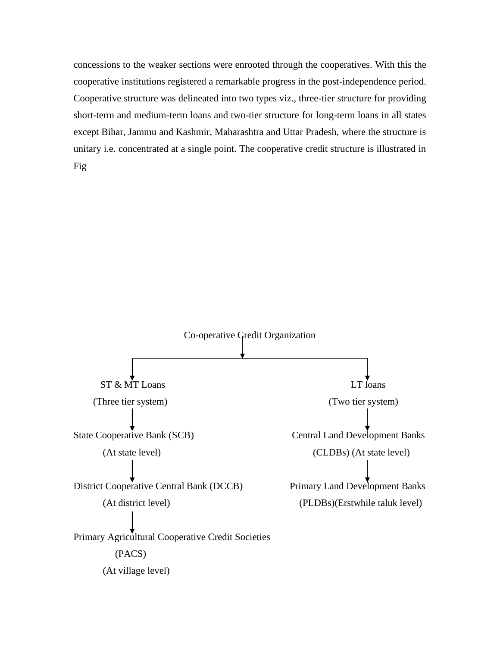concessions to the weaker sections were enrooted through the cooperatives. With this the cooperative institutions registered a remarkable progress in the post-independence period. Cooperative structure was delineated into two types viz., three-tier structure for providing short-term and medium-term loans and two-tier structure for long-term loans in all states except Bihar, Jammu and Kashmir, Maharashtra and Uttar Pradesh, where the structure is unitary i.e. concentrated at a single point. The cooperative credit structure is illustrated in Fig

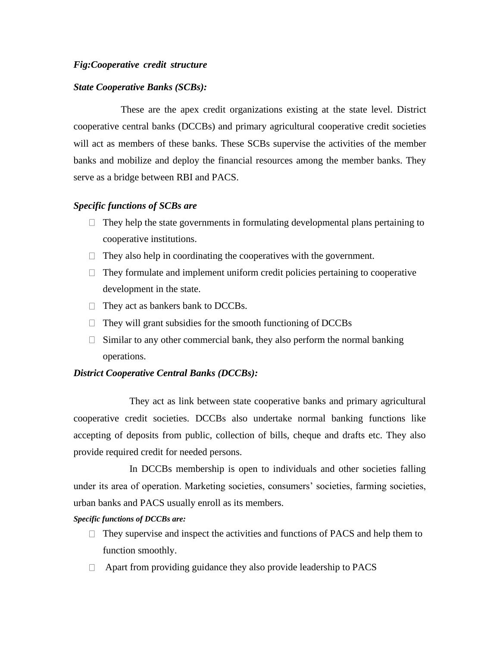#### *Fig:Cooperative credit structure*

#### *State Cooperative Banks (SCBs):*

These are the apex credit organizations existing at the state level. District cooperative central banks (DCCBs) and primary agricultural cooperative credit societies will act as members of these banks. These SCBs supervise the activities of the member banks and mobilize and deploy the financial resources among the member banks. They serve as a bridge between RBI and PACS.

#### *Specific functions of SCBs are*

- $\Box$  They help the state governments in formulating developmental plans pertaining to cooperative institutions.
- $\Box$  They also help in coordinating the cooperatives with the government.
- $\Box$  They formulate and implement uniform credit policies pertaining to cooperative development in the state.
- $\Box$  They act as bankers bank to DCCBs.
- $\Box$  They will grant subsidies for the smooth functioning of DCCBs
- $\Box$  Similar to any other commercial bank, they also perform the normal banking operations.

#### *District Cooperative Central Banks (DCCBs):*

They act as link between state cooperative banks and primary agricultural cooperative credit societies. DCCBs also undertake normal banking functions like accepting of deposits from public, collection of bills, cheque and drafts etc. They also provide required credit for needed persons.

In DCCBs membership is open to individuals and other societies falling under its area of operation. Marketing societies, consumers' societies, farming societies, urban banks and PACS usually enroll as its members.

*Specific functions of DCCBs are:*

- $\Box$  They supervise and inspect the activities and functions of PACS and help them to function smoothly.
- $\Box$  Apart from providing guidance they also provide leadership to PACS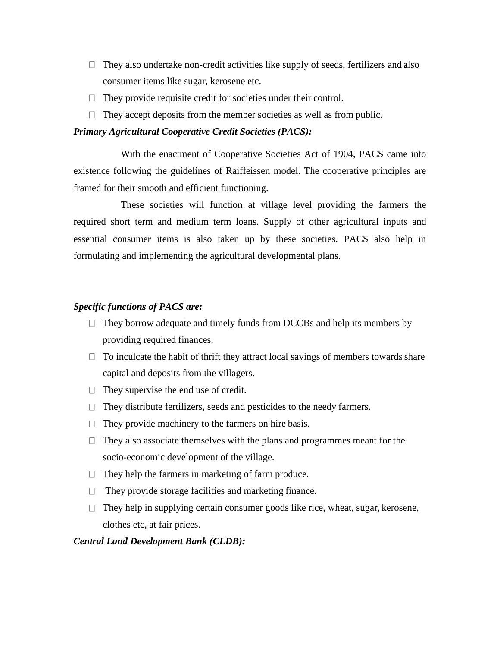- $\Box$  They also undertake non-credit activities like supply of seeds, fertilizers and also consumer items like sugar, kerosene etc.
- $\Box$  They provide requisite credit for societies under their control.
- $\Box$  They accept deposits from the member societies as well as from public.

## *Primary Agricultural Cooperative Credit Societies (PACS):*

With the enactment of Cooperative Societies Act of 1904, PACS came into existence following the guidelines of Raiffeissen model. The cooperative principles are framed for their smooth and efficient functioning.

These societies will function at village level providing the farmers the required short term and medium term loans. Supply of other agricultural inputs and essential consumer items is also taken up by these societies. PACS also help in formulating and implementing the agricultural developmental plans.

## *Specific functions of PACS are:*

- $\Box$  They borrow adequate and timely funds from DCCBs and help its members by providing required finances.
- $\Box$  To inculcate the habit of thrift they attract local savings of members towards share capital and deposits from the villagers.
- $\Box$  They supervise the end use of credit.
- $\Box$  They distribute fertilizers, seeds and pesticides to the needy farmers.
- $\Box$  They provide machinery to the farmers on hire basis.
- $\Box$  They also associate themselves with the plans and programmes meant for the socio-economic development of the village.
- $\Box$  They help the farmers in marketing of farm produce.
- $\Box$  They provide storage facilities and marketing finance.
- $\Box$  They help in supplying certain consumer goods like rice, wheat, sugar, kerosene, clothes etc, at fair prices.

## *Central Land Development Bank (CLDB):*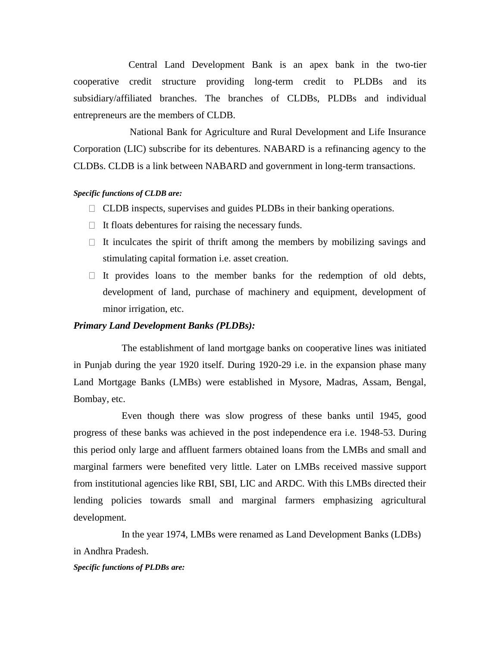Central Land Development Bank is an apex bank in the two-tier cooperative credit structure providing long-term credit to PLDBs and its subsidiary/affiliated branches. The branches of CLDBs, PLDBs and individual entrepreneurs are the members of CLDB.

National Bank for Agriculture and Rural Development and Life Insurance Corporation (LIC) subscribe for its debentures. NABARD is a refinancing agency to the CLDBs. CLDB is a link between NABARD and government in long-term transactions.

#### *Specific functions of CLDB are:*

- CLDB inspects, supervises and guides PLDBs in their banking operations.
- $\Box$  It floats debentures for raising the necessary funds.
- $\Box$  It inculcates the spirit of thrift among the members by mobilizing savings and stimulating capital formation i.e. asset creation.
- $\Box$  It provides loans to the member banks for the redemption of old debts, development of land, purchase of machinery and equipment, development of minor irrigation, etc.

#### *Primary Land Development Banks (PLDBs):*

The establishment of land mortgage banks on cooperative lines was initiated in Punjab during the year 1920 itself. During 1920-29 i.e. in the expansion phase many Land Mortgage Banks (LMBs) were established in Mysore, Madras, Assam, Bengal, Bombay, etc.

Even though there was slow progress of these banks until 1945, good progress of these banks was achieved in the post independence era i.e. 1948-53. During this period only large and affluent farmers obtained loans from the LMBs and small and marginal farmers were benefited very little. Later on LMBs received massive support from institutional agencies like RBI, SBI, LIC and ARDC. With this LMBs directed their lending policies towards small and marginal farmers emphasizing agricultural development.

In the year 1974, LMBs were renamed as Land Development Banks (LDBs) in Andhra Pradesh.

#### *Specific functions of PLDBs are:*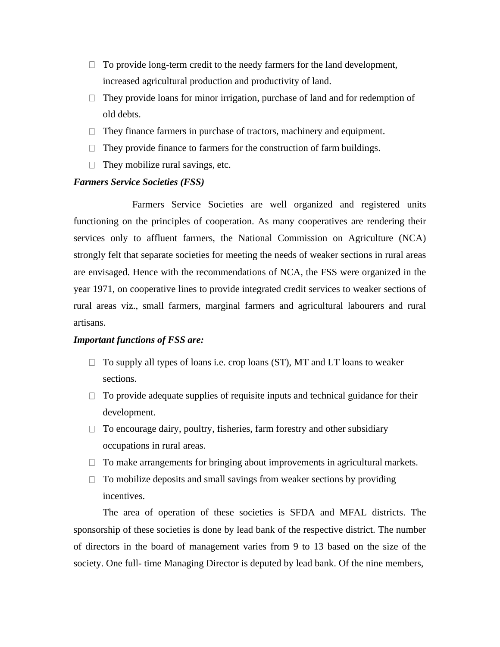- $\Box$  To provide long-term credit to the needy farmers for the land development, increased agricultural production and productivity of land.
- $\Box$  They provide loans for minor irrigation, purchase of land and for redemption of old debts.
- $\Box$  They finance farmers in purchase of tractors, machinery and equipment.
- $\Box$  They provide finance to farmers for the construction of farm buildings.
- $\Box$  They mobilize rural savings, etc.

## *Farmers Service Societies (FSS)*

Farmers Service Societies are well organized and registered units functioning on the principles of cooperation. As many cooperatives are rendering their services only to affluent farmers, the National Commission on Agriculture (NCA) strongly felt that separate societies for meeting the needs of weaker sections in rural areas are envisaged. Hence with the recommendations of NCA, the FSS were organized in the year 1971, on cooperative lines to provide integrated credit services to weaker sections of rural areas viz., small farmers, marginal farmers and agricultural labourers and rural artisans.

#### *Important functions of FSS are:*

- $\Box$  To supply all types of loans i.e. crop loans (ST), MT and LT loans to weaker sections.
- $\Box$  To provide adequate supplies of requisite inputs and technical guidance for their development.
- $\Box$  To encourage dairy, poultry, fisheries, farm forestry and other subsidiary occupations in rural areas.
- $\Box$  To make arrangements for bringing about improvements in agricultural markets.
- $\Box$  To mobilize deposits and small savings from weaker sections by providing incentives.

The area of operation of these societies is SFDA and MFAL districts. The sponsorship of these societies is done by lead bank of the respective district. The number of directors in the board of management varies from 9 to 13 based on the size of the society. One full- time Managing Director is deputed by lead bank. Of the nine members,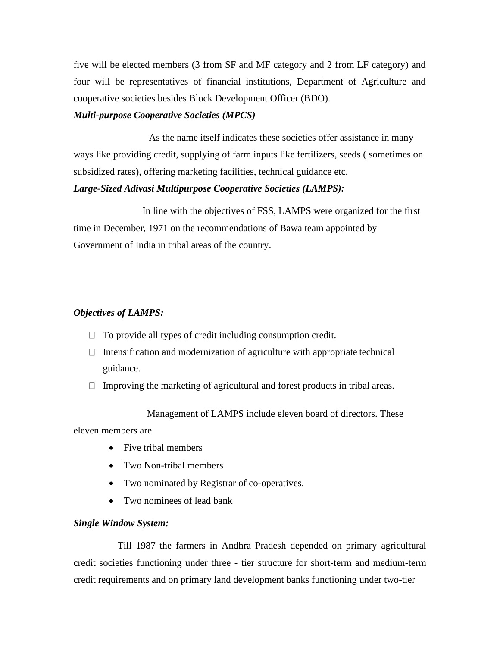five will be elected members (3 from SF and MF category and 2 from LF category) and four will be representatives of financial institutions, Department of Agriculture and cooperative societies besides Block Development Officer (BDO).

#### *Multi-purpose Cooperative Societies (MPCS)*

As the name itself indicates these societies offer assistance in many ways like providing credit, supplying of farm inputs like fertilizers, seeds ( sometimes on subsidized rates), offering marketing facilities, technical guidance etc.

## *Large-Sized Adivasi Multipurpose Cooperative Societies (LAMPS):*

In line with the objectives of FSS, LAMPS were organized for the first time in December, 1971 on the recommendations of Bawa team appointed by Government of India in tribal areas of the country.

## *Objectives of LAMPS:*

- $\Box$  To provide all types of credit including consumption credit.
- $\Box$  Intensification and modernization of agriculture with appropriate technical guidance.
- $\Box$  Improving the marketing of agricultural and forest products in tribal areas.

Management of LAMPS include eleven board of directors. These eleven members are

- Five tribal members
- Two Non-tribal members
- Two nominated by Registrar of co-operatives.
- Two nominees of lead bank

## *Single Window System:*

Till 1987 the farmers in Andhra Pradesh depended on primary agricultural credit societies functioning under three - tier structure for short-term and medium-term credit requirements and on primary land development banks functioning under two-tier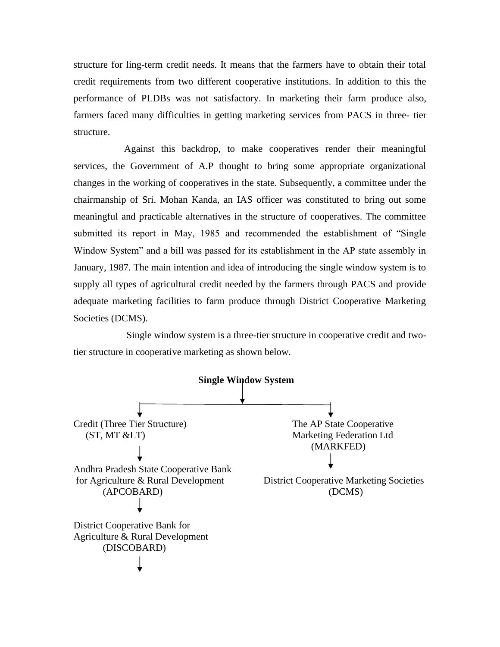structure for ling-term credit needs. It means that the farmers have to obtain their total credit requirements from two different cooperative institutions. In addition to this the performance of PLDBs was not satisfactory. In marketing their farm produce also, farmers faced many difficulties in getting marketing services from PACS in three- tier structure.

Against this backdrop, to make cooperatives render their meaningful services, the Government of A.P thought to bring some appropriate organizational changes in the working of cooperatives in the state. Subsequently, a committee under the chairmanship of Sri. Mohan Kanda, an IAS officer was constituted to bring out some meaningful and practicable alternatives in the structure of cooperatives. The committee submitted its report in May, 1985 and recommended the establishment of "Single Window System" and a bill was passed for its establishment in the AP state assembly in January, 1987. The main intention and idea of introducing the single window system is to supply all types of agricultural credit needed by the farmers through PACS and provide adequate marketing facilities to farm produce through District Cooperative Marketing Societies (DCMS).

Single window system is a three-tier structure in cooperative credit and twotier structure in cooperative marketing as shown below.

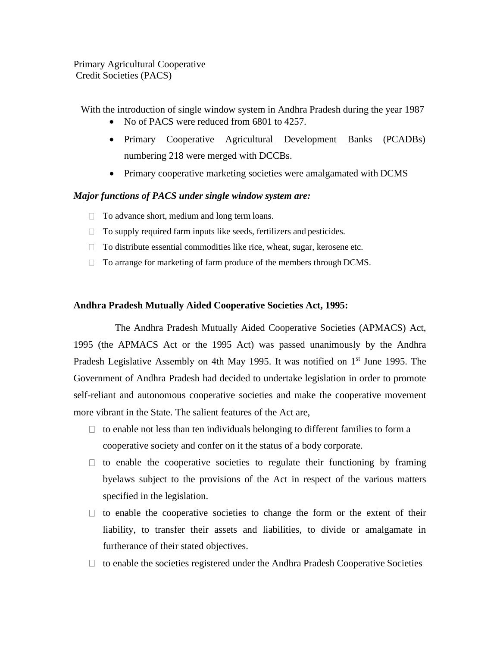Primary Agricultural Cooperative Credit Societies (PACS)

With the introduction of single window system in Andhra Pradesh during the year 1987

- No of PACS were reduced from 6801 to 4257.
- Primary Cooperative Agricultural Development Banks (PCADBs) numbering 218 were merged with DCCBs.
- Primary cooperative marketing societies were amalgamated with DCMS

## *Major functions of PACS under single window system are:*

- □ To advance short, medium and long term loans.
- $\Box$  To supply required farm inputs like seeds, fertilizers and pesticides.
- □ To distribute essential commodities like rice, wheat, sugar, kerosene etc.
- □ To arrange for marketing of farm produce of the members through DCMS.

## **Andhra Pradesh Mutually Aided Cooperative Societies Act, 1995:**

The Andhra Pradesh Mutually Aided Cooperative Societies (APMACS) Act, 1995 (the APMACS Act or the 1995 Act) was passed unanimously by the Andhra Pradesh Legislative Assembly on 4th May 1995. It was notified on  $1<sup>st</sup>$  June 1995. The Government of Andhra Pradesh had decided to undertake legislation in order to promote self-reliant and autonomous cooperative societies and make the cooperative movement more vibrant in the State. The salient features of the Act are,

- $\Box$  to enable not less than ten individuals belonging to different families to form a cooperative society and confer on it the status of a body corporate.
- $\Box$  to enable the cooperative societies to regulate their functioning by framing byelaws subject to the provisions of the Act in respect of the various matters specified in the legislation.
- $\Box$  to enable the cooperative societies to change the form or the extent of their liability, to transfer their assets and liabilities, to divide or amalgamate in furtherance of their stated objectives.
- $\Box$  to enable the societies registered under the Andhra Pradesh Cooperative Societies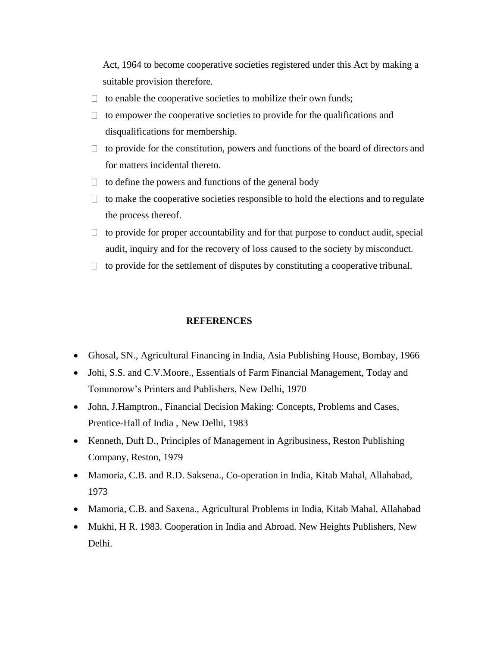Act, 1964 to become cooperative societies registered under this Act by making a suitable provision therefore.

- $\Box$  to enable the cooperative societies to mobilize their own funds;
- $\Box$  to empower the cooperative societies to provide for the qualifications and disqualifications for membership.
- $\Box$  to provide for the constitution, powers and functions of the board of directors and for matters incidental thereto.
- $\Box$  to define the powers and functions of the general body
- $\Box$  to make the cooperative societies responsible to hold the elections and to regulate the process thereof.
- $\Box$  to provide for proper accountability and for that purpose to conduct audit, special audit, inquiry and for the recovery of loss caused to the society by misconduct.
- $\Box$  to provide for the settlement of disputes by constituting a cooperative tribunal.

## **REFERENCES**

- Ghosal, SN., Agricultural Financing in India, Asia Publishing House, Bombay, 1966
- Johi, S.S. and C.V.Moore., Essentials of Farm Financial Management, Today and Tommorow's Printers and Publishers, New Delhi, 1970
- John, J.Hamptron., Financial Decision Making: Concepts, Problems and Cases, Prentice-Hall of India , New Delhi, 1983
- Kenneth, Duft D., Principles of Management in Agribusiness, Reston Publishing Company, Reston, 1979
- Mamoria, C.B. and R.D. Saksena., Co-operation in India, Kitab Mahal, Allahabad, 1973
- Mamoria, C.B. and Saxena., Agricultural Problems in India, Kitab Mahal, Allahabad
- Mukhi, H R. 1983. Cooperation in India and Abroad. New Heights Publishers, New Delhi.